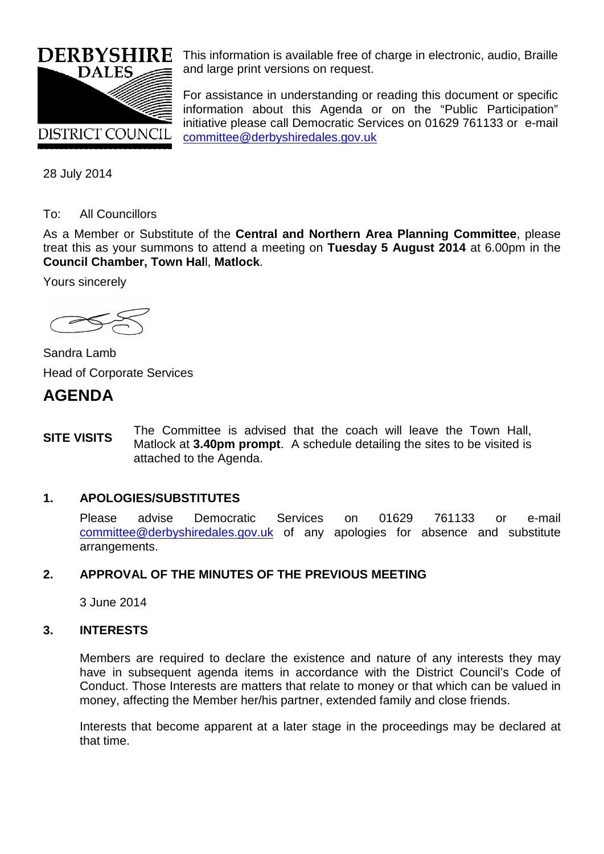

This information is available free of charge in electronic, audio, Braille and large print versions on request.

For assistance in understanding or reading this document or specific information about this Agenda or on the "Public Participation" initiative please call Democratic Services on 01629 761133 or e-mail [committee@derbyshiredales.gov.uk](mailto:chris.laver@derbyshiredales.gov.uk)

28 July 2014

#### To: All Councillors

As a Member or Substitute of the **Central and Northern Area Planning Committee**, please treat this as your summons to attend a meeting on **Tuesday 5 August 2014** at 6.00pm in the **Council Chamber, Town Hal**l, **Matlock**.

Yours sincerely



Sandra Lamb Head of Corporate Services

## **AGENDA**

**SITE VISITS** The Committee is advised that the coach will leave the Town Hall, Matlock at **3.40pm prompt**. A schedule detailing the sites to be visited is attached to the Agenda.

#### **1. APOLOGIES/SUBSTITUTES**

Please advise Democratic Services on 01629 761133 or e-mail [committee@derbyshiredales.gov.uk](mailto:chris.laver@derbyshiredales.gov.uk) of any apologies for absence and substitute arrangements.

## **2. APPROVAL OF THE MINUTES OF THE PREVIOUS MEETING**

3 June 2014

#### **3. INTERESTS**

Members are required to declare the existence and nature of any interests they may have in subsequent agenda items in accordance with the District Council's Code of Conduct. Those Interests are matters that relate to money or that which can be valued in money, affecting the Member her/his partner, extended family and close friends.

Interests that become apparent at a later stage in the proceedings may be declared at that time.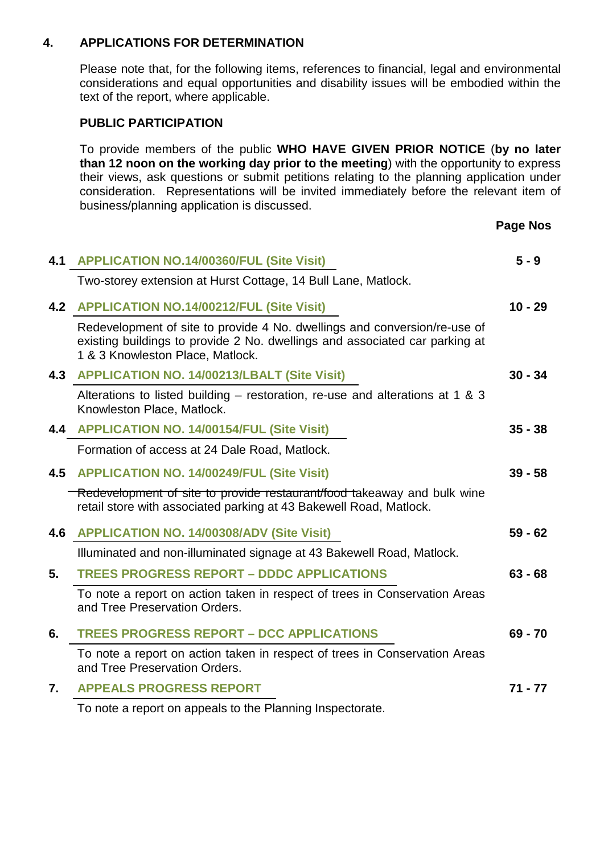#### **4. APPLICATIONS FOR DETERMINATION**

Please note that, for the following items, references to financial, legal and environmental considerations and equal opportunities and disability issues will be embodied within the text of the report, where applicable.

#### **PUBLIC PARTICIPATION**

To provide members of the public **WHO HAVE GIVEN PRIOR NOTICE** (**by no later than 12 noon on the working day prior to the meeting**) with the opportunity to express their views, ask questions or submit petitions relating to the planning application under consideration. Representations will be invited immediately before the relevant item of business/planning application is discussed.

**Page Nos**

| 4.1 | <b>APPLICATION NO.14/00360/FUL (Site Visit)</b>                                                                                                                                              | $5 - 9$   |
|-----|----------------------------------------------------------------------------------------------------------------------------------------------------------------------------------------------|-----------|
|     | Two-storey extension at Hurst Cottage, 14 Bull Lane, Matlock.                                                                                                                                |           |
| 4.2 | <b>APPLICATION NO.14/00212/FUL (Site Visit)</b>                                                                                                                                              | $10 - 29$ |
|     | Redevelopment of site to provide 4 No. dwellings and conversion/re-use of<br>existing buildings to provide 2 No. dwellings and associated car parking at<br>1 & 3 Knowleston Place, Matlock. |           |
|     | 4.3 APPLICATION NO. 14/00213/LBALT (Site Visit)                                                                                                                                              | $30 - 34$ |
|     | Alterations to listed building – restoration, re-use and alterations at 1 & 3<br>Knowleston Place, Matlock.                                                                                  |           |
| 4.4 | <b>APPLICATION NO. 14/00154/FUL (Site Visit)</b>                                                                                                                                             | $35 - 38$ |
|     | Formation of access at 24 Dale Road, Matlock.                                                                                                                                                |           |
| 4.5 | <b>APPLICATION NO. 14/00249/FUL (Site Visit)</b>                                                                                                                                             | $39 - 58$ |
|     | Redevelopment of site to provide restaurant/food takeaway and bulk wine<br>retail store with associated parking at 43 Bakewell Road, Matlock.                                                |           |
| 4.6 | <b>APPLICATION NO. 14/00308/ADV (Site Visit)</b>                                                                                                                                             | $59 - 62$ |
|     | Illuminated and non-illuminated signage at 43 Bakewell Road, Matlock.                                                                                                                        |           |
| 5.  | <b>TREES PROGRESS REPORT - DDDC APPLICATIONS</b>                                                                                                                                             | $63 - 68$ |
|     | To note a report on action taken in respect of trees in Conservation Areas<br>and Tree Preservation Orders.                                                                                  |           |
| 6.  | <b>TREES PROGRESS REPORT - DCC APPLICATIONS</b>                                                                                                                                              | $69 - 70$ |
|     | To note a report on action taken in respect of trees in Conservation Areas<br>and Tree Preservation Orders.                                                                                  |           |
| 7.  | <b>APPEALS PROGRESS REPORT</b>                                                                                                                                                               | $71 - 77$ |
|     | To note a report on appeals to the Planning Inspectorate.                                                                                                                                    |           |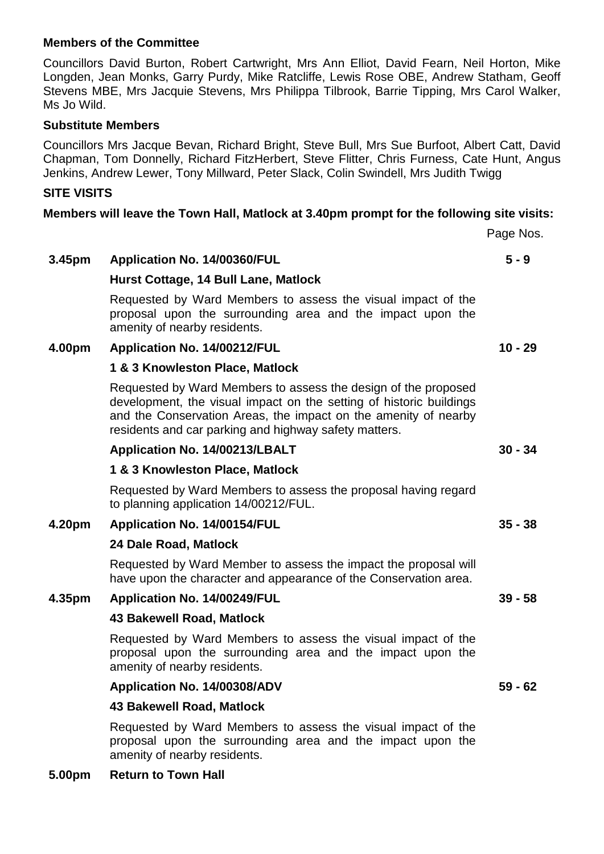#### **Members of the Committee**

Councillors David Burton, Robert Cartwright, Mrs Ann Elliot, David Fearn, Neil Horton, Mike Longden, Jean Monks, Garry Purdy, Mike Ratcliffe, Lewis Rose OBE, Andrew Statham, Geoff Stevens MBE, Mrs Jacquie Stevens, Mrs Philippa Tilbrook, Barrie Tipping, Mrs Carol Walker, Ms Jo Wild.

#### **Substitute Members**

Councillors Mrs Jacque Bevan, Richard Bright, Steve Bull, Mrs Sue Burfoot, Albert Catt, David Chapman, Tom Donnelly, Richard FitzHerbert, Steve Flitter, Chris Furness, Cate Hunt, Angus Jenkins, Andrew Lewer, Tony Millward, Peter Slack, Colin Swindell, Mrs Judith Twigg

#### **SITE VISITS**

#### **Members will leave the Town Hall, Matlock at 3.40pm prompt for the following site visits:**

Page Nos.

**5 - 9**

## **3.45pm Application No. 14/00360/FUL**

#### **Hurst Cottage, 14 Bull Lane, Matlock**

Requested by Ward Members to assess the visual impact of the proposal upon the surrounding area and the impact upon the amenity of nearby residents.

#### **4.00pm Application No. 14/00212/FUL**

#### **1 & 3 Knowleston Place, Matlock**

Requested by Ward Members to assess the design of the proposed development, the visual impact on the setting of historic buildings and the Conservation Areas, the impact on the amenity of nearby residents and car parking and highway safety matters.

#### **Application No. 14/00213/LBALT**

#### **1 & 3 Knowleston Place, Matlock**

Requested by Ward Members to assess the proposal having regard to planning application 14/00212/FUL.

#### **4.20pm Application No. 14/00154/FUL**

#### **24 Dale Road, Matlock**

Requested by Ward Member to assess the impact the proposal will have upon the character and appearance of the Conservation area.

## **4.35pm Application No. 14/00249/FUL**

## **43 Bakewell Road, Matlock**

Requested by Ward Members to assess the visual impact of the proposal upon the surrounding area and the impact upon the amenity of nearby residents.

## **Application No. 14/00308/ADV**

## **43 Bakewell Road, Matlock**

Requested by Ward Members to assess the visual impact of the proposal upon the surrounding area and the impact upon the amenity of nearby residents.

**5.00pm Return to Town Hall**

**39 - 58**

**59 - 62**

**10 - 29**

**30 - 34**

**35 - 38**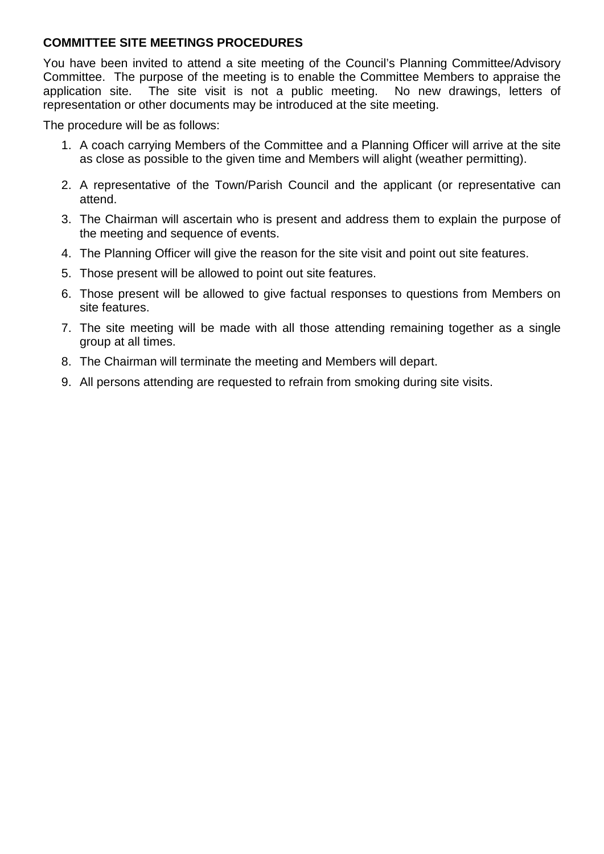## **COMMITTEE SITE MEETINGS PROCEDURES**

You have been invited to attend a site meeting of the Council's Planning Committee/Advisory Committee. The purpose of the meeting is to enable the Committee Members to appraise the application site. The site visit is not a public meeting. No new drawings, letters of representation or other documents may be introduced at the site meeting.

The procedure will be as follows:

- 1. A coach carrying Members of the Committee and a Planning Officer will arrive at the site as close as possible to the given time and Members will alight (weather permitting).
- 2. A representative of the Town/Parish Council and the applicant (or representative can attend.
- 3. The Chairman will ascertain who is present and address them to explain the purpose of the meeting and sequence of events.
- 4. The Planning Officer will give the reason for the site visit and point out site features.
- 5. Those present will be allowed to point out site features.
- 6. Those present will be allowed to give factual responses to questions from Members on site features.
- 7. The site meeting will be made with all those attending remaining together as a single group at all times.
- 8. The Chairman will terminate the meeting and Members will depart.
- 9. All persons attending are requested to refrain from smoking during site visits.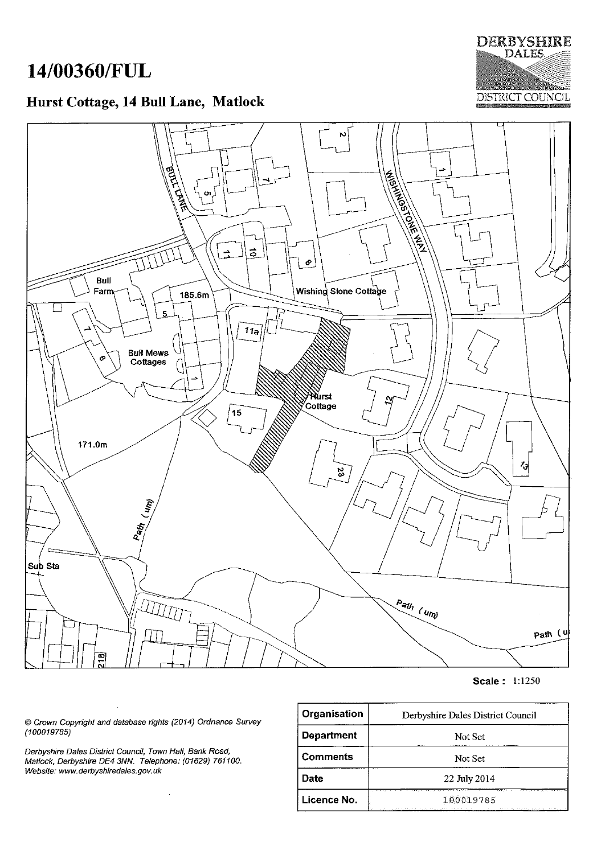# 14/00360/FUL

Bull

Farm

ø

171.0m

## Hurst Cottage, 14 Bull Lane, Matlock

**BULLINE** 

ö

185.6m

5

**Bull Mews** 

Cottages

 $\div$ 

 $\vec{\circ}$ 

 $11a$ 

15

 $\mid$   $\bullet$ 

Wishing Stone Cottage

Wurst y <del>ப</del>யக்<br>⁄ Cottage



**DERBYSHIRE DALES** 

 $z_3$ ζ3 Path (um) Sub Sta  $\frac{P_{\hat{n}}}{\hat{n}}$  (um) LILLIN

**Scale: 1:1250** 

path (u

© Crown Copyright and database rights (2014) Ordnance Survey  $(100019785)$ 

 $\bar{z}$ 

Derbyshire Dales District Council, Town Hall, Bank Road, Matlock, Derbyshire DE4 3NN. Telephone: (01629) 761100. Website: www.derbyshiredales.gov.uk

| Organisation      | Derbyshire Dales District Council                                                                                        |
|-------------------|--------------------------------------------------------------------------------------------------------------------------|
| <b>Department</b> | Not Set                                                                                                                  |
| <b>Comments</b>   | Not Set                                                                                                                  |
| Date              | 22 July 2014                                                                                                             |
| Licence No.       | 100019785<br>a did a casa canada a sin agusada sa condición da guerra<br>and the contract of the state of the company of |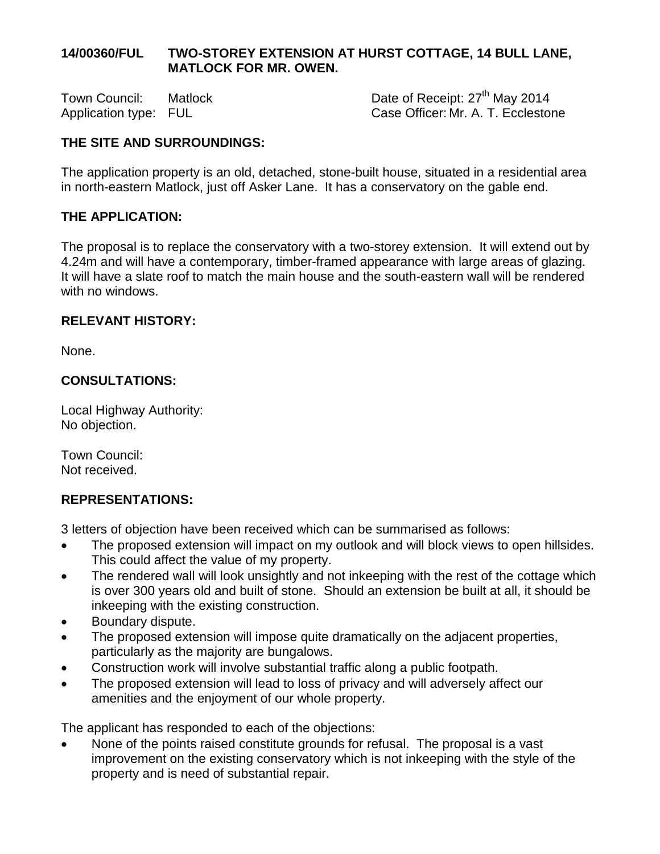## **14/00360/FUL TWO-STOREY EXTENSION AT HURST COTTAGE, 14 BULL LANE, MATLOCK FOR MR. OWEN.**

Town Council: Matlock Date of Receipt: 27<sup>th</sup> May 2014 Application type: FUL Case Officer: Mr. A. T. Ecclestone

## **THE SITE AND SURROUNDINGS:**

The application property is an old, detached, stone-built house, situated in a residential area in north-eastern Matlock, just off Asker Lane. It has a conservatory on the gable end.

## **THE APPLICATION:**

The proposal is to replace the conservatory with a two-storey extension. It will extend out by 4.24m and will have a contemporary, timber-framed appearance with large areas of glazing. It will have a slate roof to match the main house and the south-eastern wall will be rendered with no windows.

#### **RELEVANT HISTORY:**

None.

#### **CONSULTATIONS:**

Local Highway Authority: No objection.

Town Council: Not received.

#### **REPRESENTATIONS:**

3 letters of objection have been received which can be summarised as follows:

- The proposed extension will impact on my outlook and will block views to open hillsides. This could affect the value of my property.
- The rendered wall will look unsightly and not inkeeping with the rest of the cottage which is over 300 years old and built of stone. Should an extension be built at all, it should be inkeeping with the existing construction.
- Boundary dispute.
- The proposed extension will impose quite dramatically on the adjacent properties, particularly as the majority are bungalows.
- Construction work will involve substantial traffic along a public footpath.
- The proposed extension will lead to loss of privacy and will adversely affect our amenities and the enjoyment of our whole property.

The applicant has responded to each of the objections:

• None of the points raised constitute grounds for refusal. The proposal is a vast improvement on the existing conservatory which is not inkeeping with the style of the property and is need of substantial repair.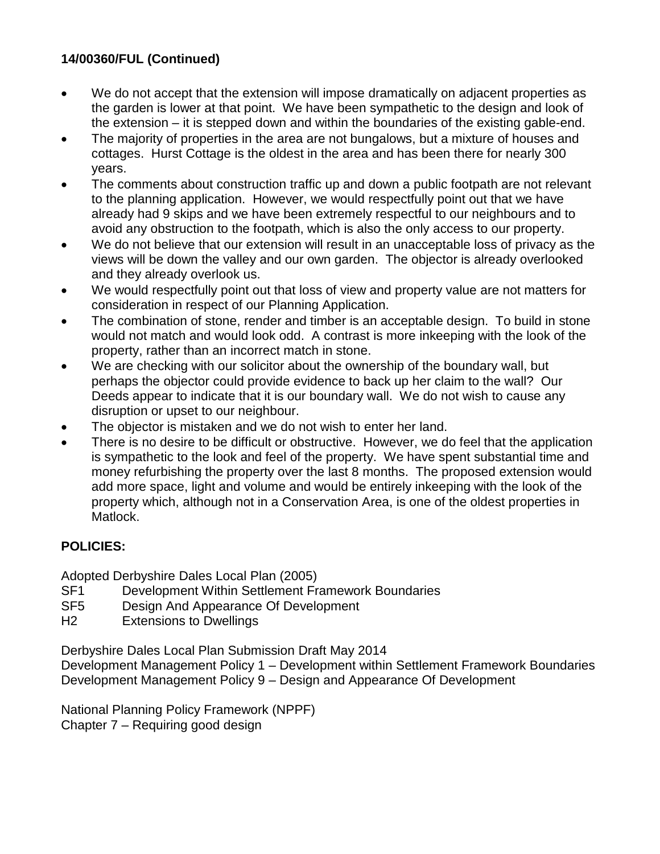## **14/00360/FUL (Continued)**

- We do not accept that the extension will impose dramatically on adjacent properties as the garden is lower at that point. We have been sympathetic to the design and look of the extension – it is stepped down and within the boundaries of the existing gable-end.
- The majority of properties in the area are not bungalows, but a mixture of houses and cottages. Hurst Cottage is the oldest in the area and has been there for nearly 300 years.
- The comments about construction traffic up and down a public footpath are not relevant to the planning application. However, we would respectfully point out that we have already had 9 skips and we have been extremely respectful to our neighbours and to avoid any obstruction to the footpath, which is also the only access to our property.
- We do not believe that our extension will result in an unacceptable loss of privacy as the views will be down the valley and our own garden. The objector is already overlooked and they already overlook us.
- We would respectfully point out that loss of view and property value are not matters for consideration in respect of our Planning Application.
- The combination of stone, render and timber is an acceptable design. To build in stone would not match and would look odd. A contrast is more inkeeping with the look of the property, rather than an incorrect match in stone.
- We are checking with our solicitor about the ownership of the boundary wall, but perhaps the objector could provide evidence to back up her claim to the wall? Our Deeds appear to indicate that it is our boundary wall. We do not wish to cause any disruption or upset to our neighbour.
- The objector is mistaken and we do not wish to enter her land.
- There is no desire to be difficult or obstructive. However, we do feel that the application is sympathetic to the look and feel of the property. We have spent substantial time and money refurbishing the property over the last 8 months. The proposed extension would add more space, light and volume and would be entirely inkeeping with the look of the property which, although not in a Conservation Area, is one of the oldest properties in Matlock.

## **POLICIES:**

Adopted Derbyshire Dales Local Plan (2005)

- SF1 Development Within Settlement Framework Boundaries
- SF5 Design And Appearance Of Development
- H2 Extensions to Dwellings

Derbyshire Dales Local Plan Submission Draft May 2014

Development Management Policy 1 – Development within Settlement Framework Boundaries Development Management Policy 9 – Design and Appearance Of Development

National Planning Policy Framework (NPPF) Chapter 7 – Requiring good design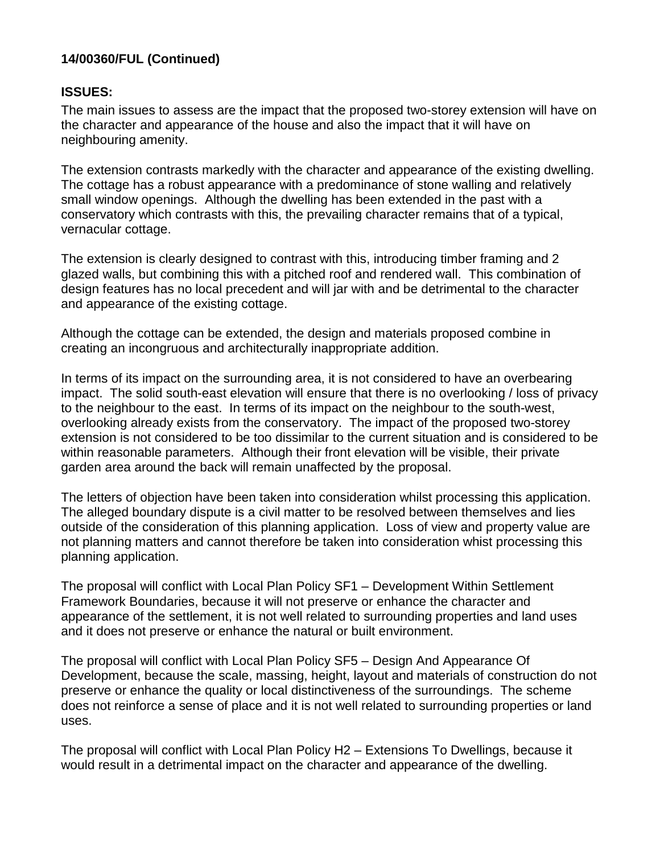## **14/00360/FUL (Continued)**

## **ISSUES:**

The main issues to assess are the impact that the proposed two-storey extension will have on the character and appearance of the house and also the impact that it will have on neighbouring amenity.

The extension contrasts markedly with the character and appearance of the existing dwelling. The cottage has a robust appearance with a predominance of stone walling and relatively small window openings. Although the dwelling has been extended in the past with a conservatory which contrasts with this, the prevailing character remains that of a typical, vernacular cottage.

The extension is clearly designed to contrast with this, introducing timber framing and 2 glazed walls, but combining this with a pitched roof and rendered wall. This combination of design features has no local precedent and will jar with and be detrimental to the character and appearance of the existing cottage.

Although the cottage can be extended, the design and materials proposed combine in creating an incongruous and architecturally inappropriate addition.

In terms of its impact on the surrounding area, it is not considered to have an overbearing impact. The solid south-east elevation will ensure that there is no overlooking / loss of privacy to the neighbour to the east. In terms of its impact on the neighbour to the south-west, overlooking already exists from the conservatory. The impact of the proposed two-storey extension is not considered to be too dissimilar to the current situation and is considered to be within reasonable parameters. Although their front elevation will be visible, their private garden area around the back will remain unaffected by the proposal.

The letters of objection have been taken into consideration whilst processing this application. The alleged boundary dispute is a civil matter to be resolved between themselves and lies outside of the consideration of this planning application. Loss of view and property value are not planning matters and cannot therefore be taken into consideration whist processing this planning application.

The proposal will conflict with Local Plan Policy SF1 – Development Within Settlement Framework Boundaries, because it will not preserve or enhance the character and appearance of the settlement, it is not well related to surrounding properties and land uses and it does not preserve or enhance the natural or built environment.

The proposal will conflict with Local Plan Policy SF5 – Design And Appearance Of Development, because the scale, massing, height, layout and materials of construction do not preserve or enhance the quality or local distinctiveness of the surroundings. The scheme does not reinforce a sense of place and it is not well related to surrounding properties or land uses.

The proposal will conflict with Local Plan Policy H2 – Extensions To Dwellings, because it would result in a detrimental impact on the character and appearance of the dwelling.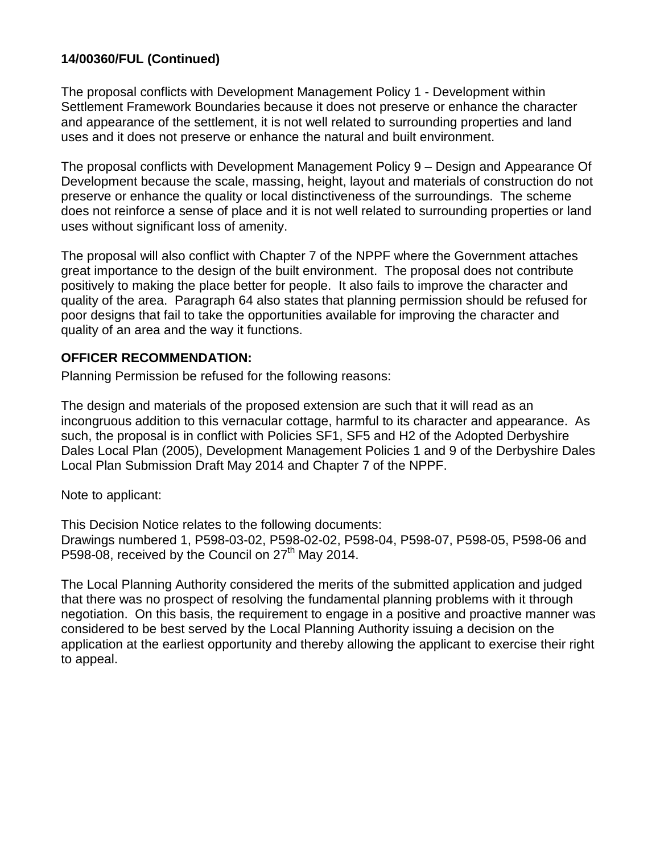## **14/00360/FUL (Continued)**

The proposal conflicts with Development Management Policy 1 - Development within Settlement Framework Boundaries because it does not preserve or enhance the character and appearance of the settlement, it is not well related to surrounding properties and land uses and it does not preserve or enhance the natural and built environment.

The proposal conflicts with Development Management Policy 9 – Design and Appearance Of Development because the scale, massing, height, layout and materials of construction do not preserve or enhance the quality or local distinctiveness of the surroundings. The scheme does not reinforce a sense of place and it is not well related to surrounding properties or land uses without significant loss of amenity.

The proposal will also conflict with Chapter 7 of the NPPF where the Government attaches great importance to the design of the built environment. The proposal does not contribute positively to making the place better for people. It also fails to improve the character and quality of the area. Paragraph 64 also states that planning permission should be refused for poor designs that fail to take the opportunities available for improving the character and quality of an area and the way it functions.

#### **OFFICER RECOMMENDATION:**

Planning Permission be refused for the following reasons:

The design and materials of the proposed extension are such that it will read as an incongruous addition to this vernacular cottage, harmful to its character and appearance. As such, the proposal is in conflict with Policies SF1, SF5 and H2 of the Adopted Derbyshire Dales Local Plan (2005), Development Management Policies 1 and 9 of the Derbyshire Dales Local Plan Submission Draft May 2014 and Chapter 7 of the NPPF.

Note to applicant:

This Decision Notice relates to the following documents: Drawings numbered 1, P598-03-02, P598-02-02, P598-04, P598-07, P598-05, P598-06 and P598-08, received by the Council on  $27<sup>th</sup>$  May 2014.

The Local Planning Authority considered the merits of the submitted application and judged that there was no prospect of resolving the fundamental planning problems with it through negotiation. On this basis, the requirement to engage in a positive and proactive manner was considered to be best served by the Local Planning Authority issuing a decision on the application at the earliest opportunity and thereby allowing the applicant to exercise their right to appeal.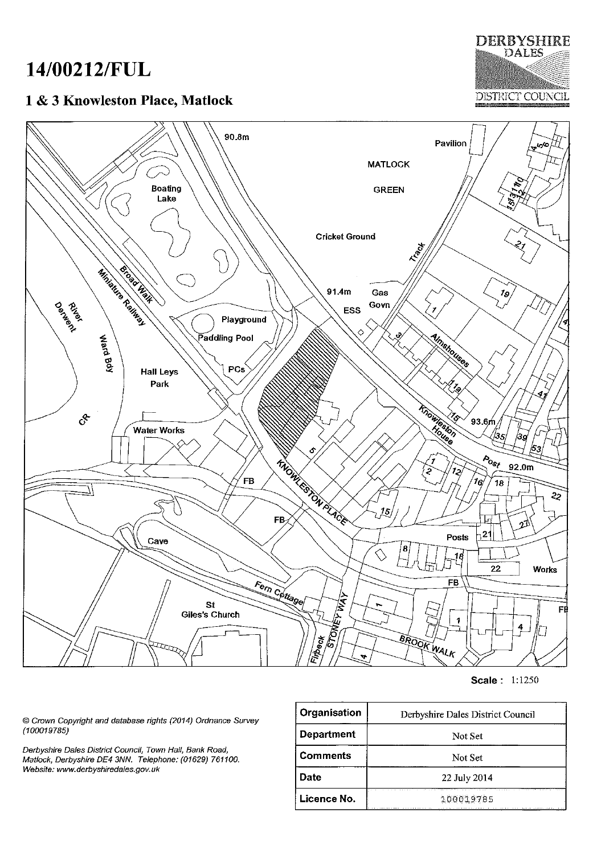# 14/00212/FUL

## 1 & 3 Knowleston Place, Matlock

**DERBYSHIRE DALES** DISTRICT COUNCIL



Scale: 1:1250

© Crown Copyright and database rights (2014) Ordnance Survey  $(100019785)$ 

Derbyshire Dales District Council, Town Hall, Bank Road, Matlock, Derbyshire DE4 3NN. Telephone: (01629) 761100. Website: www.derbyshiredales.gov.uk

| Organisation      | Derbyshire Dales District Council |
|-------------------|-----------------------------------|
| <b>Department</b> | Not Set                           |
| <b>Comments</b>   | Not Set                           |
| Date              | 22 July 2014                      |
| Licence No.       | 100019785                         |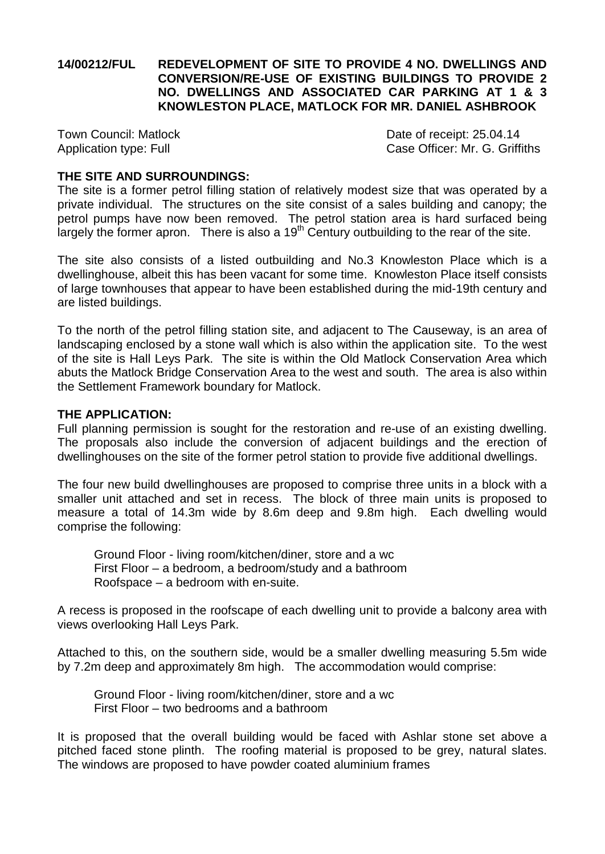## **14/00212/FUL REDEVELOPMENT OF SITE TO PROVIDE 4 NO. DWELLINGS AND CONVERSION/RE-USE OF EXISTING BUILDINGS TO PROVIDE 2 NO. DWELLINGS AND ASSOCIATED CAR PARKING AT 1 & 3 KNOWLESTON PLACE, MATLOCK FOR MR. DANIEL ASHBROOK**

Town Council: Matlock Date of receipt: 25.04.14 Application type: Full **Case Officer: Mr. G. Griffiths** 

#### **THE SITE AND SURROUNDINGS:**

The site is a former petrol filling station of relatively modest size that was operated by a private individual. The structures on the site consist of a sales building and canopy; the petrol pumps have now been removed. The petrol station area is hard surfaced being largely the former apron. There is also a  $19<sup>th</sup>$  Century outbuilding to the rear of the site.

The site also consists of a listed outbuilding and No.3 Knowleston Place which is a dwellinghouse, albeit this has been vacant for some time. Knowleston Place itself consists of large townhouses that appear to have been established during the mid-19th century and are listed buildings.

To the north of the petrol filling station site, and adjacent to The Causeway, is an area of landscaping enclosed by a stone wall which is also within the application site. To the west of the site is Hall Leys Park. The site is within the Old Matlock Conservation Area which abuts the Matlock Bridge Conservation Area to the west and south. The area is also within the Settlement Framework boundary for Matlock.

#### **THE APPLICATION:**

Full planning permission is sought for the restoration and re-use of an existing dwelling. The proposals also include the conversion of adjacent buildings and the erection of dwellinghouses on the site of the former petrol station to provide five additional dwellings.

The four new build dwellinghouses are proposed to comprise three units in a block with a smaller unit attached and set in recess. The block of three main units is proposed to measure a total of 14.3m wide by 8.6m deep and 9.8m high. Each dwelling would comprise the following:

Ground Floor - living room/kitchen/diner, store and a wc First Floor – a bedroom, a bedroom/study and a bathroom Roofspace – a bedroom with en-suite.

A recess is proposed in the roofscape of each dwelling unit to provide a balcony area with views overlooking Hall Leys Park.

Attached to this, on the southern side, would be a smaller dwelling measuring 5.5m wide by 7.2m deep and approximately 8m high. The accommodation would comprise:

Ground Floor - living room/kitchen/diner, store and a wc First Floor – two bedrooms and a bathroom

It is proposed that the overall building would be faced with Ashlar stone set above a pitched faced stone plinth. The roofing material is proposed to be grey, natural slates. The windows are proposed to have powder coated aluminium frames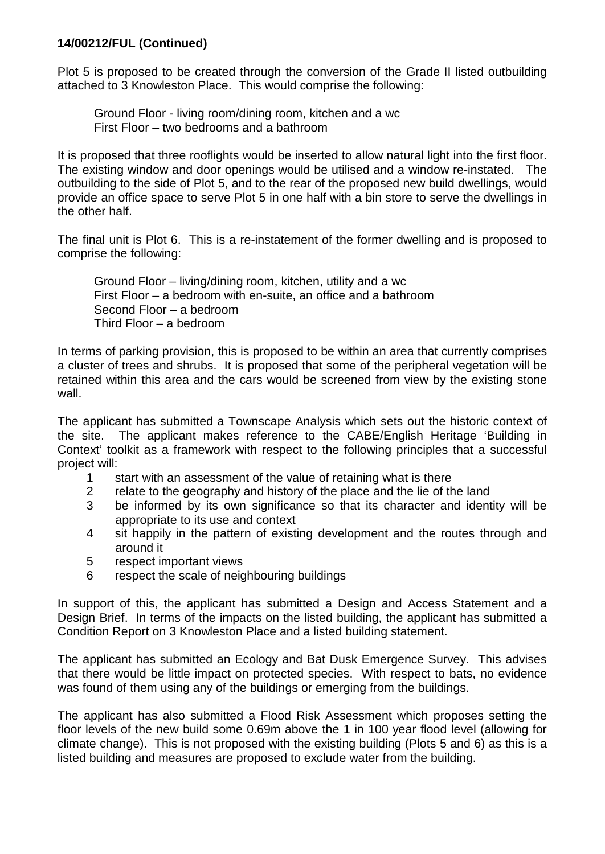Plot 5 is proposed to be created through the conversion of the Grade II listed outbuilding attached to 3 Knowleston Place. This would comprise the following:

Ground Floor - living room/dining room, kitchen and a wc First Floor – two bedrooms and a bathroom

It is proposed that three rooflights would be inserted to allow natural light into the first floor. The existing window and door openings would be utilised and a window re-instated. The outbuilding to the side of Plot 5, and to the rear of the proposed new build dwellings, would provide an office space to serve Plot 5 in one half with a bin store to serve the dwellings in the other half.

The final unit is Plot 6. This is a re-instatement of the former dwelling and is proposed to comprise the following:

Ground Floor – living/dining room, kitchen, utility and a wc First Floor – a bedroom with en-suite, an office and a bathroom Second Floor – a bedroom Third Floor – a bedroom

In terms of parking provision, this is proposed to be within an area that currently comprises a cluster of trees and shrubs. It is proposed that some of the peripheral vegetation will be retained within this area and the cars would be screened from view by the existing stone wall.

The applicant has submitted a Townscape Analysis which sets out the historic context of the site. The applicant makes reference to the CABE/English Heritage 'Building in Context' toolkit as a framework with respect to the following principles that a successful project will:

- 1 start with an assessment of the value of retaining what is there
- 2 relate to the geography and history of the place and the lie of the land<br>3 be informed by its own significance so that its character and ident
- be informed by its own significance so that its character and identity will be appropriate to its use and context
- 4 sit happily in the pattern of existing development and the routes through and around it
- 5 respect important views
- 6 respect the scale of neighbouring buildings

In support of this, the applicant has submitted a Design and Access Statement and a Design Brief. In terms of the impacts on the listed building, the applicant has submitted a Condition Report on 3 Knowleston Place and a listed building statement.

The applicant has submitted an Ecology and Bat Dusk Emergence Survey. This advises that there would be little impact on protected species. With respect to bats, no evidence was found of them using any of the buildings or emerging from the buildings.

The applicant has also submitted a Flood Risk Assessment which proposes setting the floor levels of the new build some 0.69m above the 1 in 100 year flood level (allowing for climate change). This is not proposed with the existing building (Plots 5 and 6) as this is a listed building and measures are proposed to exclude water from the building.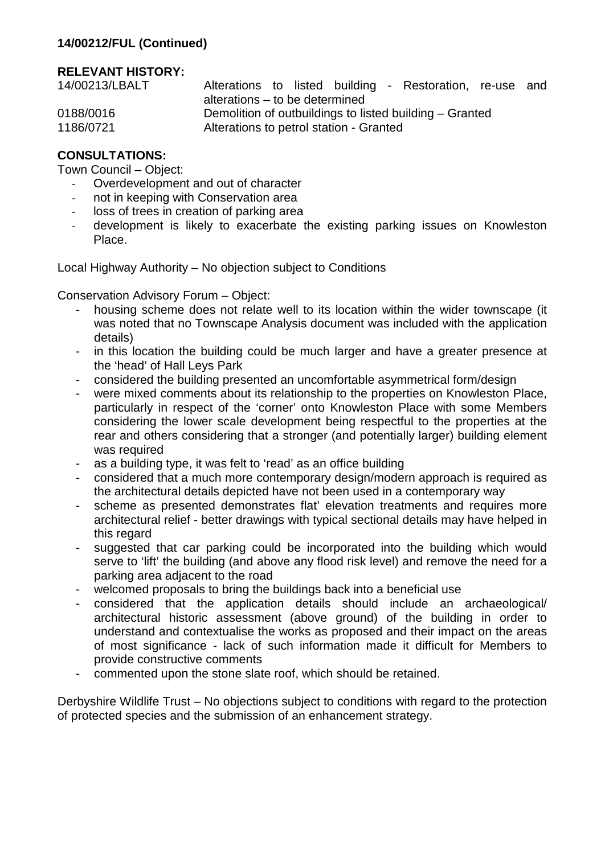## **RELEVANT HISTORY:**

| 14/00213/LBALT | Alterations to listed building - Restoration, re-use and |  |  |  |
|----------------|----------------------------------------------------------|--|--|--|
|                | alterations – to be determined                           |  |  |  |
| 0188/0016      | Demolition of outbuildings to listed building – Granted  |  |  |  |
| 1186/0721      | Alterations to petrol station - Granted                  |  |  |  |

## **CONSULTATIONS:**

Town Council – Object:

- Overdevelopment and out of character
- not in keeping with Conservation area
- loss of trees in creation of parking area
- development is likely to exacerbate the existing parking issues on Knowleston Place.

Local Highway Authority – No objection subject to Conditions

Conservation Advisory Forum – Object:

- housing scheme does not relate well to its location within the wider townscape (it was noted that no Townscape Analysis document was included with the application details)
- in this location the building could be much larger and have a greater presence at the 'head' of Hall Leys Park
- considered the building presented an uncomfortable asymmetrical form/design
- were mixed comments about its relationship to the properties on Knowleston Place, particularly in respect of the 'corner' onto Knowleston Place with some Members considering the lower scale development being respectful to the properties at the rear and others considering that a stronger (and potentially larger) building element was required
- as a building type, it was felt to 'read' as an office building
- considered that a much more contemporary design/modern approach is required as the architectural details depicted have not been used in a contemporary way
- scheme as presented demonstrates flat' elevation treatments and requires more architectural relief - better drawings with typical sectional details may have helped in this regard
- suggested that car parking could be incorporated into the building which would serve to 'lift' the building (and above any flood risk level) and remove the need for a parking area adjacent to the road
- welcomed proposals to bring the buildings back into a beneficial use
- considered that the application details should include an archaeological/ architectural historic assessment (above ground) of the building in order to understand and contextualise the works as proposed and their impact on the areas of most significance - lack of such information made it difficult for Members to provide constructive comments
- commented upon the stone slate roof, which should be retained.

Derbyshire Wildlife Trust – No objections subject to conditions with regard to the protection of protected species and the submission of an enhancement strategy.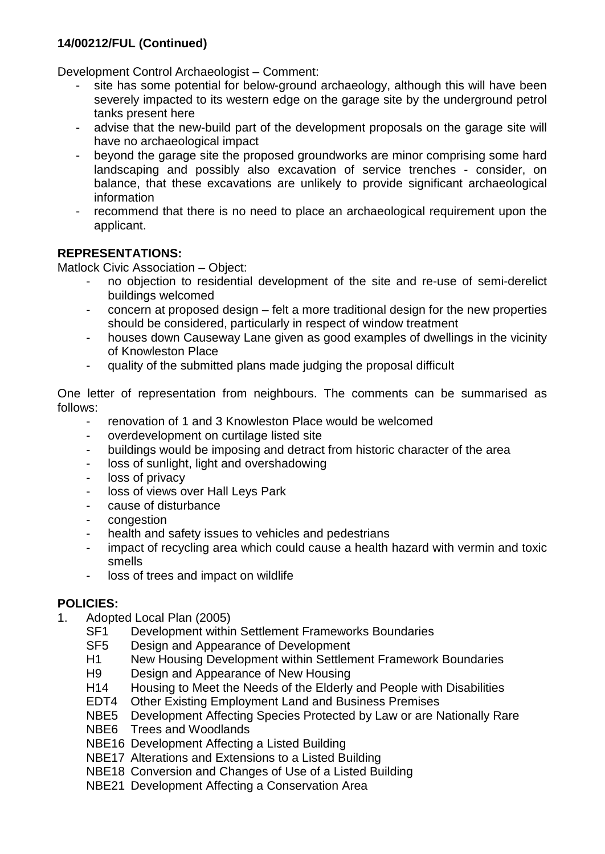Development Control Archaeologist – Comment:

- site has some potential for below-ground archaeology, although this will have been severely impacted to its western edge on the garage site by the underground petrol tanks present here
- advise that the new-build part of the development proposals on the garage site will have no archaeological impact
- beyond the garage site the proposed groundworks are minor comprising some hard landscaping and possibly also excavation of service trenches - consider, on balance, that these excavations are unlikely to provide significant archaeological information
- recommend that there is no need to place an archaeological requirement upon the applicant.

## **REPRESENTATIONS:**

Matlock Civic Association – Object:

- no objection to residential development of the site and re-use of semi-derelict buildings welcomed
- concern at proposed design felt a more traditional design for the new properties should be considered, particularly in respect of window treatment
- houses down Causeway Lane given as good examples of dwellings in the vicinity of Knowleston Place
- quality of the submitted plans made judging the proposal difficult

One letter of representation from neighbours. The comments can be summarised as follows:

- renovation of 1 and 3 Knowleston Place would be welcomed
- overdevelopment on curtilage listed site
- buildings would be imposing and detract from historic character of the area
- loss of sunlight, light and overshadowing
- loss of privacy
- loss of views over Hall Leys Park
- cause of disturbance
- congestion
- health and safety issues to vehicles and pedestrians
- impact of recycling area which could cause a health hazard with vermin and toxic smells
- loss of trees and impact on wildlife

## **POLICIES:**

- 1. Adopted Local Plan (2005)
	- SF1 Development within Settlement Frameworks Boundaries<br>SF5 Design and Appearance of Development
	- Design and Appearance of Development
	- H1 New Housing Development within Settlement Framework Boundaries
	- H9 Design and Appearance of New Housing<br>H14 Housing to Meet the Needs of the Elderly
	- Housing to Meet the Needs of the Elderly and People with Disabilities
	- EDT4 Other Existing Employment Land and Business Premises
	- NBE5 Development Affecting Species Protected by Law or are Nationally Rare
	- NBE6 Trees and Woodlands
	- NBE16 Development Affecting a Listed Building
	- NBE17 Alterations and Extensions to a Listed Building
	- NBE18 Conversion and Changes of Use of a Listed Building
	- NBE21 Development Affecting a Conservation Area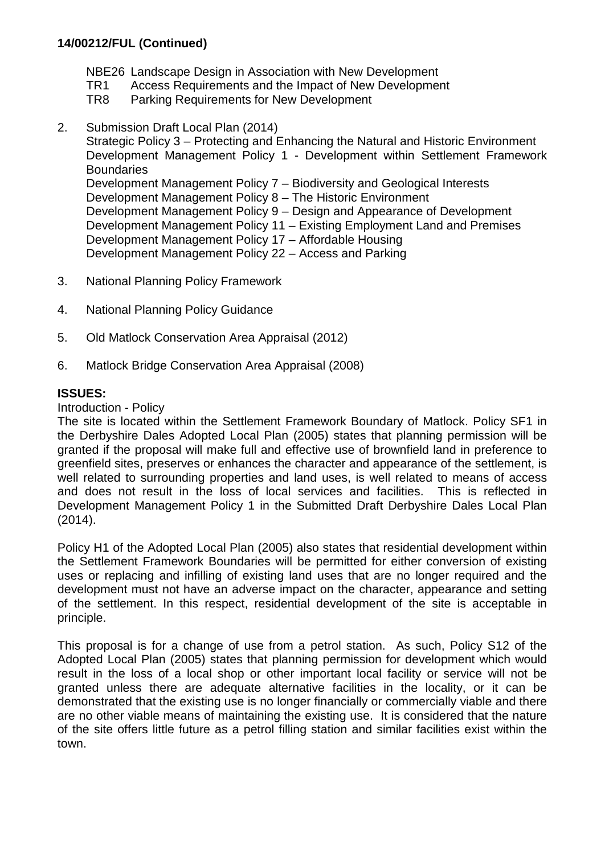- NBE26 Landscape Design in Association with New Development
- TR1 Access Requirements and the Impact of New Development<br>TR8 Parking Requirements for New Development
- Parking Requirements for New Development
- 2. Submission Draft Local Plan (2014)

Strategic Policy 3 – Protecting and Enhancing the Natural and Historic Environment Development Management Policy 1 - Development within Settlement Framework **Boundaries** Development Management Policy 7 – Biodiversity and Geological Interests Development Management Policy 8 – The Historic Environment Development Management Policy 9 – Design and Appearance of Development Development Management Policy 11 – Existing Employment Land and Premises Development Management Policy 17 – Affordable Housing Development Management Policy 22 – Access and Parking

- 3. National Planning Policy Framework
- 4. National Planning Policy Guidance
- 5. Old Matlock Conservation Area Appraisal (2012)
- 6. Matlock Bridge Conservation Area Appraisal (2008)

## **ISSUES:**

#### Introduction - Policy

The site is located within the Settlement Framework Boundary of Matlock. Policy SF1 in the Derbyshire Dales Adopted Local Plan (2005) states that planning permission will be granted if the proposal will make full and effective use of brownfield land in preference to greenfield sites, preserves or enhances the character and appearance of the settlement, is well related to surrounding properties and land uses, is well related to means of access and does not result in the loss of local services and facilities. This is reflected in Development Management Policy 1 in the Submitted Draft Derbyshire Dales Local Plan (2014).

Policy H1 of the Adopted Local Plan (2005) also states that residential development within the Settlement Framework Boundaries will be permitted for either conversion of existing uses or replacing and infilling of existing land uses that are no longer required and the development must not have an adverse impact on the character, appearance and setting of the settlement. In this respect, residential development of the site is acceptable in principle.

This proposal is for a change of use from a petrol station. As such, Policy S12 of the Adopted Local Plan (2005) states that planning permission for development which would result in the loss of a local shop or other important local facility or service will not be granted unless there are adequate alternative facilities in the locality, or it can be demonstrated that the existing use is no longer financially or commercially viable and there are no other viable means of maintaining the existing use. It is considered that the nature of the site offers little future as a petrol filling station and similar facilities exist within the town.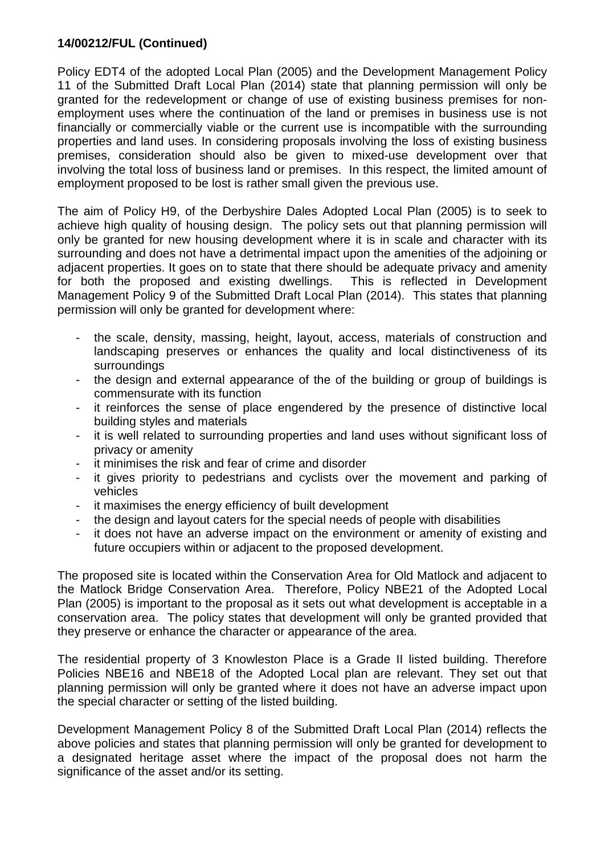Policy EDT4 of the adopted Local Plan (2005) and the Development Management Policy 11 of the Submitted Draft Local Plan (2014) state that planning permission will only be granted for the redevelopment or change of use of existing business premises for nonemployment uses where the continuation of the land or premises in business use is not financially or commercially viable or the current use is incompatible with the surrounding properties and land uses. In considering proposals involving the loss of existing business premises, consideration should also be given to mixed-use development over that involving the total loss of business land or premises. In this respect, the limited amount of employment proposed to be lost is rather small given the previous use.

The aim of Policy H9, of the Derbyshire Dales Adopted Local Plan (2005) is to seek to achieve high quality of housing design. The policy sets out that planning permission will only be granted for new housing development where it is in scale and character with its surrounding and does not have a detrimental impact upon the amenities of the adjoining or adjacent properties. It goes on to state that there should be adequate privacy and amenity for both the proposed and existing dwellings. This is reflected in Development Management Policy 9 of the Submitted Draft Local Plan (2014). This states that planning permission will only be granted for development where:

- the scale, density, massing, height, layout, access, materials of construction and landscaping preserves or enhances the quality and local distinctiveness of its surroundings
- the design and external appearance of the of the building or group of buildings is commensurate with its function
- it reinforces the sense of place engendered by the presence of distinctive local building styles and materials
- it is well related to surrounding properties and land uses without significant loss of privacy or amenity
- it minimises the risk and fear of crime and disorder
- it gives priority to pedestrians and cyclists over the movement and parking of vehicles
- it maximises the energy efficiency of built development
- the design and layout caters for the special needs of people with disabilities
- it does not have an adverse impact on the environment or amenity of existing and future occupiers within or adjacent to the proposed development.

The proposed site is located within the Conservation Area for Old Matlock and adjacent to the Matlock Bridge Conservation Area. Therefore, Policy NBE21 of the Adopted Local Plan (2005) is important to the proposal as it sets out what development is acceptable in a conservation area. The policy states that development will only be granted provided that they preserve or enhance the character or appearance of the area.

The residential property of 3 Knowleston Place is a Grade II listed building. Therefore Policies NBE16 and NBE18 of the Adopted Local plan are relevant. They set out that planning permission will only be granted where it does not have an adverse impact upon the special character or setting of the listed building.

Development Management Policy 8 of the Submitted Draft Local Plan (2014) reflects the above policies and states that planning permission will only be granted for development to a designated heritage asset where the impact of the proposal does not harm the significance of the asset and/or its setting.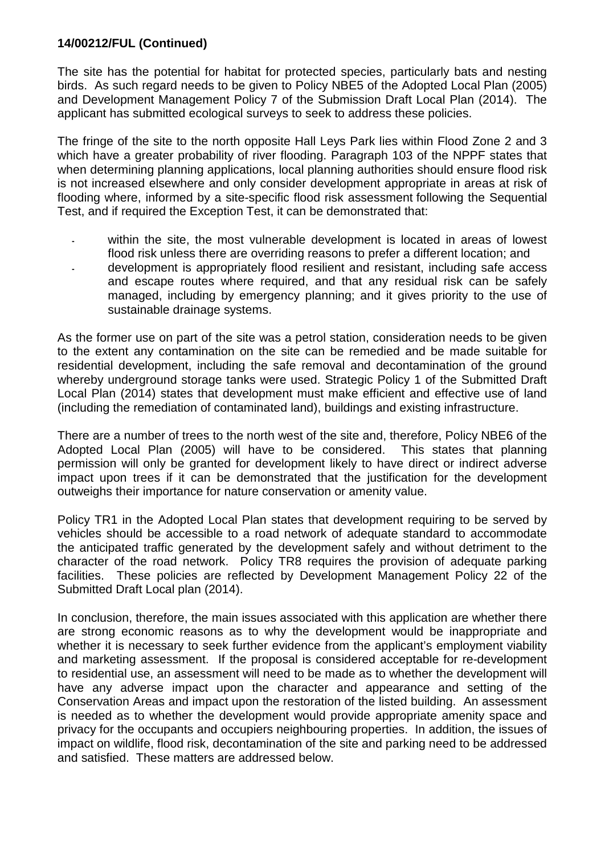The site has the potential for habitat for protected species, particularly bats and nesting birds. As such regard needs to be given to Policy NBE5 of the Adopted Local Plan (2005) and Development Management Policy 7 of the Submission Draft Local Plan (2014). The applicant has submitted ecological surveys to seek to address these policies.

The fringe of the site to the north opposite Hall Leys Park lies within Flood Zone 2 and 3 which have a greater probability of river flooding. Paragraph 103 of the NPPF states that when determining planning applications, local planning authorities should ensure flood risk is not increased elsewhere and only consider development appropriate in areas at risk of flooding where, informed by a site-specific flood risk assessment following the Sequential Test, and if required the Exception Test, it can be demonstrated that:

- **-** within the site, the most vulnerable development is located in areas of lowest flood risk unless there are overriding reasons to prefer a different location; and
- **-** development is appropriately flood resilient and resistant, including safe access and escape routes where required, and that any residual risk can be safely managed, including by emergency planning; and it gives priority to the use of sustainable drainage systems.

As the former use on part of the site was a petrol station, consideration needs to be given to the extent any contamination on the site can be remedied and be made suitable for residential development, including the safe removal and decontamination of the ground whereby underground storage tanks were used. Strategic Policy 1 of the Submitted Draft Local Plan (2014) states that development must make efficient and effective use of land (including the remediation of contaminated land), buildings and existing infrastructure.

There are a number of trees to the north west of the site and, therefore, Policy NBE6 of the Adopted Local Plan (2005) will have to be considered. This states that planning permission will only be granted for development likely to have direct or indirect adverse impact upon trees if it can be demonstrated that the justification for the development outweighs their importance for nature conservation or amenity value.

Policy TR1 in the Adopted Local Plan states that development requiring to be served by vehicles should be accessible to a road network of adequate standard to accommodate the anticipated traffic generated by the development safely and without detriment to the character of the road network. Policy TR8 requires the provision of adequate parking facilities. These policies are reflected by Development Management Policy 22 of the Submitted Draft Local plan (2014).

In conclusion, therefore, the main issues associated with this application are whether there are strong economic reasons as to why the development would be inappropriate and whether it is necessary to seek further evidence from the applicant's employment viability and marketing assessment. If the proposal is considered acceptable for re-development to residential use, an assessment will need to be made as to whether the development will have any adverse impact upon the character and appearance and setting of the Conservation Areas and impact upon the restoration of the listed building. An assessment is needed as to whether the development would provide appropriate amenity space and privacy for the occupants and occupiers neighbouring properties. In addition, the issues of impact on wildlife, flood risk, decontamination of the site and parking need to be addressed and satisfied. These matters are addressed below.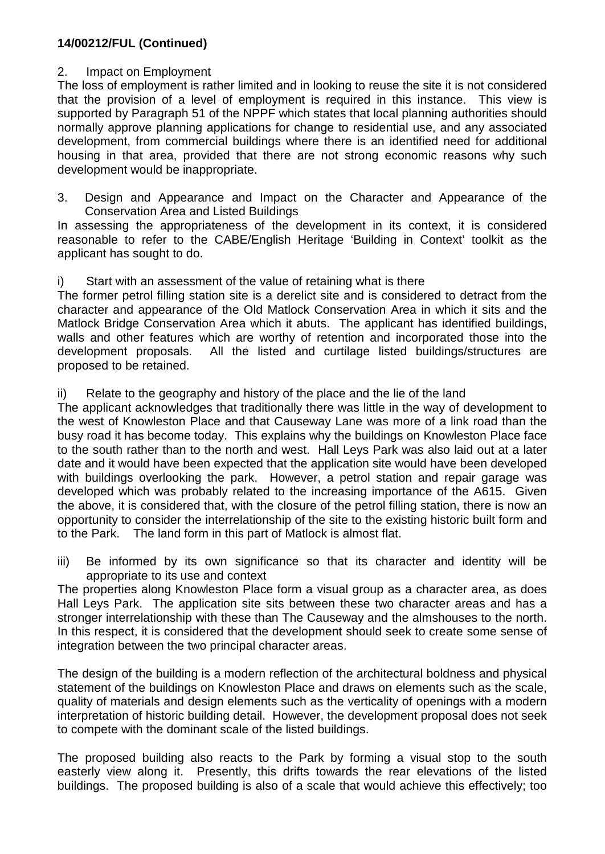## 2. Impact on Employment

The loss of employment is rather limited and in looking to reuse the site it is not considered that the provision of a level of employment is required in this instance. This view is supported by Paragraph 51 of the NPPF which states that local planning authorities should normally approve planning applications for change to residential use, and any associated development, from commercial buildings where there is an identified need for additional housing in that area, provided that there are not strong economic reasons why such development would be inappropriate.

3. Design and Appearance and Impact on the Character and Appearance of the Conservation Area and Listed Buildings

In assessing the appropriateness of the development in its context, it is considered reasonable to refer to the CABE/English Heritage 'Building in Context' toolkit as the applicant has sought to do.

i) Start with an assessment of the value of retaining what is there

The former petrol filling station site is a derelict site and is considered to detract from the character and appearance of the Old Matlock Conservation Area in which it sits and the Matlock Bridge Conservation Area which it abuts. The applicant has identified buildings, walls and other features which are worthy of retention and incorporated those into the development proposals. All the listed and curtilage listed buildings/structures are proposed to be retained.

ii) Relate to the geography and history of the place and the lie of the land

The applicant acknowledges that traditionally there was little in the way of development to the west of Knowleston Place and that Causeway Lane was more of a link road than the busy road it has become today. This explains why the buildings on Knowleston Place face to the south rather than to the north and west. Hall Leys Park was also laid out at a later date and it would have been expected that the application site would have been developed with buildings overlooking the park. However, a petrol station and repair garage was developed which was probably related to the increasing importance of the A615. Given the above, it is considered that, with the closure of the petrol filling station, there is now an opportunity to consider the interrelationship of the site to the existing historic built form and to the Park. The land form in this part of Matlock is almost flat.

iii) Be informed by its own significance so that its character and identity will be appropriate to its use and context

The properties along Knowleston Place form a visual group as a character area, as does Hall Leys Park. The application site sits between these two character areas and has a stronger interrelationship with these than The Causeway and the almshouses to the north. In this respect, it is considered that the development should seek to create some sense of integration between the two principal character areas.

The design of the building is a modern reflection of the architectural boldness and physical statement of the buildings on Knowleston Place and draws on elements such as the scale, quality of materials and design elements such as the verticality of openings with a modern interpretation of historic building detail. However, the development proposal does not seek to compete with the dominant scale of the listed buildings.

The proposed building also reacts to the Park by forming a visual stop to the south easterly view along it. Presently, this drifts towards the rear elevations of the listed buildings. The proposed building is also of a scale that would achieve this effectively; too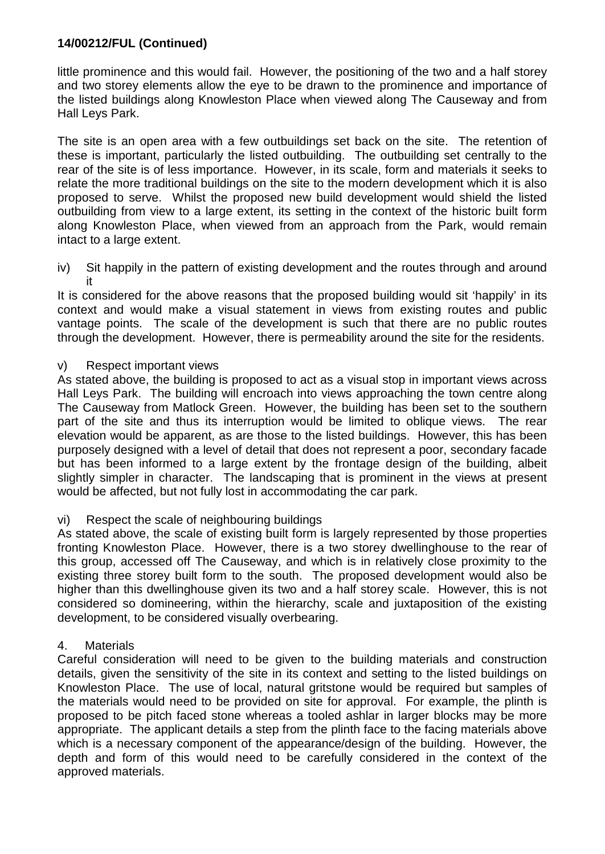little prominence and this would fail. However, the positioning of the two and a half storey and two storey elements allow the eye to be drawn to the prominence and importance of the listed buildings along Knowleston Place when viewed along The Causeway and from Hall Leys Park.

The site is an open area with a few outbuildings set back on the site. The retention of these is important, particularly the listed outbuilding. The outbuilding set centrally to the rear of the site is of less importance. However, in its scale, form and materials it seeks to relate the more traditional buildings on the site to the modern development which it is also proposed to serve. Whilst the proposed new build development would shield the listed outbuilding from view to a large extent, its setting in the context of the historic built form along Knowleston Place, when viewed from an approach from the Park, would remain intact to a large extent.

iv) Sit happily in the pattern of existing development and the routes through and around it

It is considered for the above reasons that the proposed building would sit 'happily' in its context and would make a visual statement in views from existing routes and public vantage points. The scale of the development is such that there are no public routes through the development. However, there is permeability around the site for the residents.

#### v) Respect important views

As stated above, the building is proposed to act as a visual stop in important views across Hall Leys Park. The building will encroach into views approaching the town centre along The Causeway from Matlock Green. However, the building has been set to the southern part of the site and thus its interruption would be limited to oblique views. The rear elevation would be apparent, as are those to the listed buildings. However, this has been purposely designed with a level of detail that does not represent a poor, secondary facade but has been informed to a large extent by the frontage design of the building, albeit slightly simpler in character. The landscaping that is prominent in the views at present would be affected, but not fully lost in accommodating the car park.

#### vi) Respect the scale of neighbouring buildings

As stated above, the scale of existing built form is largely represented by those properties fronting Knowleston Place. However, there is a two storey dwellinghouse to the rear of this group, accessed off The Causeway, and which is in relatively close proximity to the existing three storey built form to the south. The proposed development would also be higher than this dwellinghouse given its two and a half storey scale. However, this is not considered so domineering, within the hierarchy, scale and juxtaposition of the existing development, to be considered visually overbearing.

#### 4. Materials

Careful consideration will need to be given to the building materials and construction details, given the sensitivity of the site in its context and setting to the listed buildings on Knowleston Place. The use of local, natural gritstone would be required but samples of the materials would need to be provided on site for approval. For example, the plinth is proposed to be pitch faced stone whereas a tooled ashlar in larger blocks may be more appropriate. The applicant details a step from the plinth face to the facing materials above which is a necessary component of the appearance/design of the building. However, the depth and form of this would need to be carefully considered in the context of the approved materials.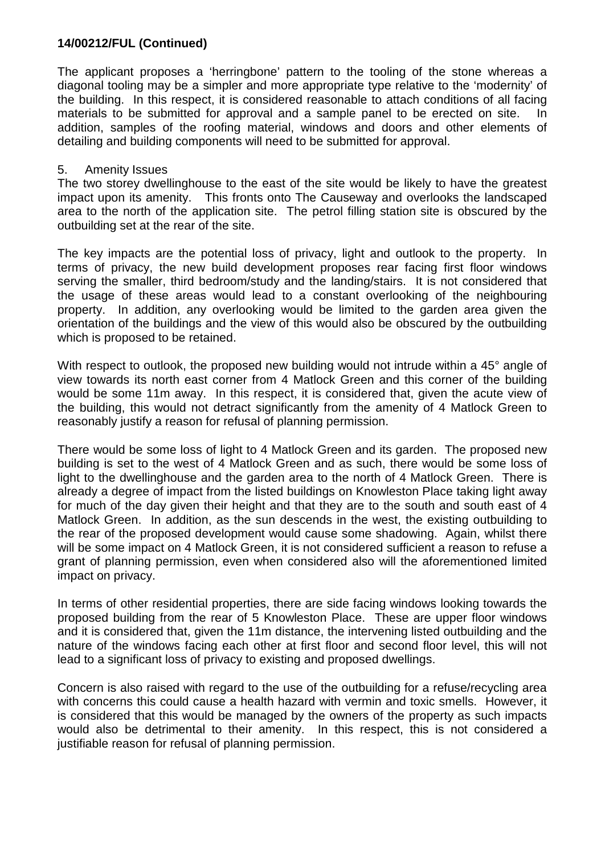The applicant proposes a 'herringbone' pattern to the tooling of the stone whereas a diagonal tooling may be a simpler and more appropriate type relative to the 'modernity' of the building. In this respect, it is considered reasonable to attach conditions of all facing materials to be submitted for approval and a sample panel to be erected on site. In addition, samples of the roofing material, windows and doors and other elements of detailing and building components will need to be submitted for approval.

#### 5. Amenity Issues

The two storey dwellinghouse to the east of the site would be likely to have the greatest impact upon its amenity. This fronts onto The Causeway and overlooks the landscaped area to the north of the application site. The petrol filling station site is obscured by the outbuilding set at the rear of the site.

The key impacts are the potential loss of privacy, light and outlook to the property. In terms of privacy, the new build development proposes rear facing first floor windows serving the smaller, third bedroom/study and the landing/stairs. It is not considered that the usage of these areas would lead to a constant overlooking of the neighbouring property. In addition, any overlooking would be limited to the garden area given the orientation of the buildings and the view of this would also be obscured by the outbuilding which is proposed to be retained.

With respect to outlook, the proposed new building would not intrude within a 45° angle of view towards its north east corner from 4 Matlock Green and this corner of the building would be some 11m away. In this respect, it is considered that, given the acute view of the building, this would not detract significantly from the amenity of 4 Matlock Green to reasonably justify a reason for refusal of planning permission.

There would be some loss of light to 4 Matlock Green and its garden. The proposed new building is set to the west of 4 Matlock Green and as such, there would be some loss of light to the dwellinghouse and the garden area to the north of 4 Matlock Green. There is already a degree of impact from the listed buildings on Knowleston Place taking light away for much of the day given their height and that they are to the south and south east of 4 Matlock Green. In addition, as the sun descends in the west, the existing outbuilding to the rear of the proposed development would cause some shadowing. Again, whilst there will be some impact on 4 Matlock Green, it is not considered sufficient a reason to refuse a grant of planning permission, even when considered also will the aforementioned limited impact on privacy.

In terms of other residential properties, there are side facing windows looking towards the proposed building from the rear of 5 Knowleston Place. These are upper floor windows and it is considered that, given the 11m distance, the intervening listed outbuilding and the nature of the windows facing each other at first floor and second floor level, this will not lead to a significant loss of privacy to existing and proposed dwellings.

Concern is also raised with regard to the use of the outbuilding for a refuse/recycling area with concerns this could cause a health hazard with vermin and toxic smells. However, it is considered that this would be managed by the owners of the property as such impacts would also be detrimental to their amenity. In this respect, this is not considered a justifiable reason for refusal of planning permission.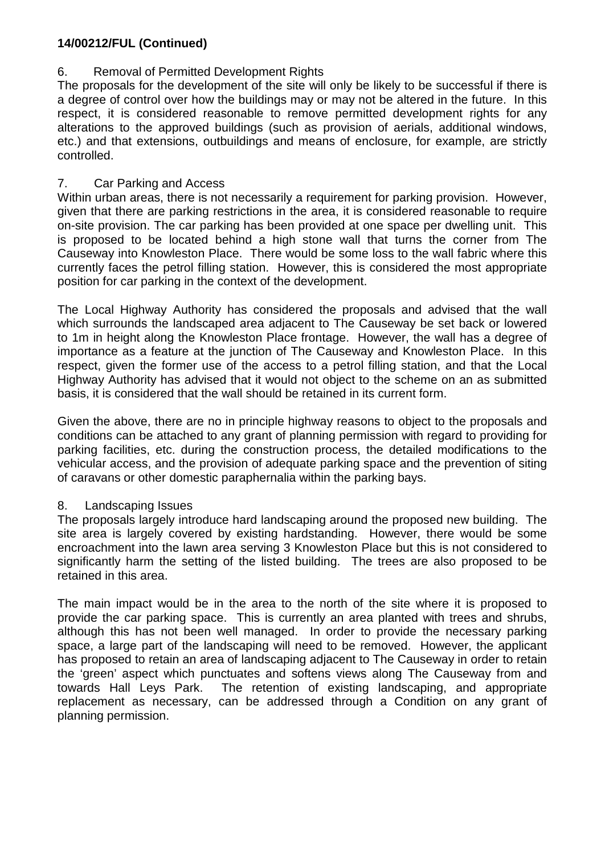## 6. Removal of Permitted Development Rights

The proposals for the development of the site will only be likely to be successful if there is a degree of control over how the buildings may or may not be altered in the future. In this respect, it is considered reasonable to remove permitted development rights for any alterations to the approved buildings (such as provision of aerials, additional windows, etc.) and that extensions, outbuildings and means of enclosure, for example, are strictly controlled.

## 7. Car Parking and Access

Within urban areas, there is not necessarily a requirement for parking provision. However, given that there are parking restrictions in the area, it is considered reasonable to require on-site provision. The car parking has been provided at one space per dwelling unit. This is proposed to be located behind a high stone wall that turns the corner from The Causeway into Knowleston Place. There would be some loss to the wall fabric where this currently faces the petrol filling station. However, this is considered the most appropriate position for car parking in the context of the development.

The Local Highway Authority has considered the proposals and advised that the wall which surrounds the landscaped area adjacent to The Causeway be set back or lowered to 1m in height along the Knowleston Place frontage. However, the wall has a degree of importance as a feature at the junction of The Causeway and Knowleston Place. In this respect, given the former use of the access to a petrol filling station, and that the Local Highway Authority has advised that it would not object to the scheme on an as submitted basis, it is considered that the wall should be retained in its current form.

Given the above, there are no in principle highway reasons to object to the proposals and conditions can be attached to any grant of planning permission with regard to providing for parking facilities, etc. during the construction process, the detailed modifications to the vehicular access, and the provision of adequate parking space and the prevention of siting of caravans or other domestic paraphernalia within the parking bays.

## 8. Landscaping Issues

The proposals largely introduce hard landscaping around the proposed new building. The site area is largely covered by existing hardstanding. However, there would be some encroachment into the lawn area serving 3 Knowleston Place but this is not considered to significantly harm the setting of the listed building. The trees are also proposed to be retained in this area.

The main impact would be in the area to the north of the site where it is proposed to provide the car parking space. This is currently an area planted with trees and shrubs, although this has not been well managed. In order to provide the necessary parking space, a large part of the landscaping will need to be removed. However, the applicant has proposed to retain an area of landscaping adjacent to The Causeway in order to retain the 'green' aspect which punctuates and softens views along The Causeway from and towards Hall Leys Park. The retention of existing landscaping, and appropriate replacement as necessary, can be addressed through a Condition on any grant of planning permission.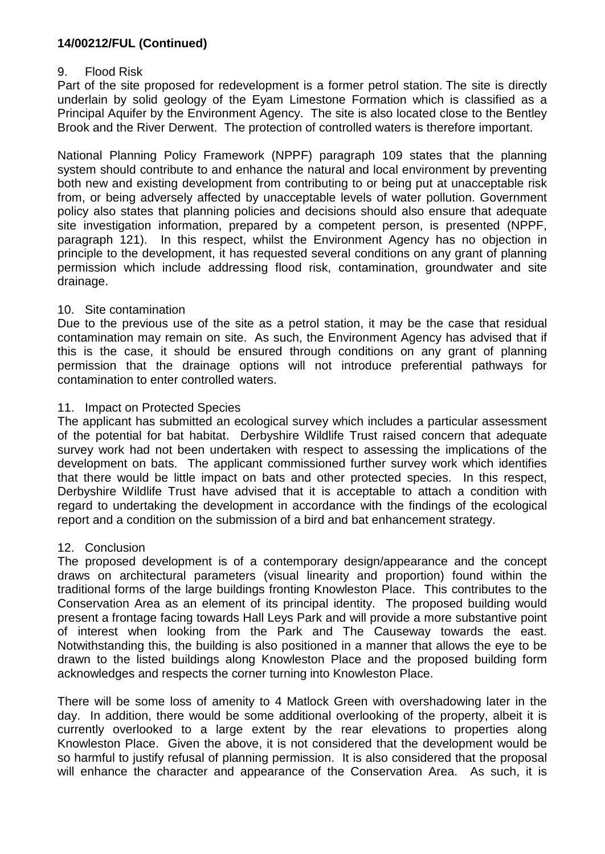## 9. Flood Risk

Part of the site proposed for redevelopment is a former petrol station. The site is directly underlain by solid geology of the Eyam Limestone Formation which is classified as a Principal Aquifer by the Environment Agency. The site is also located close to the Bentley Brook and the River Derwent. The protection of controlled waters is therefore important.

National Planning Policy Framework (NPPF) paragraph 109 states that the planning system should contribute to and enhance the natural and local environment by preventing both new and existing development from contributing to or being put at unacceptable risk from, or being adversely affected by unacceptable levels of water pollution. Government policy also states that planning policies and decisions should also ensure that adequate site investigation information, prepared by a competent person, is presented (NPPF, paragraph 121). In this respect, whilst the Environment Agency has no objection in principle to the development, it has requested several conditions on any grant of planning permission which include addressing flood risk, contamination, groundwater and site drainage.

## 10. Site contamination

Due to the previous use of the site as a petrol station, it may be the case that residual contamination may remain on site. As such, the Environment Agency has advised that if this is the case, it should be ensured through conditions on any grant of planning permission that the drainage options will not introduce preferential pathways for contamination to enter controlled waters.

## 11. Impact on Protected Species

The applicant has submitted an ecological survey which includes a particular assessment of the potential for bat habitat. Derbyshire Wildlife Trust raised concern that adequate survey work had not been undertaken with respect to assessing the implications of the development on bats. The applicant commissioned further survey work which identifies that there would be little impact on bats and other protected species. In this respect, Derbyshire Wildlife Trust have advised that it is acceptable to attach a condition with regard to undertaking the development in accordance with the findings of the ecological report and a condition on the submission of a bird and bat enhancement strategy.

## 12. Conclusion

The proposed development is of a contemporary design/appearance and the concept draws on architectural parameters (visual linearity and proportion) found within the traditional forms of the large buildings fronting Knowleston Place. This contributes to the Conservation Area as an element of its principal identity. The proposed building would present a frontage facing towards Hall Leys Park and will provide a more substantive point of interest when looking from the Park and The Causeway towards the east. Notwithstanding this, the building is also positioned in a manner that allows the eye to be drawn to the listed buildings along Knowleston Place and the proposed building form acknowledges and respects the corner turning into Knowleston Place.

There will be some loss of amenity to 4 Matlock Green with overshadowing later in the day. In addition, there would be some additional overlooking of the property, albeit it is currently overlooked to a large extent by the rear elevations to properties along Knowleston Place. Given the above, it is not considered that the development would be so harmful to justify refusal of planning permission. It is also considered that the proposal will enhance the character and appearance of the Conservation Area. As such, it is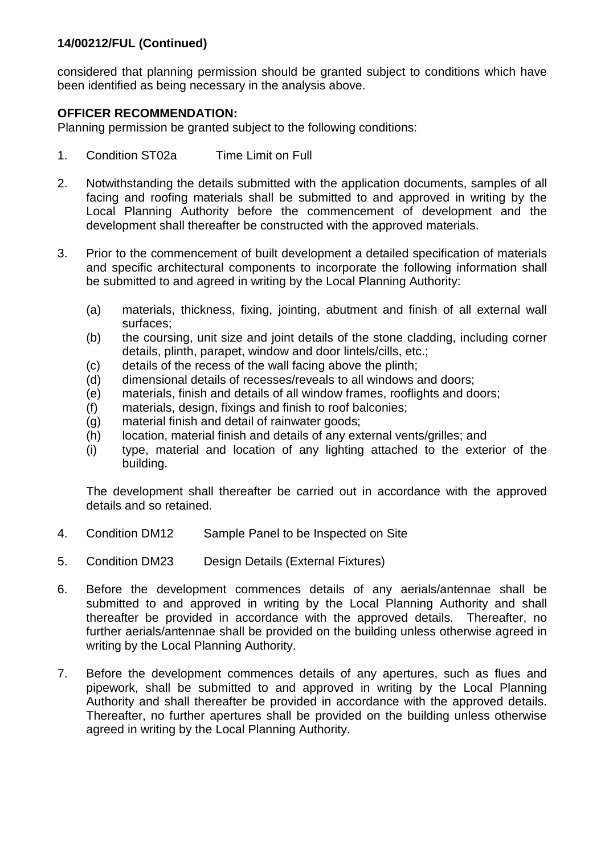considered that planning permission should be granted subject to conditions which have been identified as being necessary in the analysis above.

## **OFFICER RECOMMENDATION:**

Planning permission be granted subject to the following conditions:

- 1. Condition ST02a Time Limit on Full
- 2. Notwithstanding the details submitted with the application documents, samples of all facing and roofing materials shall be submitted to and approved in writing by the Local Planning Authority before the commencement of development and the development shall thereafter be constructed with the approved materials.
- 3. Prior to the commencement of built development a detailed specification of materials and specific architectural components to incorporate the following information shall be submitted to and agreed in writing by the Local Planning Authority:
	- (a) materials, thickness, fixing, jointing, abutment and finish of all external wall surfaces;
	- (b) the coursing, unit size and joint details of the stone cladding, including corner details, plinth, parapet, window and door lintels/cills, etc.;
	- (c) details of the recess of the wall facing above the plinth;
	- (d) dimensional details of recesses/reveals to all windows and doors;
	- (e) materials, finish and details of all window frames, rooflights and doors;
	- (f) materials, design, fixings and finish to roof balconies;
	- (g) material finish and detail of rainwater goods;
	- (h) location, material finish and details of any external vents/grilles; and
	- (i) type, material and location of any lighting attached to the exterior of the building.

The development shall thereafter be carried out in accordance with the approved details and so retained.

- 4. Condition DM12 Sample Panel to be Inspected on Site
- 5. Condition DM23 Design Details (External Fixtures)
- 6. Before the development commences details of any aerials/antennae shall be submitted to and approved in writing by the Local Planning Authority and shall thereafter be provided in accordance with the approved details. Thereafter, no further aerials/antennae shall be provided on the building unless otherwise agreed in writing by the Local Planning Authority.
- 7. Before the development commences details of any apertures, such as flues and pipework, shall be submitted to and approved in writing by the Local Planning Authority and shall thereafter be provided in accordance with the approved details. Thereafter, no further apertures shall be provided on the building unless otherwise agreed in writing by the Local Planning Authority.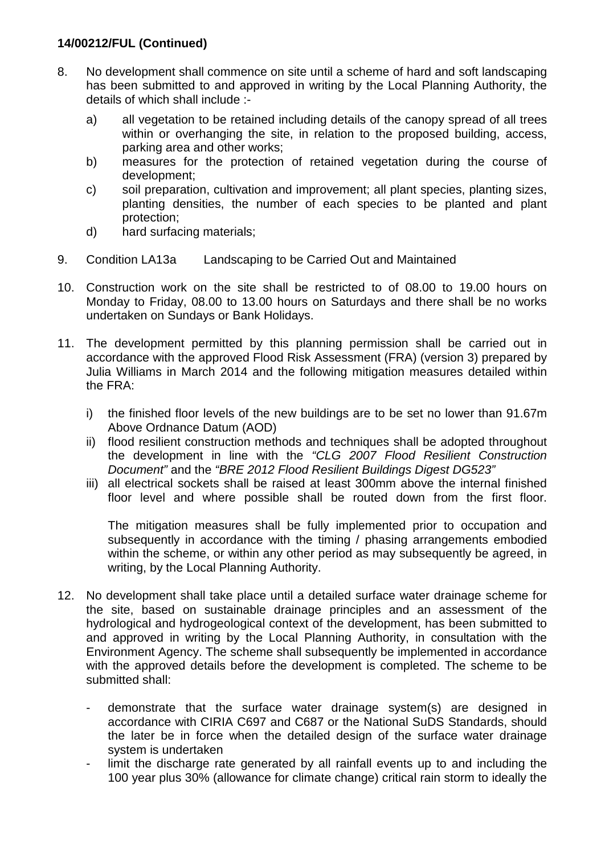- 8. No development shall commence on site until a scheme of hard and soft landscaping has been submitted to and approved in writing by the Local Planning Authority, the details of which shall include :
	- a) all vegetation to be retained including details of the canopy spread of all trees within or overhanging the site, in relation to the proposed building, access, parking area and other works;
	- b) measures for the protection of retained vegetation during the course of development;
	- c) soil preparation, cultivation and improvement; all plant species, planting sizes, planting densities, the number of each species to be planted and plant protection;
	- d) hard surfacing materials;
- 9. Condition LA13a Landscaping to be Carried Out and Maintained
- 10. Construction work on the site shall be restricted to of 08.00 to 19.00 hours on Monday to Friday, 08.00 to 13.00 hours on Saturdays and there shall be no works undertaken on Sundays or Bank Holidays.
- 11. The development permitted by this planning permission shall be carried out in accordance with the approved Flood Risk Assessment (FRA) (version 3) prepared by Julia Williams in March 2014 and the following mitigation measures detailed within the FRA:
	- i) the finished floor levels of the new buildings are to be set no lower than 91.67m Above Ordnance Datum (AOD)
	- ii) flood resilient construction methods and techniques shall be adopted throughout the development in line with the *"CLG 2007 Flood Resilient Construction Document"* and the *"BRE 2012 Flood Resilient Buildings Digest DG523"*
	- iii) all electrical sockets shall be raised at least 300mm above the internal finished floor level and where possible shall be routed down from the first floor.

The mitigation measures shall be fully implemented prior to occupation and subsequently in accordance with the timing / phasing arrangements embodied within the scheme, or within any other period as may subsequently be agreed, in writing, by the Local Planning Authority.

- 12. No development shall take place until a detailed surface water drainage scheme for the site, based on sustainable drainage principles and an assessment of the hydrological and hydrogeological context of the development, has been submitted to and approved in writing by the Local Planning Authority, in consultation with the Environment Agency. The scheme shall subsequently be implemented in accordance with the approved details before the development is completed. The scheme to be submitted shall:
	- demonstrate that the surface water drainage system(s) are designed in accordance with CIRIA C697 and C687 or the National SuDS Standards, should the later be in force when the detailed design of the surface water drainage system is undertaken
	- limit the discharge rate generated by all rainfall events up to and including the 100 year plus 30% (allowance for climate change) critical rain storm to ideally the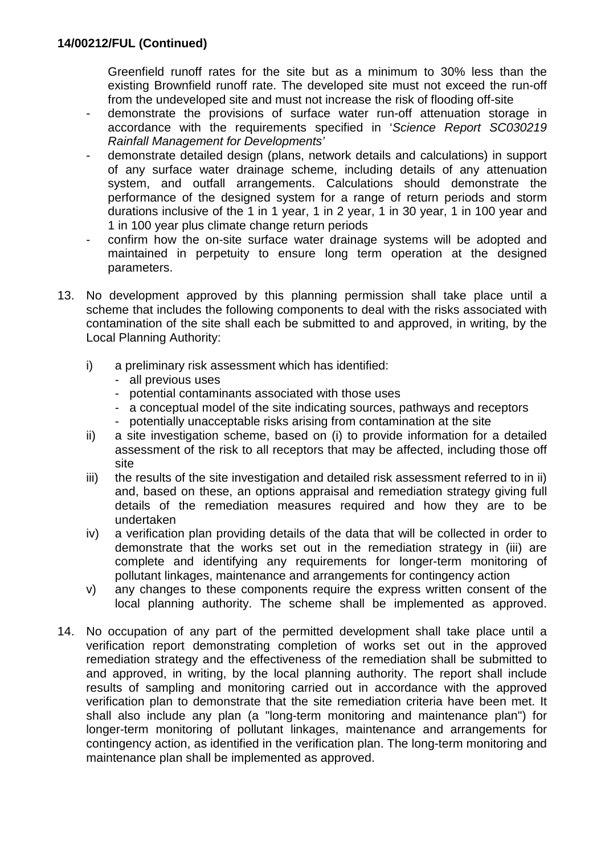Greenfield runoff rates for the site but as a minimum to 30% less than the existing Brownfield runoff rate. The developed site must not exceed the run-off from the undeveloped site and must not increase the risk of flooding off-site

- demonstrate the provisions of surface water run-off attenuation storage in accordance with the requirements specified in '*Science Report SC030219 Rainfall Management for Developments'*
- demonstrate detailed design (plans, network details and calculations) in support of any surface water drainage scheme, including details of any attenuation system, and outfall arrangements. Calculations should demonstrate the performance of the designed system for a range of return periods and storm durations inclusive of the 1 in 1 year, 1 in 2 year, 1 in 30 year, 1 in 100 year and 1 in 100 year plus climate change return periods
- confirm how the on-site surface water drainage systems will be adopted and maintained in perpetuity to ensure long term operation at the designed parameters.
- 13. No development approved by this planning permission shall take place until a scheme that includes the following components to deal with the risks associated with contamination of the site shall each be submitted to and approved, in writing, by the Local Planning Authority:
	- i) a preliminary risk assessment which has identified:
		- all previous uses
		- potential contaminants associated with those uses
		- a conceptual model of the site indicating sources, pathways and receptors
		- potentially unacceptable risks arising from contamination at the site
	- ii) a site investigation scheme, based on (i) to provide information for a detailed assessment of the risk to all receptors that may be affected, including those off site
	- iii) the results of the site investigation and detailed risk assessment referred to in ii) and, based on these, an options appraisal and remediation strategy giving full details of the remediation measures required and how they are to be undertaken
	- iv) a verification plan providing details of the data that will be collected in order to demonstrate that the works set out in the remediation strategy in (iii) are complete and identifying any requirements for longer-term monitoring of pollutant linkages, maintenance and arrangements for contingency action
	- v) any changes to these components require the express written consent of the local planning authority. The scheme shall be implemented as approved.
- 14. No occupation of any part of the permitted development shall take place until a verification report demonstrating completion of works set out in the approved remediation strategy and the effectiveness of the remediation shall be submitted to and approved, in writing, by the local planning authority. The report shall include results of sampling and monitoring carried out in accordance with the approved verification plan to demonstrate that the site remediation criteria have been met. It shall also include any plan (a "long-term monitoring and maintenance plan") for longer-term monitoring of pollutant linkages, maintenance and arrangements for contingency action, as identified in the verification plan. The long-term monitoring and maintenance plan shall be implemented as approved.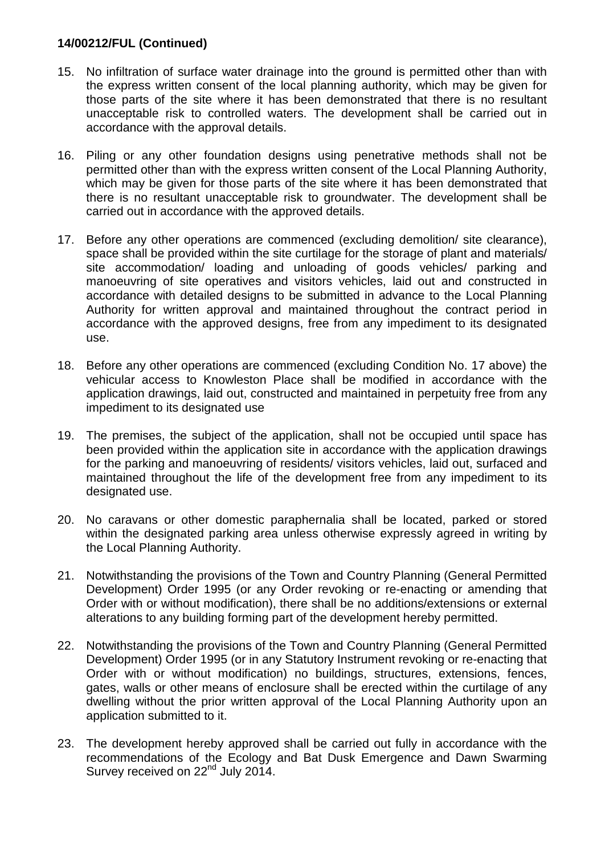- 15. No infiltration of surface water drainage into the ground is permitted other than with the express written consent of the local planning authority, which may be given for those parts of the site where it has been demonstrated that there is no resultant unacceptable risk to controlled waters. The development shall be carried out in accordance with the approval details.
- 16. Piling or any other foundation designs using penetrative methods shall not be permitted other than with the express written consent of the Local Planning Authority, which may be given for those parts of the site where it has been demonstrated that there is no resultant unacceptable risk to groundwater. The development shall be carried out in accordance with the approved details.
- 17. Before any other operations are commenced (excluding demolition/ site clearance), space shall be provided within the site curtilage for the storage of plant and materials/ site accommodation/ loading and unloading of goods vehicles/ parking and manoeuvring of site operatives and visitors vehicles, laid out and constructed in accordance with detailed designs to be submitted in advance to the Local Planning Authority for written approval and maintained throughout the contract period in accordance with the approved designs, free from any impediment to its designated use.
- 18. Before any other operations are commenced (excluding Condition No. 17 above) the vehicular access to Knowleston Place shall be modified in accordance with the application drawings, laid out, constructed and maintained in perpetuity free from any impediment to its designated use
- 19. The premises, the subject of the application, shall not be occupied until space has been provided within the application site in accordance with the application drawings for the parking and manoeuvring of residents/ visitors vehicles, laid out, surfaced and maintained throughout the life of the development free from any impediment to its designated use.
- 20. No caravans or other domestic paraphernalia shall be located, parked or stored within the designated parking area unless otherwise expressly agreed in writing by the Local Planning Authority.
- 21. Notwithstanding the provisions of the Town and Country Planning (General Permitted Development) Order 1995 (or any Order revoking or re-enacting or amending that Order with or without modification), there shall be no additions/extensions or external alterations to any building forming part of the development hereby permitted.
- 22. Notwithstanding the provisions of the Town and Country Planning (General Permitted Development) Order 1995 (or in any Statutory Instrument revoking or re-enacting that Order with or without modification) no buildings, structures, extensions, fences, gates, walls or other means of enclosure shall be erected within the curtilage of any dwelling without the prior written approval of the Local Planning Authority upon an application submitted to it.
- 23. The development hereby approved shall be carried out fully in accordance with the recommendations of the Ecology and Bat Dusk Emergence and Dawn Swarming Survey received on 22<sup>nd</sup> July 2014.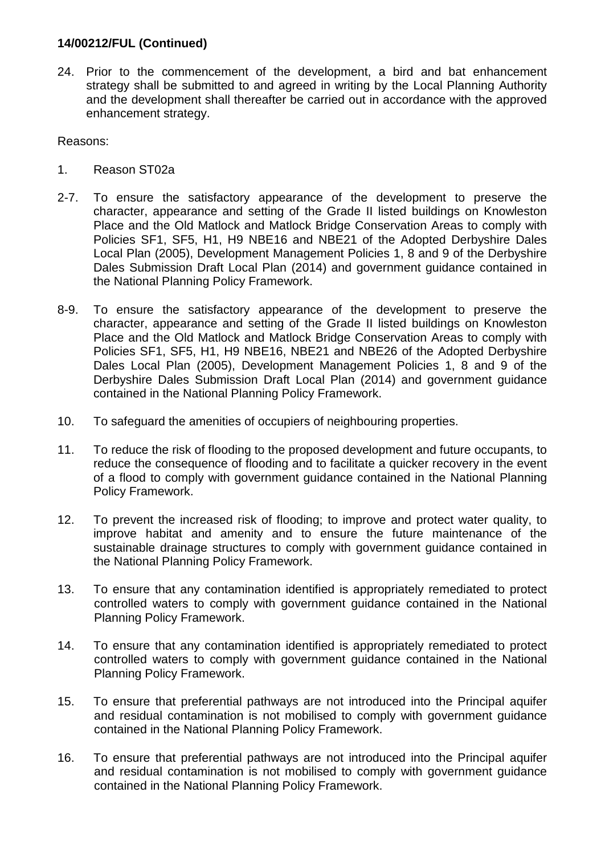24. Prior to the commencement of the development, a bird and bat enhancement strategy shall be submitted to and agreed in writing by the Local Planning Authority and the development shall thereafter be carried out in accordance with the approved enhancement strategy.

Reasons:

- 1. Reason ST02a
- 2-7. To ensure the satisfactory appearance of the development to preserve the character, appearance and setting of the Grade II listed buildings on Knowleston Place and the Old Matlock and Matlock Bridge Conservation Areas to comply with Policies SF1, SF5, H1, H9 NBE16 and NBE21 of the Adopted Derbyshire Dales Local Plan (2005), Development Management Policies 1, 8 and 9 of the Derbyshire Dales Submission Draft Local Plan (2014) and government guidance contained in the National Planning Policy Framework.
- 8-9. To ensure the satisfactory appearance of the development to preserve the character, appearance and setting of the Grade II listed buildings on Knowleston Place and the Old Matlock and Matlock Bridge Conservation Areas to comply with Policies SF1, SF5, H1, H9 NBE16, NBE21 and NBE26 of the Adopted Derbyshire Dales Local Plan (2005), Development Management Policies 1, 8 and 9 of the Derbyshire Dales Submission Draft Local Plan (2014) and government guidance contained in the National Planning Policy Framework.
- 10. To safeguard the amenities of occupiers of neighbouring properties.
- 11. To reduce the risk of flooding to the proposed development and future occupants, to reduce the consequence of flooding and to facilitate a quicker recovery in the event of a flood to comply with government guidance contained in the National Planning Policy Framework.
- 12. To prevent the increased risk of flooding; to improve and protect water quality, to improve habitat and amenity and to ensure the future maintenance of the sustainable drainage structures to comply with government guidance contained in the National Planning Policy Framework.
- 13. To ensure that any contamination identified is appropriately remediated to protect controlled waters to comply with government guidance contained in the National Planning Policy Framework.
- 14. To ensure that any contamination identified is appropriately remediated to protect controlled waters to comply with government guidance contained in the National Planning Policy Framework.
- 15. To ensure that preferential pathways are not introduced into the Principal aquifer and residual contamination is not mobilised to comply with government guidance contained in the National Planning Policy Framework.
- 16. To ensure that preferential pathways are not introduced into the Principal aquifer and residual contamination is not mobilised to comply with government guidance contained in the National Planning Policy Framework.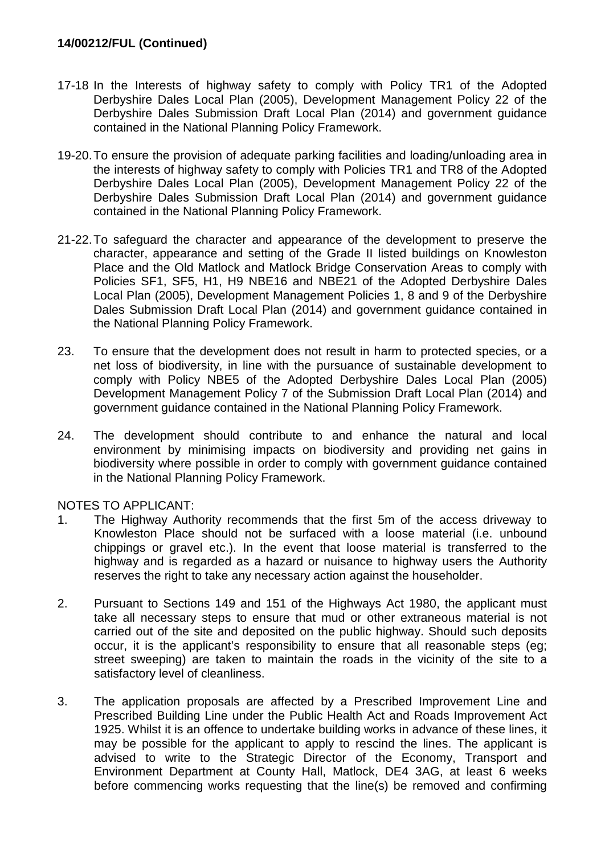- 17-18 In the Interests of highway safety to comply with Policy TR1 of the Adopted Derbyshire Dales Local Plan (2005), Development Management Policy 22 of the Derbyshire Dales Submission Draft Local Plan (2014) and government guidance contained in the National Planning Policy Framework.
- 19-20.To ensure the provision of adequate parking facilities and loading/unloading area in the interests of highway safety to comply with Policies TR1 and TR8 of the Adopted Derbyshire Dales Local Plan (2005), Development Management Policy 22 of the Derbyshire Dales Submission Draft Local Plan (2014) and government guidance contained in the National Planning Policy Framework.
- 21-22.To safeguard the character and appearance of the development to preserve the character, appearance and setting of the Grade II listed buildings on Knowleston Place and the Old Matlock and Matlock Bridge Conservation Areas to comply with Policies SF1, SF5, H1, H9 NBE16 and NBE21 of the Adopted Derbyshire Dales Local Plan (2005), Development Management Policies 1, 8 and 9 of the Derbyshire Dales Submission Draft Local Plan (2014) and government guidance contained in the National Planning Policy Framework.
- 23. To ensure that the development does not result in harm to protected species, or a net loss of biodiversity, in line with the pursuance of sustainable development to comply with Policy NBE5 of the Adopted Derbyshire Dales Local Plan (2005) Development Management Policy 7 of the Submission Draft Local Plan (2014) and government guidance contained in the National Planning Policy Framework.
- 24. The development should contribute to and enhance the natural and local environment by minimising impacts on biodiversity and providing net gains in biodiversity where possible in order to comply with government guidance contained in the National Planning Policy Framework.

#### NOTES TO APPLICANT:

- 1. The Highway Authority recommends that the first 5m of the access driveway to Knowleston Place should not be surfaced with a loose material (i.e. unbound chippings or gravel etc.). In the event that loose material is transferred to the highway and is regarded as a hazard or nuisance to highway users the Authority reserves the right to take any necessary action against the householder.
- 2. Pursuant to Sections 149 and 151 of the Highways Act 1980, the applicant must take all necessary steps to ensure that mud or other extraneous material is not carried out of the site and deposited on the public highway. Should such deposits occur, it is the applicant's responsibility to ensure that all reasonable steps (eg; street sweeping) are taken to maintain the roads in the vicinity of the site to a satisfactory level of cleanliness.
- 3. The application proposals are affected by a Prescribed Improvement Line and Prescribed Building Line under the Public Health Act and Roads Improvement Act 1925. Whilst it is an offence to undertake building works in advance of these lines, it may be possible for the applicant to apply to rescind the lines. The applicant is advised to write to the Strategic Director of the Economy, Transport and Environment Department at County Hall, Matlock, DE4 3AG, at least 6 weeks before commencing works requesting that the line(s) be removed and confirming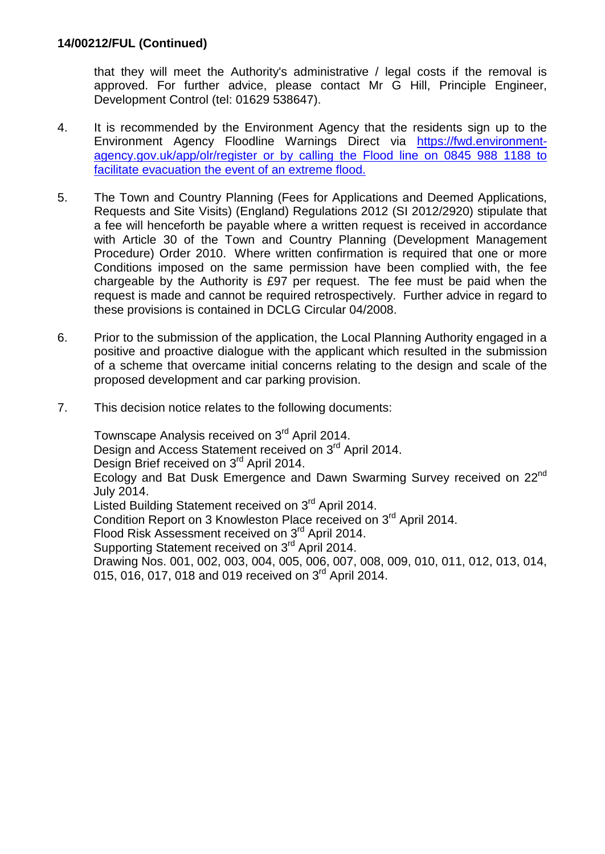that they will meet the Authority's administrative / legal costs if the removal is approved. For further advice, please contact Mr G Hill, Principle Engineer, Development Control (tel: 01629 538647).

- 4. It is recommended by the Environment Agency that the residents sign up to the Environment Agency Floodline Warnings Direct via [https://fwd.environment](https://fwd.environment-agency.gov.uk/app/olr/register)[agency.gov.uk/app/olr/register or by calling the Flood line on 0845 988 1188 to](https://fwd.environment-agency.gov.uk/app/olr/register)  [facilitate evacuation the event of an extreme flood.](https://fwd.environment-agency.gov.uk/app/olr/register)
- 5. The Town and Country Planning (Fees for Applications and Deemed Applications, Requests and Site Visits) (England) Regulations 2012 (SI 2012/2920) stipulate that a fee will henceforth be payable where a written request is received in accordance with Article 30 of the Town and Country Planning (Development Management Procedure) Order 2010. Where written confirmation is required that one or more Conditions imposed on the same permission have been complied with, the fee chargeable by the Authority is £97 per request. The fee must be paid when the request is made and cannot be required retrospectively. Further advice in regard to these provisions is contained in DCLG Circular 04/2008.
- 6. Prior to the submission of the application, the Local Planning Authority engaged in a positive and proactive dialogue with the applicant which resulted in the submission of a scheme that overcame initial concerns relating to the design and scale of the proposed development and car parking provision.
- 7. This decision notice relates to the following documents:

Townscape Analysis received on 3<sup>rd</sup> April 2014. Design and Access Statement received on 3<sup>rd</sup> April 2014. Design Brief received on 3<sup>rd</sup> April 2014. Ecology and Bat Dusk Emergence and Dawn Swarming Survey received on 22nd July 2014. Listed Building Statement received on 3<sup>rd</sup> April 2014. Condition Report on 3 Knowleston Place received on 3<sup>rd</sup> April 2014. Flood Risk Assessment received on 3<sup>rd</sup> April 2014. Supporting Statement received on 3<sup>rd</sup> April 2014. Drawing Nos. 001, 002, 003, 004, 005, 006, 007, 008, 009, 010, 011, 012, 013, 014, 015, 016, 017, 018 and 019 received on 3<sup>rd</sup> April 2014.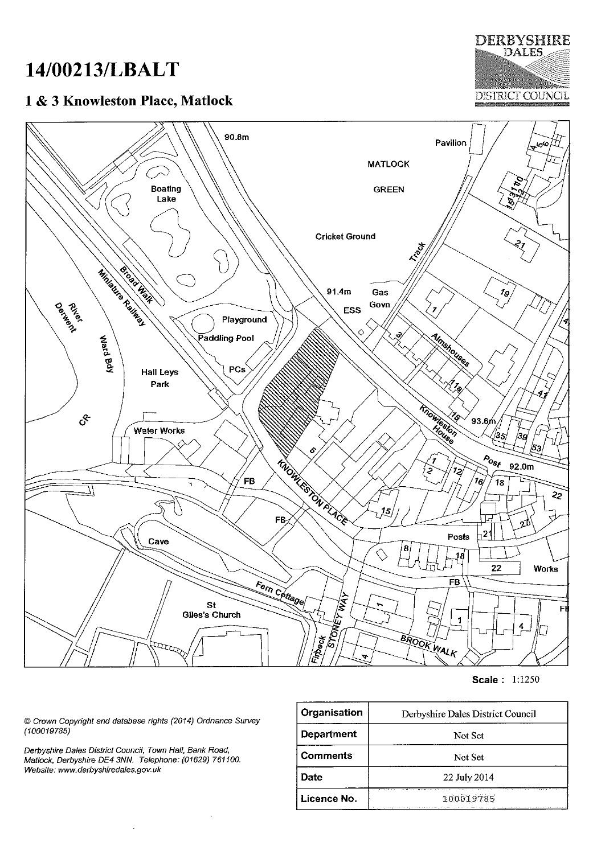## 14/00213/LBALT

## 1 & 3 Knowleston Place, Matlock

**DISTRICT COUNCIL** 

**DERBYSHIRE DALES** 



Scale: 1:1250

© Crown Copyright and database rights (2014) Ordnance Survey  $(100019785)$ 

Derbyshire Dales District Council, Town Hall, Bank Road,<br>Matlock, Derbyshire DE4 3NN. Telephone: (01629) 761100. Website: www.derbyshiredales.gov.uk

| Organisation      | Derbyshire Dales District Council |
|-------------------|-----------------------------------|
| <b>Department</b> | Not Set                           |
| <b>Comments</b>   | Not Set                           |
| <b>Date</b>       | 22 July 2014                      |
| Licence No.       | 100019785                         |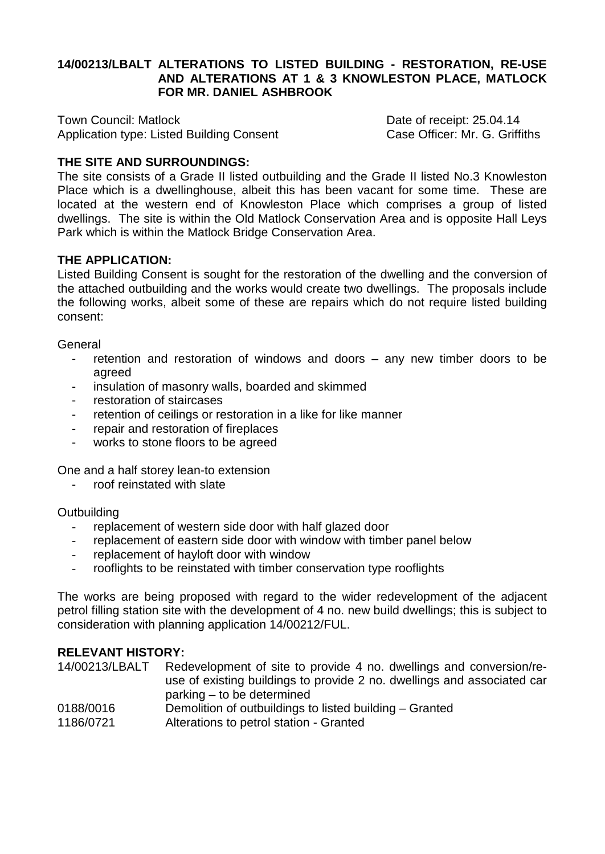## **14/00213/LBALT ALTERATIONS TO LISTED BUILDING - RESTORATION, RE-USE AND ALTERATIONS AT 1 & 3 KNOWLESTON PLACE, MATLOCK FOR MR. DANIEL ASHBROOK**

Town Council: Matlock<br>Application type: Listed Building Consent Case Officer: Mr. G. Griffiths Application type: Listed Building Consent

## **THE SITE AND SURROUNDINGS:**

The site consists of a Grade II listed outbuilding and the Grade II listed No.3 Knowleston Place which is a dwellinghouse, albeit this has been vacant for some time. These are located at the western end of Knowleston Place which comprises a group of listed dwellings. The site is within the Old Matlock Conservation Area and is opposite Hall Leys Park which is within the Matlock Bridge Conservation Area.

#### **THE APPLICATION:**

Listed Building Consent is sought for the restoration of the dwelling and the conversion of the attached outbuilding and the works would create two dwellings. The proposals include the following works, albeit some of these are repairs which do not require listed building consent:

General

- retention and restoration of windows and doors  $-$  any new timber doors to be agreed
- insulation of masonry walls, boarded and skimmed
- restoration of staircases
- retention of ceilings or restoration in a like for like manner
- repair and restoration of fireplaces
- works to stone floors to be agreed

One and a half storey lean-to extension

roof reinstated with slate

**Outbuilding** 

- replacement of western side door with half glazed door
- replacement of eastern side door with window with timber panel below
- replacement of hayloft door with window
- rooflights to be reinstated with timber conservation type rooflights

The works are being proposed with regard to the wider redevelopment of the adjacent petrol filling station site with the development of 4 no. new build dwellings; this is subject to consideration with planning application 14/00212/FUL.

#### **RELEVANT HISTORY:**

| 14/00213/LBALT | Redevelopment of site to provide 4 no. dwellings and conversion/re-<br>use of existing buildings to provide 2 no. dwellings and associated car |
|----------------|------------------------------------------------------------------------------------------------------------------------------------------------|
| 0188/0016      | parking – to be determined<br>Demolition of outbuildings to listed building – Granted                                                          |
| 1186/0721      | Alterations to petrol station - Granted                                                                                                        |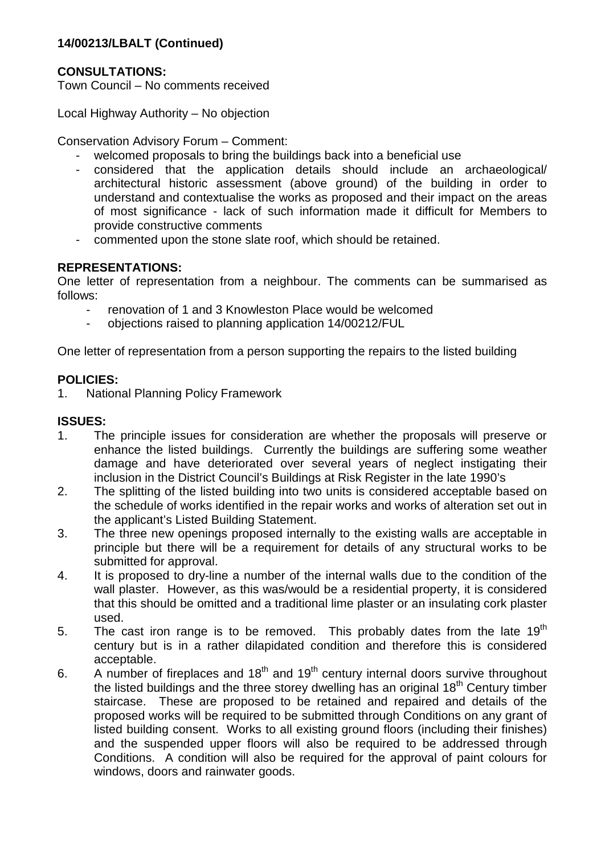## **14/00213/LBALT (Continued)**

## **CONSULTATIONS:**

Town Council – No comments received

Local Highway Authority – No objection

Conservation Advisory Forum – Comment:

- welcomed proposals to bring the buildings back into a beneficial use
- considered that the application details should include an archaeological/ architectural historic assessment (above ground) of the building in order to understand and contextualise the works as proposed and their impact on the areas of most significance - lack of such information made it difficult for Members to provide constructive comments
- commented upon the stone slate roof, which should be retained.

#### **REPRESENTATIONS:**

One letter of representation from a neighbour. The comments can be summarised as follows:

- renovation of 1 and 3 Knowleston Place would be welcomed
- objections raised to planning application 14/00212/FUL

One letter of representation from a person supporting the repairs to the listed building

#### **POLICIES:**

1. National Planning Policy Framework

## **ISSUES:**

- 1. The principle issues for consideration are whether the proposals will preserve or enhance the listed buildings. Currently the buildings are suffering some weather damage and have deteriorated over several years of neglect instigating their inclusion in the District Council's Buildings at Risk Register in the late 1990's
- 2. The splitting of the listed building into two units is considered acceptable based on the schedule of works identified in the repair works and works of alteration set out in the applicant's Listed Building Statement.
- 3. The three new openings proposed internally to the existing walls are acceptable in principle but there will be a requirement for details of any structural works to be submitted for approval.
- 4. It is proposed to dry-line a number of the internal walls due to the condition of the wall plaster. However, as this was/would be a residential property, it is considered that this should be omitted and a traditional lime plaster or an insulating cork plaster used.
- 5. The cast iron range is to be removed. This probably dates from the late  $19<sup>th</sup>$ century but is in a rather dilapidated condition and therefore this is considered acceptable.
- 6. A number of fireplaces and  $18<sup>th</sup>$  and  $19<sup>th</sup>$  century internal doors survive throughout the listed buildings and the three storey dwelling has an original  $18<sup>th</sup>$  Century timber staircase. These are proposed to be retained and repaired and details of the proposed works will be required to be submitted through Conditions on any grant of listed building consent. Works to all existing ground floors (including their finishes) and the suspended upper floors will also be required to be addressed through Conditions. A condition will also be required for the approval of paint colours for windows, doors and rainwater goods.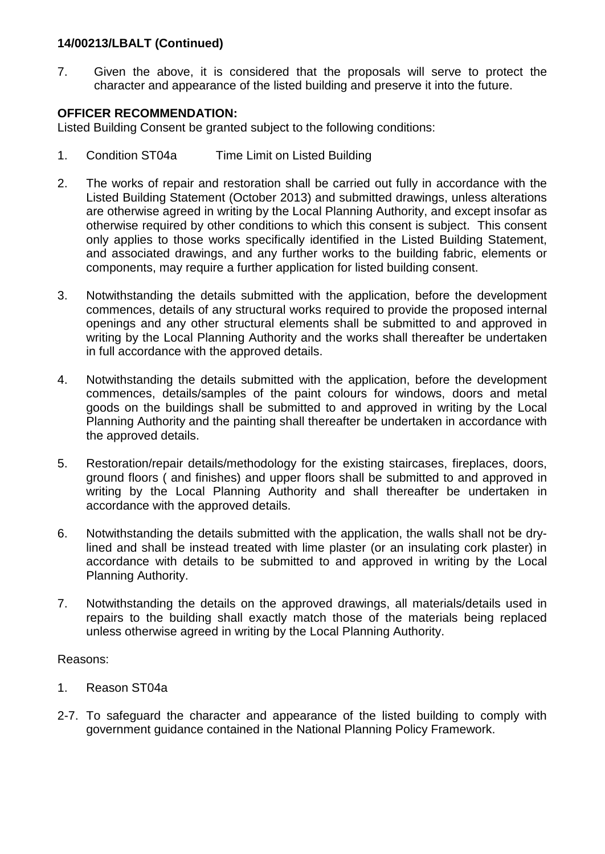## **14/00213/LBALT (Continued)**

7. Given the above, it is considered that the proposals will serve to protect the character and appearance of the listed building and preserve it into the future.

## **OFFICER RECOMMENDATION:**

Listed Building Consent be granted subject to the following conditions:

- 1. Condition ST04a Time Limit on Listed Building
- 2. The works of repair and restoration shall be carried out fully in accordance with the Listed Building Statement (October 2013) and submitted drawings, unless alterations are otherwise agreed in writing by the Local Planning Authority, and except insofar as otherwise required by other conditions to which this consent is subject. This consent only applies to those works specifically identified in the Listed Building Statement, and associated drawings, and any further works to the building fabric, elements or components, may require a further application for listed building consent.
- 3. Notwithstanding the details submitted with the application, before the development commences, details of any structural works required to provide the proposed internal openings and any other structural elements shall be submitted to and approved in writing by the Local Planning Authority and the works shall thereafter be undertaken in full accordance with the approved details.
- 4. Notwithstanding the details submitted with the application, before the development commences, details/samples of the paint colours for windows, doors and metal goods on the buildings shall be submitted to and approved in writing by the Local Planning Authority and the painting shall thereafter be undertaken in accordance with the approved details.
- 5. Restoration/repair details/methodology for the existing staircases, fireplaces, doors, ground floors ( and finishes) and upper floors shall be submitted to and approved in writing by the Local Planning Authority and shall thereafter be undertaken in accordance with the approved details.
- 6. Notwithstanding the details submitted with the application, the walls shall not be drylined and shall be instead treated with lime plaster (or an insulating cork plaster) in accordance with details to be submitted to and approved in writing by the Local Planning Authority.
- 7. Notwithstanding the details on the approved drawings, all materials/details used in repairs to the building shall exactly match those of the materials being replaced unless otherwise agreed in writing by the Local Planning Authority.

#### Reasons:

- 1. Reason ST04a
- 2-7. To safeguard the character and appearance of the listed building to comply with government guidance contained in the National Planning Policy Framework.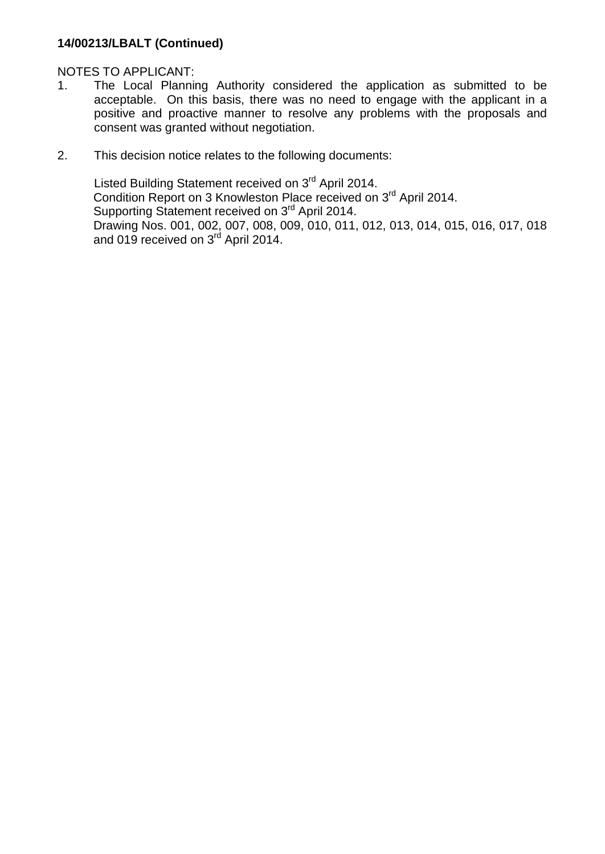## **14/00213/LBALT (Continued)**

## NOTES TO APPLICANT:

- 1. The Local Planning Authority considered the application as submitted to be acceptable. On this basis, there was no need to engage with the applicant in a positive and proactive manner to resolve any problems with the proposals and consent was granted without negotiation.
- 2. This decision notice relates to the following documents:

Listed Building Statement received on 3<sup>rd</sup> April 2014. Condition Report on 3 Knowleston Place received on 3<sup>rd</sup> April 2014. Supporting Statement received on 3<sup>rd</sup> April 2014. Drawing Nos. 001, 002, 007, 008, 009, 010, 011, 012, 013, 014, 015, 016, 017, 018 and 019 received on 3<sup>rd</sup> April 2014.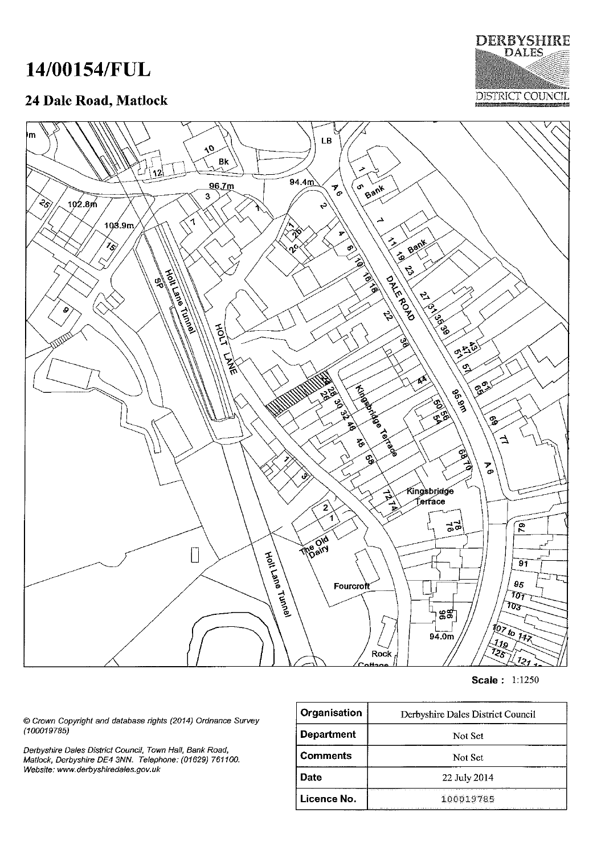# 14/00154/FUL

## 24 Dale Road, Matlock





**Scale: 1:1250** 

© Crown Copyright and database rights (2014) Ordnance Survey  $(100019785)$ 

Derbyshire Dales District Council, Town Hall, Bank Road,<br>Matlock, Derbyshire DE4 3NN. Telephone: (01629) 761100. Website: www.derbyshiredales.gov.uk

| Organisation      | Derbyshire Dales District Council |
|-------------------|-----------------------------------|
| <b>Department</b> | Not Set                           |
| <b>Comments</b>   | Not Set                           |
| Date              | 22 July 2014                      |
| Licence No.       | 100019785                         |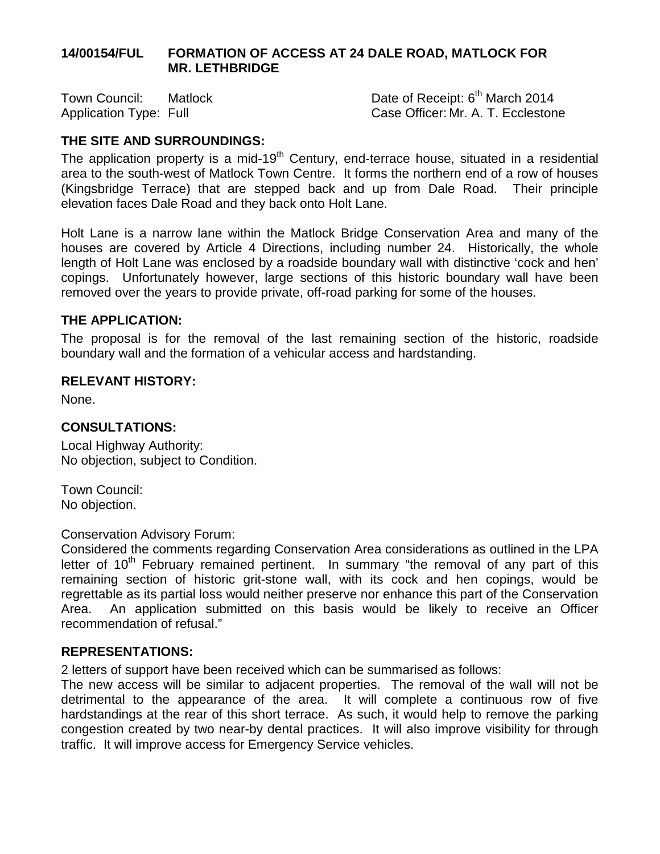#### **14/00154/FUL FORMATION OF ACCESS AT 24 DALE ROAD, MATLOCK FOR MR. LETHBRIDGE**

Town Council: Matlock Date of Receipt: 6<sup>th</sup> March 2014 Application Type: Full **Case Officer: Mr. A. T. Ecclestone** 

## **THE SITE AND SURROUNDINGS:**

The application property is a mid-19<sup>th</sup> Century, end-terrace house, situated in a residential area to the south-west of Matlock Town Centre. It forms the northern end of a row of houses (Kingsbridge Terrace) that are stepped back and up from Dale Road. Their principle elevation faces Dale Road and they back onto Holt Lane.

Holt Lane is a narrow lane within the Matlock Bridge Conservation Area and many of the houses are covered by Article 4 Directions, including number 24. Historically, the whole length of Holt Lane was enclosed by a roadside boundary wall with distinctive 'cock and hen' copings. Unfortunately however, large sections of this historic boundary wall have been removed over the years to provide private, off-road parking for some of the houses.

#### **THE APPLICATION:**

The proposal is for the removal of the last remaining section of the historic, roadside boundary wall and the formation of a vehicular access and hardstanding.

## **RELEVANT HISTORY:**

None.

#### **CONSULTATIONS:**

Local Highway Authority: No objection, subject to Condition.

Town Council: No objection.

#### Conservation Advisory Forum:

Considered the comments regarding Conservation Area considerations as outlined in the LPA letter of  $10<sup>th</sup>$  February remained pertinent. In summary "the removal of any part of this remaining section of historic grit-stone wall, with its cock and hen copings, would be regrettable as its partial loss would neither preserve nor enhance this part of the Conservation Area. An application submitted on this basis would be likely to receive an Officer recommendation of refusal."

#### **REPRESENTATIONS:**

2 letters of support have been received which can be summarised as follows:

The new access will be similar to adjacent properties. The removal of the wall will not be detrimental to the appearance of the area. It will complete a continuous row of five hardstandings at the rear of this short terrace. As such, it would help to remove the parking congestion created by two near-by dental practices. It will also improve visibility for through traffic. It will improve access for Emergency Service vehicles.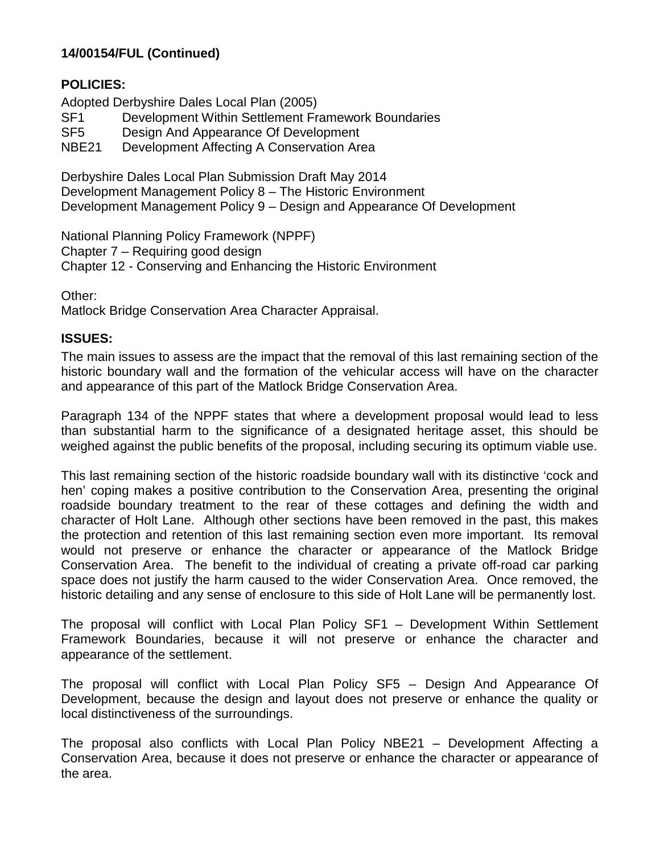#### **POLICIES:**

Adopted Derbyshire Dales Local Plan (2005)

- SF1 Development Within Settlement Framework Boundaries
- SF5 Design And Appearance Of Development
- NBE21 Development Affecting A Conservation Area

Derbyshire Dales Local Plan Submission Draft May 2014 Development Management Policy 8 – The Historic Environment Development Management Policy 9 – Design and Appearance Of Development

National Planning Policy Framework (NPPF) Chapter 7 – Requiring good design Chapter 12 - Conserving and Enhancing the Historic Environment

Other:

Matlock Bridge Conservation Area Character Appraisal.

#### **ISSUES:**

The main issues to assess are the impact that the removal of this last remaining section of the historic boundary wall and the formation of the vehicular access will have on the character and appearance of this part of the Matlock Bridge Conservation Area.

Paragraph 134 of the NPPF states that where a development proposal would lead to less than substantial harm to the significance of a designated heritage asset, this should be weighed against the public benefits of the proposal, including securing its optimum viable use.

This last remaining section of the historic roadside boundary wall with its distinctive 'cock and hen' coping makes a positive contribution to the Conservation Area, presenting the original roadside boundary treatment to the rear of these cottages and defining the width and character of Holt Lane. Although other sections have been removed in the past, this makes the protection and retention of this last remaining section even more important. Its removal would not preserve or enhance the character or appearance of the Matlock Bridge Conservation Area. The benefit to the individual of creating a private off-road car parking space does not justify the harm caused to the wider Conservation Area. Once removed, the historic detailing and any sense of enclosure to this side of Holt Lane will be permanently lost.

The proposal will conflict with Local Plan Policy SF1 – Development Within Settlement Framework Boundaries, because it will not preserve or enhance the character and appearance of the settlement.

The proposal will conflict with Local Plan Policy SF5 – Design And Appearance Of Development, because the design and layout does not preserve or enhance the quality or local distinctiveness of the surroundings.

The proposal also conflicts with Local Plan Policy NBE21 – Development Affecting a Conservation Area, because it does not preserve or enhance the character or appearance of the area.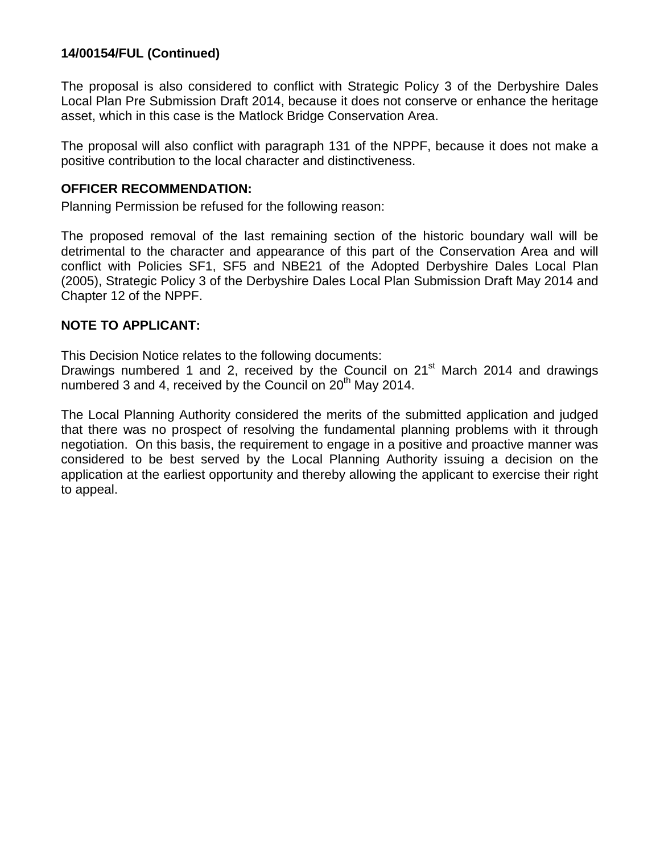The proposal is also considered to conflict with Strategic Policy 3 of the Derbyshire Dales Local Plan Pre Submission Draft 2014, because it does not conserve or enhance the heritage asset, which in this case is the Matlock Bridge Conservation Area.

The proposal will also conflict with paragraph 131 of the NPPF, because it does not make a positive contribution to the local character and distinctiveness.

#### **OFFICER RECOMMENDATION:**

Planning Permission be refused for the following reason:

The proposed removal of the last remaining section of the historic boundary wall will be detrimental to the character and appearance of this part of the Conservation Area and will conflict with Policies SF1, SF5 and NBE21 of the Adopted Derbyshire Dales Local Plan (2005), Strategic Policy 3 of the Derbyshire Dales Local Plan Submission Draft May 2014 and Chapter 12 of the NPPF.

#### **NOTE TO APPLICANT:**

This Decision Notice relates to the following documents:

Drawings numbered 1 and 2, received by the Council on 21<sup>st</sup> March 2014 and drawings numbered 3 and 4, received by the Council on  $20<sup>th</sup>$  Mav 2014.

The Local Planning Authority considered the merits of the submitted application and judged that there was no prospect of resolving the fundamental planning problems with it through negotiation. On this basis, the requirement to engage in a positive and proactive manner was considered to be best served by the Local Planning Authority issuing a decision on the application at the earliest opportunity and thereby allowing the applicant to exercise their right to appeal.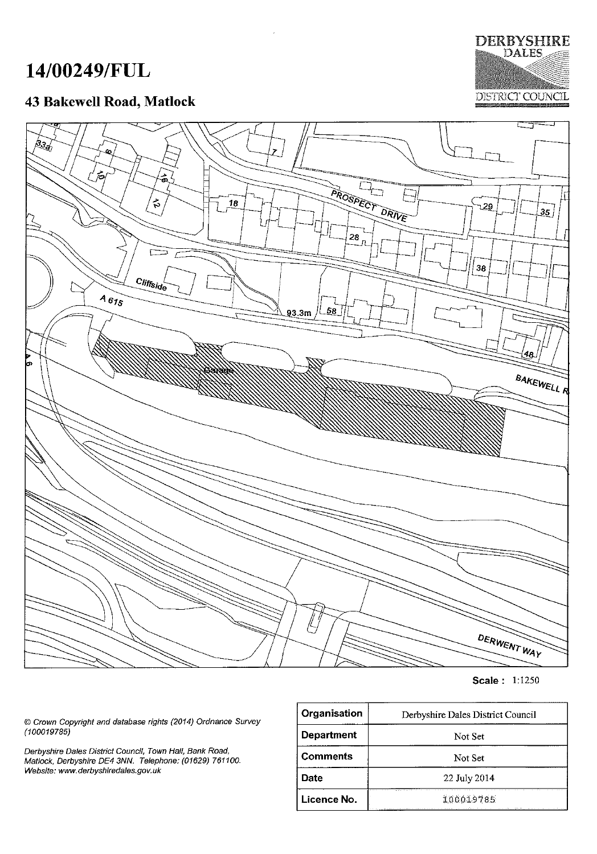# 14/00249/FUL

# 43 Bakewell Road, Matlock





**Scale: 1:1250** 

© Crown Copyright and database rights (2014) Ordnance Survey<br>(100019785)

Derbyshire Dales District Council, Town Hall, Bank Road, Matlock, Derbyshire DE4 3NN. Telephone: (01629) 761100. Website: www.derbyshiredales.gov.uk

| Organisation      | Derbyshire Dales District Council                                                                                 |  |
|-------------------|-------------------------------------------------------------------------------------------------------------------|--|
| <b>Department</b> | Not Set                                                                                                           |  |
| <b>Comments</b>   | Not Set                                                                                                           |  |
| Date              | 22 July 2014                                                                                                      |  |
| Licence No.       | 100019785<br>approach a company of the participant of the company of the company of the company of the company of |  |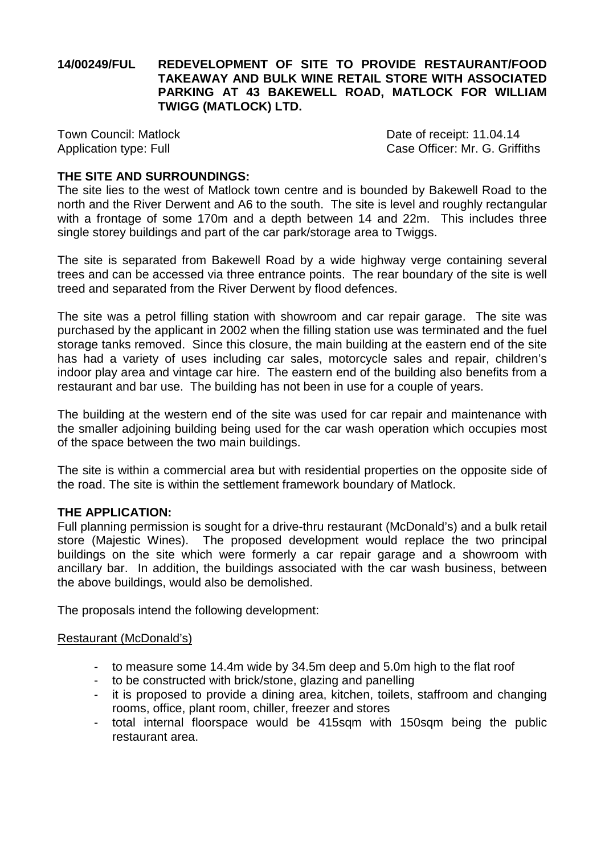#### **14/00249/FUL REDEVELOPMENT OF SITE TO PROVIDE RESTAURANT/FOOD TAKEAWAY AND BULK WINE RETAIL STORE WITH ASSOCIATED PARKING AT 43 BAKEWELL ROAD, MATLOCK FOR WILLIAM TWIGG (MATLOCK) LTD.**

Town Council: Matlock Date of receipt: 11.04.14 Application type: Full **Case Officer: Mr. G. Griffiths** 

#### **THE SITE AND SURROUNDINGS:**

The site lies to the west of Matlock town centre and is bounded by Bakewell Road to the north and the River Derwent and A6 to the south. The site is level and roughly rectangular with a frontage of some 170m and a depth between 14 and 22m. This includes three single storey buildings and part of the car park/storage area to Twiggs.

The site is separated from Bakewell Road by a wide highway verge containing several trees and can be accessed via three entrance points. The rear boundary of the site is well treed and separated from the River Derwent by flood defences.

The site was a petrol filling station with showroom and car repair garage. The site was purchased by the applicant in 2002 when the filling station use was terminated and the fuel storage tanks removed. Since this closure, the main building at the eastern end of the site has had a variety of uses including car sales, motorcycle sales and repair, children's indoor play area and vintage car hire. The eastern end of the building also benefits from a restaurant and bar use. The building has not been in use for a couple of years.

The building at the western end of the site was used for car repair and maintenance with the smaller adjoining building being used for the car wash operation which occupies most of the space between the two main buildings.

The site is within a commercial area but with residential properties on the opposite side of the road. The site is within the settlement framework boundary of Matlock.

#### **THE APPLICATION:**

Full planning permission is sought for a drive-thru restaurant (McDonald's) and a bulk retail store (Majestic Wines). The proposed development would replace the two principal buildings on the site which were formerly a car repair garage and a showroom with ancillary bar. In addition, the buildings associated with the car wash business, between the above buildings, would also be demolished.

The proposals intend the following development:

#### Restaurant (McDonald's)

- to measure some 14.4m wide by 34.5m deep and 5.0m high to the flat roof
- to be constructed with brick/stone, glazing and panelling
- it is proposed to provide a dining area, kitchen, toilets, staffroom and changing rooms, office, plant room, chiller, freezer and stores
- total internal floorspace would be 415sqm with 150sqm being the public restaurant area.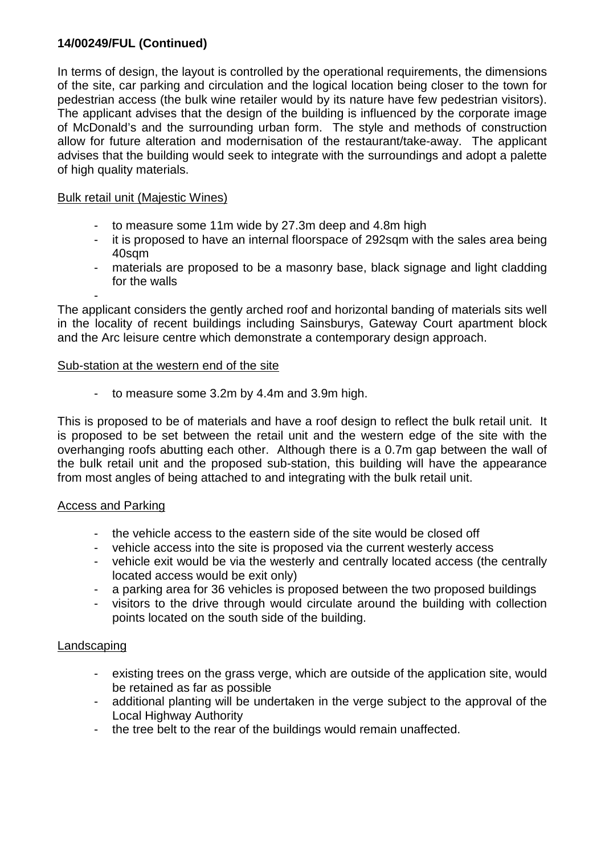In terms of design, the layout is controlled by the operational requirements, the dimensions of the site, car parking and circulation and the logical location being closer to the town for pedestrian access (the bulk wine retailer would by its nature have few pedestrian visitors). The applicant advises that the design of the building is influenced by the corporate image of McDonald's and the surrounding urban form. The style and methods of construction allow for future alteration and modernisation of the restaurant/take-away. The applicant advises that the building would seek to integrate with the surroundings and adopt a palette of high quality materials.

#### Bulk retail unit (Majestic Wines)

- to measure some 11m wide by 27.3m deep and 4.8m high
- it is proposed to have an internal floorspace of 292sqm with the sales area being 40sqm
- materials are proposed to be a masonry base, black signage and light cladding for the walls

- The applicant considers the gently arched roof and horizontal banding of materials sits well in the locality of recent buildings including Sainsburys, Gateway Court apartment block and the Arc leisure centre which demonstrate a contemporary design approach.

#### Sub-station at the western end of the site

- to measure some 3.2m by 4.4m and 3.9m high.

This is proposed to be of materials and have a roof design to reflect the bulk retail unit. It is proposed to be set between the retail unit and the western edge of the site with the overhanging roofs abutting each other. Although there is a 0.7m gap between the wall of the bulk retail unit and the proposed sub-station, this building will have the appearance from most angles of being attached to and integrating with the bulk retail unit.

#### Access and Parking

- the vehicle access to the eastern side of the site would be closed off
- vehicle access into the site is proposed via the current westerly access
- vehicle exit would be via the westerly and centrally located access (the centrally located access would be exit only)
- a parking area for 36 vehicles is proposed between the two proposed buildings
- visitors to the drive through would circulate around the building with collection points located on the south side of the building.

#### Landscaping

- existing trees on the grass verge, which are outside of the application site, would be retained as far as possible
- additional planting will be undertaken in the verge subject to the approval of the Local Highway Authority
- the tree belt to the rear of the buildings would remain unaffected.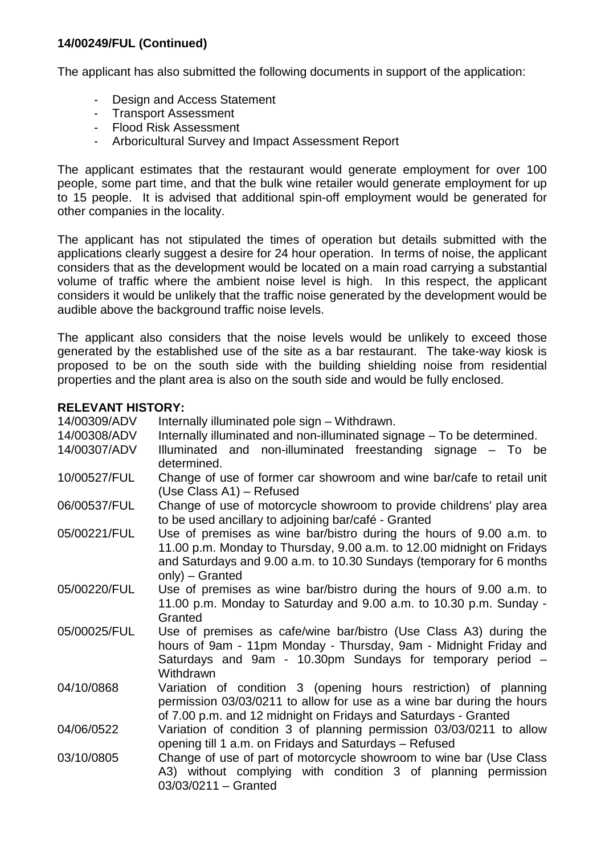The applicant has also submitted the following documents in support of the application:

- Design and Access Statement
- Transport Assessment
- Flood Risk Assessment
- Arboricultural Survey and Impact Assessment Report

The applicant estimates that the restaurant would generate employment for over 100 people, some part time, and that the bulk wine retailer would generate employment for up to 15 people. It is advised that additional spin-off employment would be generated for other companies in the locality.

The applicant has not stipulated the times of operation but details submitted with the applications clearly suggest a desire for 24 hour operation. In terms of noise, the applicant considers that as the development would be located on a main road carrying a substantial volume of traffic where the ambient noise level is high. In this respect, the applicant considers it would be unlikely that the traffic noise generated by the development would be audible above the background traffic noise levels.

The applicant also considers that the noise levels would be unlikely to exceed those generated by the established use of the site as a bar restaurant. The take-way kiosk is proposed to be on the south side with the building shielding noise from residential properties and the plant area is also on the south side and would be fully enclosed.

#### **RELEVANT HISTORY:**

| 14/00309/ADV | Internally illuminated pole sign - Withdrawn.                                                                                                                                                                                              |
|--------------|--------------------------------------------------------------------------------------------------------------------------------------------------------------------------------------------------------------------------------------------|
| 14/00308/ADV | Internally illuminated and non-illuminated signage – To be determined.                                                                                                                                                                     |
| 14/00307/ADV | Illuminated and non-illuminated freestanding signage - To be<br>determined.                                                                                                                                                                |
| 10/00527/FUL | Change of use of former car showroom and wine bar/cafe to retail unit<br>(Use Class A1) – Refused                                                                                                                                          |
| 06/00537/FUL | Change of use of motorcycle showroom to provide childrens' play area<br>to be used ancillary to adjoining bar/café - Granted                                                                                                               |
| 05/00221/FUL | Use of premises as wine bar/bistro during the hours of 9.00 a.m. to<br>11.00 p.m. Monday to Thursday, 9.00 a.m. to 12.00 midnight on Fridays<br>and Saturdays and 9.00 a.m. to 10.30 Sundays (temporary for 6 months<br>$only$ ) – Granted |
| 05/00220/FUL | Use of premises as wine bar/bistro during the hours of 9.00 a.m. to<br>11.00 p.m. Monday to Saturday and 9.00 a.m. to 10.30 p.m. Sunday -<br>Granted                                                                                       |
| 05/00025/FUL | Use of premises as cafe/wine bar/bistro (Use Class A3) during the<br>hours of 9am - 11pm Monday - Thursday, 9am - Midnight Friday and<br>Saturdays and 9am - 10.30pm Sundays for temporary period -<br>Withdrawn                           |
| 04/10/0868   | Variation of condition 3 (opening hours restriction) of planning<br>permission 03/03/0211 to allow for use as a wine bar during the hours<br>of 7.00 p.m. and 12 midnight on Fridays and Saturdays - Granted                               |
| 04/06/0522   | Variation of condition 3 of planning permission 03/03/0211 to allow<br>opening till 1 a.m. on Fridays and Saturdays - Refused                                                                                                              |
| 03/10/0805   | Change of use of part of motorcycle showroom to wine bar (Use Class<br>A3) without complying with condition 3 of planning permission<br>$03/03/0211 -$ Granted                                                                             |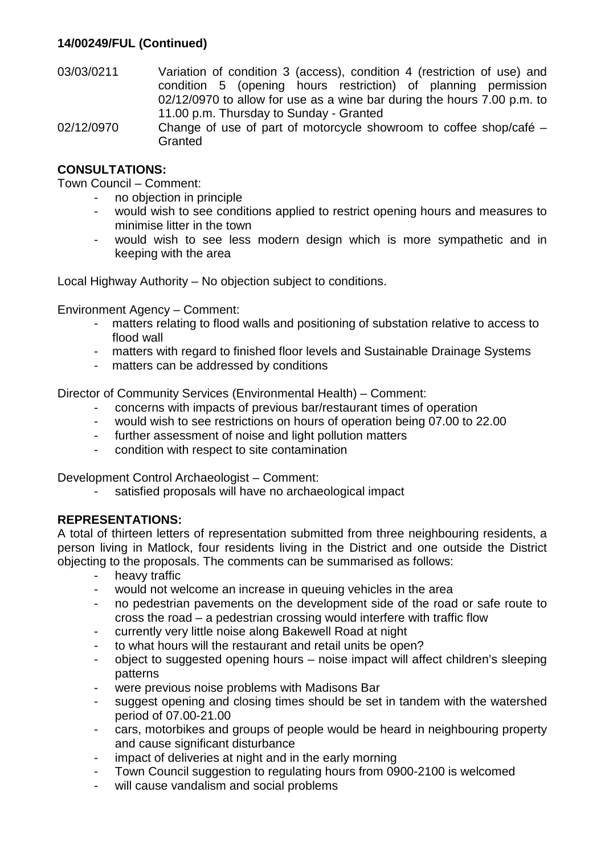- 03/03/0211 Variation of condition 3 (access), condition 4 (restriction of use) and condition 5 (opening hours restriction) of planning permission 02/12/0970 to allow for use as a wine bar during the hours 7.00 p.m. to 11.00 p.m. Thursday to Sunday - Granted
- 02/12/0970 Change of use of part of motorcycle showroom to coffee shop/café **Granted**

## **CONSULTATIONS:**

Town Council – Comment:

- no objection in principle
	- would wish to see conditions applied to restrict opening hours and measures to minimise litter in the town
	- would wish to see less modern design which is more sympathetic and in keeping with the area

Local Highway Authority – No objection subject to conditions.

Environment Agency – Comment:

- matters relating to flood walls and positioning of substation relative to access to flood wall
- matters with regard to finished floor levels and Sustainable Drainage Systems
- matters can be addressed by conditions

Director of Community Services (Environmental Health) – Comment:

- concerns with impacts of previous bar/restaurant times of operation
- would wish to see restrictions on hours of operation being 07.00 to 22.00
- further assessment of noise and light pollution matters
- condition with respect to site contamination

Development Control Archaeologist – Comment:

- satisfied proposals will have no archaeological impact

#### **REPRESENTATIONS:**

A total of thirteen letters of representation submitted from three neighbouring residents, a person living in Matlock, four residents living in the District and one outside the District objecting to the proposals. The comments can be summarised as follows:

- heavy traffic
- would not welcome an increase in queuing vehicles in the area
- no pedestrian pavements on the development side of the road or safe route to cross the road – a pedestrian crossing would interfere with traffic flow
- currently very little noise along Bakewell Road at night
- to what hours will the restaurant and retail units be open?
- object to suggested opening hours noise impact will affect children's sleeping patterns
- were previous noise problems with Madisons Bar
- suggest opening and closing times should be set in tandem with the watershed period of 07.00-21.00
- cars, motorbikes and groups of people would be heard in neighbouring property and cause significant disturbance
- impact of deliveries at night and in the early morning
- Town Council suggestion to regulating hours from 0900-2100 is welcomed
- will cause vandalism and social problems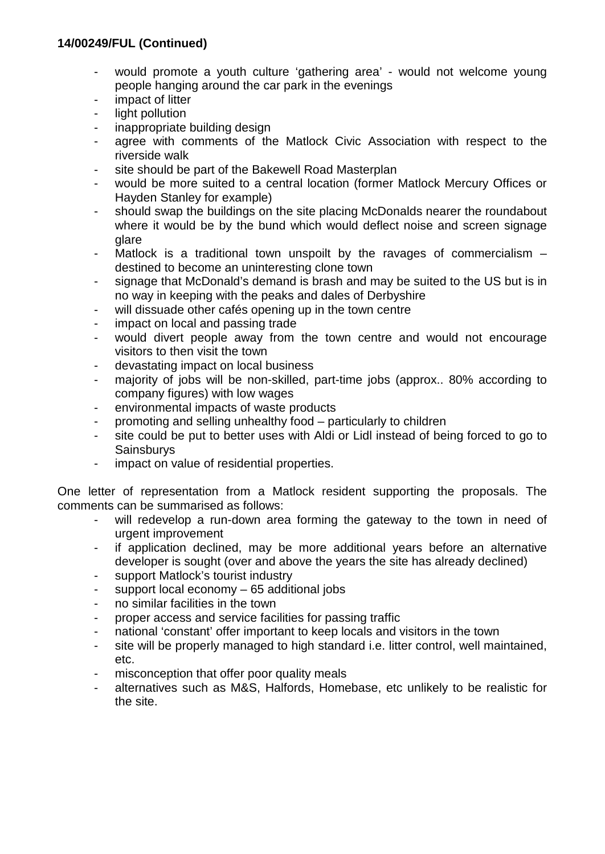- would promote a youth culture 'gathering area' would not welcome young people hanging around the car park in the evenings
- impact of litter
- light pollution
- inappropriate building design
- agree with comments of the Matlock Civic Association with respect to the riverside walk
- site should be part of the Bakewell Road Masterplan
- would be more suited to a central location (former Matlock Mercury Offices or Hayden Stanley for example)
- should swap the buildings on the site placing McDonalds nearer the roundabout where it would be by the bund which would deflect noise and screen signage glare
- Matlock is a traditional town unspoilt by the ravages of commercialism  $$ destined to become an uninteresting clone town
- signage that McDonald's demand is brash and may be suited to the US but is in no way in keeping with the peaks and dales of Derbyshire
- will dissuade other cafés opening up in the town centre
- impact on local and passing trade
- would divert people away from the town centre and would not encourage visitors to then visit the town
- devastating impact on local business
- majority of jobs will be non-skilled, part-time jobs (approx.. 80% according to company figures) with low wages
- environmental impacts of waste products
- promoting and selling unhealthy food particularly to children
- site could be put to better uses with Aldi or Lidl instead of being forced to go to **Sainsburys**
- impact on value of residential properties.

One letter of representation from a Matlock resident supporting the proposals. The comments can be summarised as follows:

- will redevelop a run-down area forming the gateway to the town in need of urgent improvement
- if application declined, may be more additional years before an alternative developer is sought (over and above the years the site has already declined)
- support Matlock's tourist industry
- support local economy  $-65$  additional jobs
- no similar facilities in the town
- proper access and service facilities for passing traffic
- national 'constant' offer important to keep locals and visitors in the town
- site will be properly managed to high standard i.e. litter control, well maintained, etc.
- misconception that offer poor quality meals
- alternatives such as M&S, Halfords, Homebase, etc unlikely to be realistic for the site.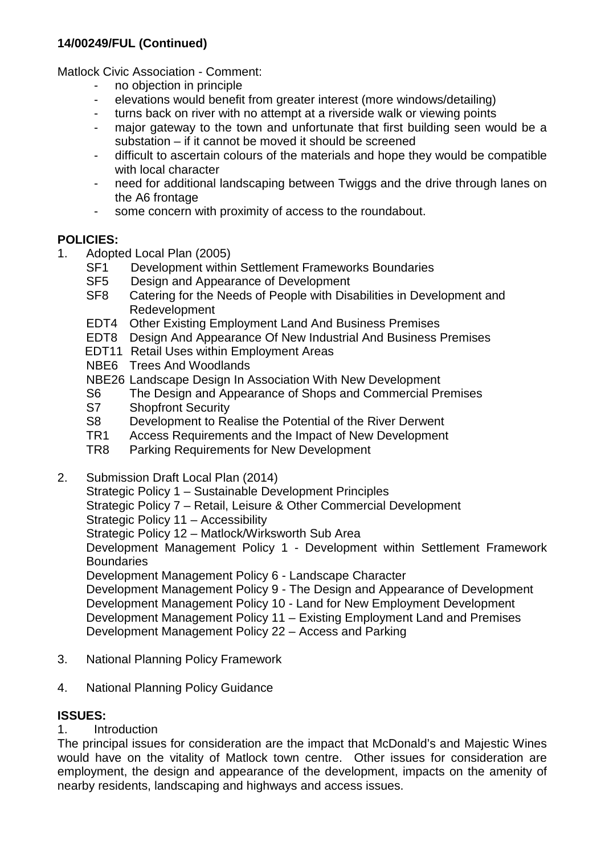Matlock Civic Association - Comment:

- no objection in principle
- elevations would benefit from greater interest (more windows/detailing)
- turns back on river with no attempt at a riverside walk or viewing points
- major gateway to the town and unfortunate that first building seen would be a substation – if it cannot be moved it should be screened
- difficult to ascertain colours of the materials and hope they would be compatible with local character
- need for additional landscaping between Twiggs and the drive through lanes on the A6 frontage
- some concern with proximity of access to the roundabout.

# **POLICIES:**

- 1. Adopted Local Plan (2005)
	- Development within Settlement Frameworks Boundaries
	- SF5 Design and Appearance of Development<br>SF8 Catering for the Needs of People with Dis
	- Catering for the Needs of People with Disabilities in Development and Redevelopment
	- EDT4 Other Existing Employment Land And Business Premises
	- EDT8 Design And Appearance Of New Industrial And Business Premises
	- EDT11 Retail Uses within Employment Areas
	- NBE6 Trees And Woodlands
	- NBE26 Landscape Design In Association With New Development
	- S6 The Design and Appearance of Shops and Commercial Premises<br>S7 Shopfront Security
	- S7 Shopfront Security<br>S8 Development to Re
	- S8 Development to Realise the Potential of the River Derwent<br>TR1 Access Requirements and the Impact of New Development
	- TR1 Access Requirements and the Impact of New Development<br>TR8 Parking Requirements for New Development
	- Parking Requirements for New Development
- 2. Submission Draft Local Plan (2014)

Strategic Policy 1 – Sustainable Development Principles

- Strategic Policy 7 Retail, Leisure & Other Commercial Development
- Strategic Policy 11 Accessibility
- Strategic Policy 12 Matlock/Wirksworth Sub Area

Development Management Policy 1 - Development within Settlement Framework **Boundaries** 

Development Management Policy 6 - Landscape Character

Development Management Policy 9 - The Design and Appearance of Development Development Management Policy 10 - Land for New Employment Development Development Management Policy 11 – Existing Employment Land and Premises Development Management Policy 22 – Access and Parking

- 3. National Planning Policy Framework
- 4. National Planning Policy Guidance

# **ISSUES:**

# 1. Introduction

The principal issues for consideration are the impact that McDonald's and Majestic Wines would have on the vitality of Matlock town centre. Other issues for consideration are employment, the design and appearance of the development, impacts on the amenity of nearby residents, landscaping and highways and access issues.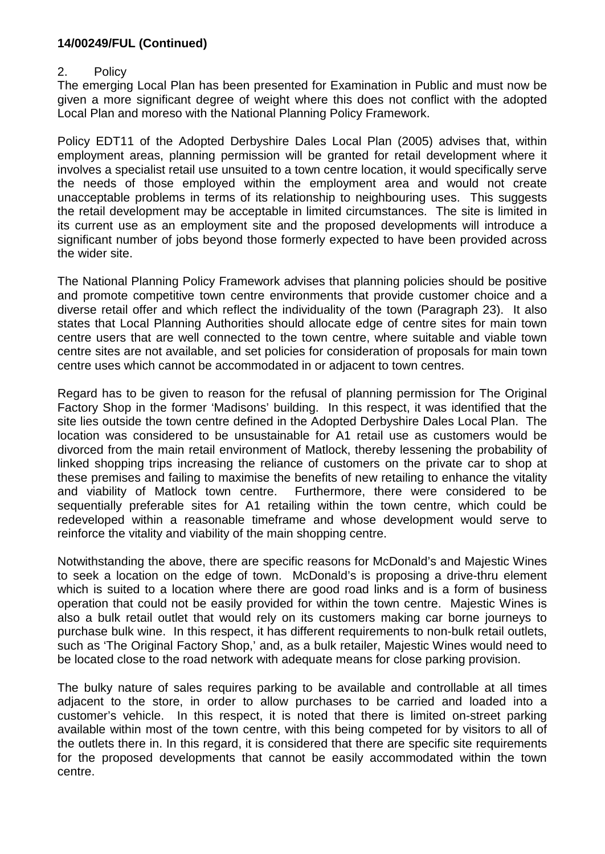#### 2. Policy

The emerging Local Plan has been presented for Examination in Public and must now be given a more significant degree of weight where this does not conflict with the adopted Local Plan and moreso with the National Planning Policy Framework.

Policy EDT11 of the Adopted Derbyshire Dales Local Plan (2005) advises that, within employment areas, planning permission will be granted for retail development where it involves a specialist retail use unsuited to a town centre location, it would specifically serve the needs of those employed within the employment area and would not create unacceptable problems in terms of its relationship to neighbouring uses. This suggests the retail development may be acceptable in limited circumstances. The site is limited in its current use as an employment site and the proposed developments will introduce a significant number of jobs beyond those formerly expected to have been provided across the wider site.

The National Planning Policy Framework advises that planning policies should be positive and promote competitive town centre environments that provide customer choice and a diverse retail offer and which reflect the individuality of the town (Paragraph 23). It also states that Local Planning Authorities should allocate edge of centre sites for main town centre users that are well connected to the town centre, where suitable and viable town centre sites are not available, and set policies for consideration of proposals for main town centre uses which cannot be accommodated in or adjacent to town centres.

Regard has to be given to reason for the refusal of planning permission for The Original Factory Shop in the former 'Madisons' building. In this respect, it was identified that the site lies outside the town centre defined in the Adopted Derbyshire Dales Local Plan. The location was considered to be unsustainable for A1 retail use as customers would be divorced from the main retail environment of Matlock, thereby lessening the probability of linked shopping trips increasing the reliance of customers on the private car to shop at these premises and failing to maximise the benefits of new retailing to enhance the vitality and viability of Matlock town centre. Furthermore, there were considered to be sequentially preferable sites for A1 retailing within the town centre, which could be redeveloped within a reasonable timeframe and whose development would serve to reinforce the vitality and viability of the main shopping centre.

Notwithstanding the above, there are specific reasons for McDonald's and Majestic Wines to seek a location on the edge of town. McDonald's is proposing a drive-thru element which is suited to a location where there are good road links and is a form of business operation that could not be easily provided for within the town centre. Majestic Wines is also a bulk retail outlet that would rely on its customers making car borne journeys to purchase bulk wine. In this respect, it has different requirements to non-bulk retail outlets, such as 'The Original Factory Shop,' and, as a bulk retailer, Majestic Wines would need to be located close to the road network with adequate means for close parking provision.

The bulky nature of sales requires parking to be available and controllable at all times adjacent to the store, in order to allow purchases to be carried and loaded into a customer's vehicle. In this respect, it is noted that there is limited on-street parking available within most of the town centre, with this being competed for by visitors to all of the outlets there in. In this regard, it is considered that there are specific site requirements for the proposed developments that cannot be easily accommodated within the town centre.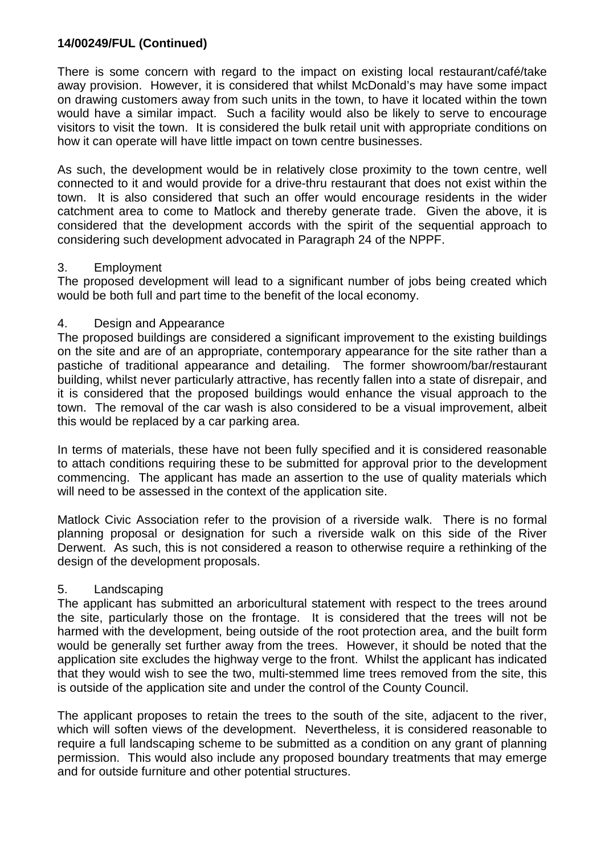There is some concern with regard to the impact on existing local restaurant/café/take away provision. However, it is considered that whilst McDonald's may have some impact on drawing customers away from such units in the town, to have it located within the town would have a similar impact. Such a facility would also be likely to serve to encourage visitors to visit the town. It is considered the bulk retail unit with appropriate conditions on how it can operate will have little impact on town centre businesses.

As such, the development would be in relatively close proximity to the town centre, well connected to it and would provide for a drive-thru restaurant that does not exist within the town. It is also considered that such an offer would encourage residents in the wider catchment area to come to Matlock and thereby generate trade. Given the above, it is considered that the development accords with the spirit of the sequential approach to considering such development advocated in Paragraph 24 of the NPPF.

#### 3. Employment

The proposed development will lead to a significant number of jobs being created which would be both full and part time to the benefit of the local economy.

#### 4. Design and Appearance

The proposed buildings are considered a significant improvement to the existing buildings on the site and are of an appropriate, contemporary appearance for the site rather than a pastiche of traditional appearance and detailing. The former showroom/bar/restaurant building, whilst never particularly attractive, has recently fallen into a state of disrepair, and it is considered that the proposed buildings would enhance the visual approach to the town. The removal of the car wash is also considered to be a visual improvement, albeit this would be replaced by a car parking area.

In terms of materials, these have not been fully specified and it is considered reasonable to attach conditions requiring these to be submitted for approval prior to the development commencing. The applicant has made an assertion to the use of quality materials which will need to be assessed in the context of the application site.

Matlock Civic Association refer to the provision of a riverside walk. There is no formal planning proposal or designation for such a riverside walk on this side of the River Derwent. As such, this is not considered a reason to otherwise require a rethinking of the design of the development proposals.

#### 5. Landscaping

The applicant has submitted an arboricultural statement with respect to the trees around the site, particularly those on the frontage. It is considered that the trees will not be harmed with the development, being outside of the root protection area, and the built form would be generally set further away from the trees. However, it should be noted that the application site excludes the highway verge to the front. Whilst the applicant has indicated that they would wish to see the two, multi-stemmed lime trees removed from the site, this is outside of the application site and under the control of the County Council.

The applicant proposes to retain the trees to the south of the site, adjacent to the river, which will soften views of the development. Nevertheless, it is considered reasonable to require a full landscaping scheme to be submitted as a condition on any grant of planning permission. This would also include any proposed boundary treatments that may emerge and for outside furniture and other potential structures.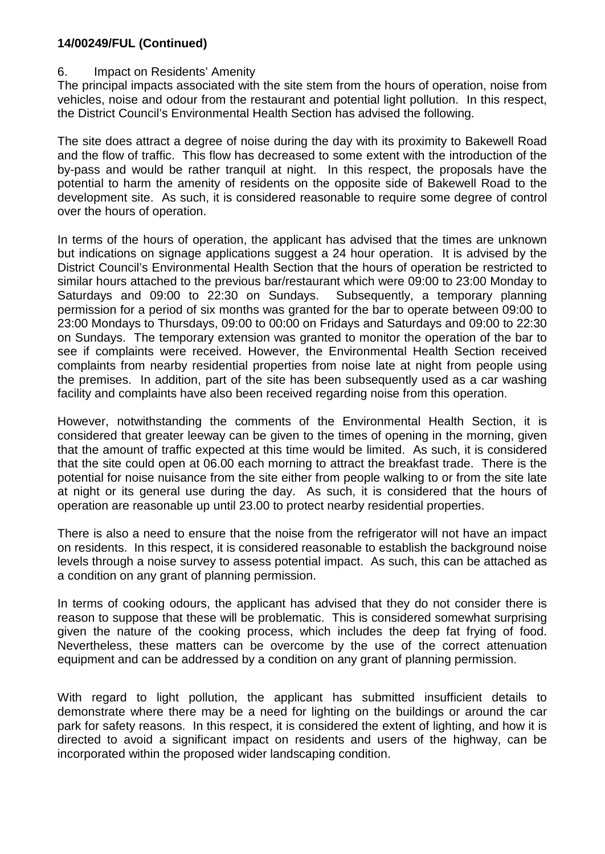#### 6. Impact on Residents' Amenity

The principal impacts associated with the site stem from the hours of operation, noise from vehicles, noise and odour from the restaurant and potential light pollution. In this respect, the District Council's Environmental Health Section has advised the following.

The site does attract a degree of noise during the day with its proximity to Bakewell Road and the flow of traffic. This flow has decreased to some extent with the introduction of the by-pass and would be rather tranquil at night. In this respect, the proposals have the potential to harm the amenity of residents on the opposite side of Bakewell Road to the development site. As such, it is considered reasonable to require some degree of control over the hours of operation.

In terms of the hours of operation, the applicant has advised that the times are unknown but indications on signage applications suggest a 24 hour operation. It is advised by the District Council's Environmental Health Section that the hours of operation be restricted to similar hours attached to the previous bar/restaurant which were 09:00 to 23:00 Monday to Saturdays and 09:00 to 22:30 on Sundays. Subsequently, a temporary planning permission for a period of six months was granted for the bar to operate between 09:00 to 23:00 Mondays to Thursdays, 09:00 to 00:00 on Fridays and Saturdays and 09:00 to 22:30 on Sundays. The temporary extension was granted to monitor the operation of the bar to see if complaints were received. However, the Environmental Health Section received complaints from nearby residential properties from noise late at night from people using the premises. In addition, part of the site has been subsequently used as a car washing facility and complaints have also been received regarding noise from this operation.

However, notwithstanding the comments of the Environmental Health Section, it is considered that greater leeway can be given to the times of opening in the morning, given that the amount of traffic expected at this time would be limited. As such, it is considered that the site could open at 06.00 each morning to attract the breakfast trade. There is the potential for noise nuisance from the site either from people walking to or from the site late at night or its general use during the day. As such, it is considered that the hours of operation are reasonable up until 23.00 to protect nearby residential properties.

There is also a need to ensure that the noise from the refrigerator will not have an impact on residents. In this respect, it is considered reasonable to establish the background noise levels through a noise survey to assess potential impact. As such, this can be attached as a condition on any grant of planning permission.

In terms of cooking odours, the applicant has advised that they do not consider there is reason to suppose that these will be problematic. This is considered somewhat surprising given the nature of the cooking process, which includes the deep fat frying of food. Nevertheless, these matters can be overcome by the use of the correct attenuation equipment and can be addressed by a condition on any grant of planning permission.

With regard to light pollution, the applicant has submitted insufficient details to demonstrate where there may be a need for lighting on the buildings or around the car park for safety reasons. In this respect, it is considered the extent of lighting, and how it is directed to avoid a significant impact on residents and users of the highway, can be incorporated within the proposed wider landscaping condition.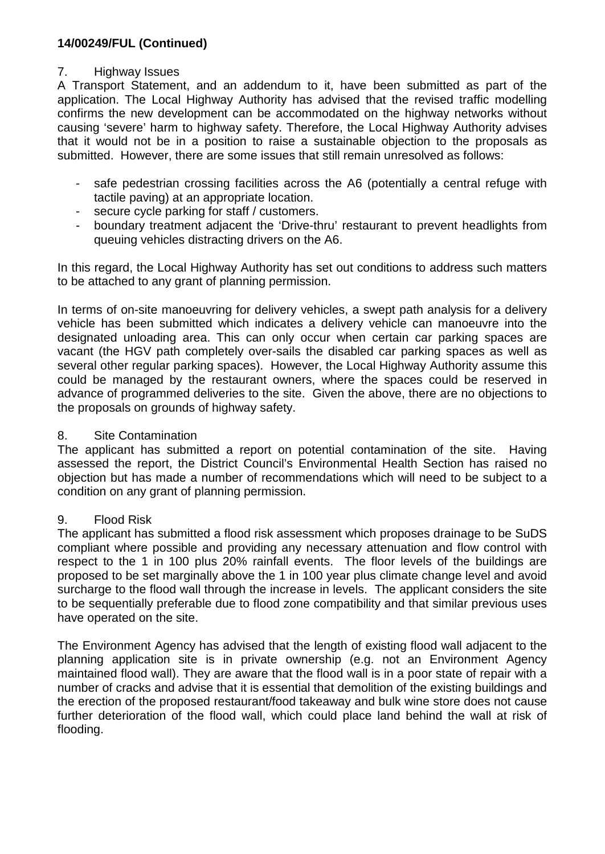# 7. Highway Issues

A Transport Statement, and an addendum to it, have been submitted as part of the application. The Local Highway Authority has advised that the revised traffic modelling confirms the new development can be accommodated on the highway networks without causing 'severe' harm to highway safety. Therefore, the Local Highway Authority advises that it would not be in a position to raise a sustainable objection to the proposals as submitted. However, there are some issues that still remain unresolved as follows:

- safe pedestrian crossing facilities across the A6 (potentially a central refuge with tactile paving) at an appropriate location.
- secure cycle parking for staff / customers.
- boundary treatment adjacent the 'Drive-thru' restaurant to prevent headlights from queuing vehicles distracting drivers on the A6.

In this regard, the Local Highway Authority has set out conditions to address such matters to be attached to any grant of planning permission.

In terms of on-site manoeuvring for delivery vehicles, a swept path analysis for a delivery vehicle has been submitted which indicates a delivery vehicle can manoeuvre into the designated unloading area. This can only occur when certain car parking spaces are vacant (the HGV path completely over-sails the disabled car parking spaces as well as several other regular parking spaces). However, the Local Highway Authority assume this could be managed by the restaurant owners, where the spaces could be reserved in advance of programmed deliveries to the site. Given the above, there are no objections to the proposals on grounds of highway safety.

# 8. Site Contamination

The applicant has submitted a report on potential contamination of the site. Having assessed the report, the District Council's Environmental Health Section has raised no objection but has made a number of recommendations which will need to be subject to a condition on any grant of planning permission.

# 9. Flood Risk

The applicant has submitted a flood risk assessment which proposes drainage to be SuDS compliant where possible and providing any necessary attenuation and flow control with respect to the 1 in 100 plus 20% rainfall events. The floor levels of the buildings are proposed to be set marginally above the 1 in 100 year plus climate change level and avoid surcharge to the flood wall through the increase in levels. The applicant considers the site to be sequentially preferable due to flood zone compatibility and that similar previous uses have operated on the site.

The Environment Agency has advised that the length of existing flood wall adjacent to the planning application site is in private ownership (e.g. not an Environment Agency maintained flood wall). They are aware that the flood wall is in a poor state of repair with a number of cracks and advise that it is essential that demolition of the existing buildings and the erection of the proposed restaurant/food takeaway and bulk wine store does not cause further deterioration of the flood wall, which could place land behind the wall at risk of flooding.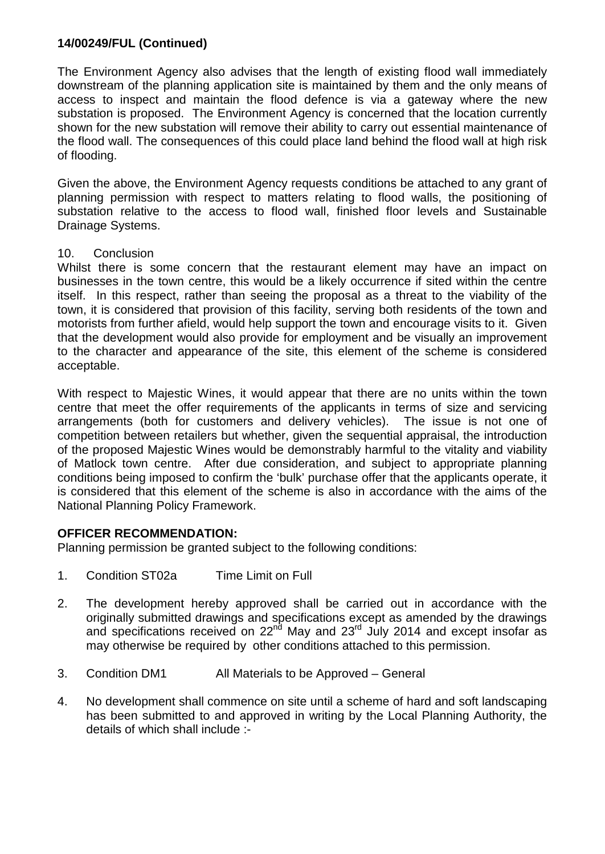The Environment Agency also advises that the length of existing flood wall immediately downstream of the planning application site is maintained by them and the only means of access to inspect and maintain the flood defence is via a gateway where the new substation is proposed. The Environment Agency is concerned that the location currently shown for the new substation will remove their ability to carry out essential maintenance of the flood wall. The consequences of this could place land behind the flood wall at high risk of flooding.

Given the above, the Environment Agency requests conditions be attached to any grant of planning permission with respect to matters relating to flood walls, the positioning of substation relative to the access to flood wall, finished floor levels and Sustainable Drainage Systems.

#### 10. Conclusion

Whilst there is some concern that the restaurant element may have an impact on businesses in the town centre, this would be a likely occurrence if sited within the centre itself. In this respect, rather than seeing the proposal as a threat to the viability of the town, it is considered that provision of this facility, serving both residents of the town and motorists from further afield, would help support the town and encourage visits to it. Given that the development would also provide for employment and be visually an improvement to the character and appearance of the site, this element of the scheme is considered acceptable.

With respect to Majestic Wines, it would appear that there are no units within the town centre that meet the offer requirements of the applicants in terms of size and servicing arrangements (both for customers and delivery vehicles). The issue is not one of competition between retailers but whether, given the sequential appraisal, the introduction of the proposed Majestic Wines would be demonstrably harmful to the vitality and viability of Matlock town centre. After due consideration, and subject to appropriate planning conditions being imposed to confirm the 'bulk' purchase offer that the applicants operate, it is considered that this element of the scheme is also in accordance with the aims of the National Planning Policy Framework.

#### **OFFICER RECOMMENDATION:**

Planning permission be granted subject to the following conditions:

- 1. Condition ST02a Time Limit on Full
- 2. The development hereby approved shall be carried out in accordance with the originally submitted drawings and specifications except as amended by the drawings and specifications received on  $22<sup>nd</sup>$  May and  $23<sup>rd</sup>$  July 2014 and except insofar as may otherwise be required by other conditions attached to this permission.
- 3. Condition DM1 All Materials to be Approved General
- 4. No development shall commence on site until a scheme of hard and soft landscaping has been submitted to and approved in writing by the Local Planning Authority, the details of which shall include :-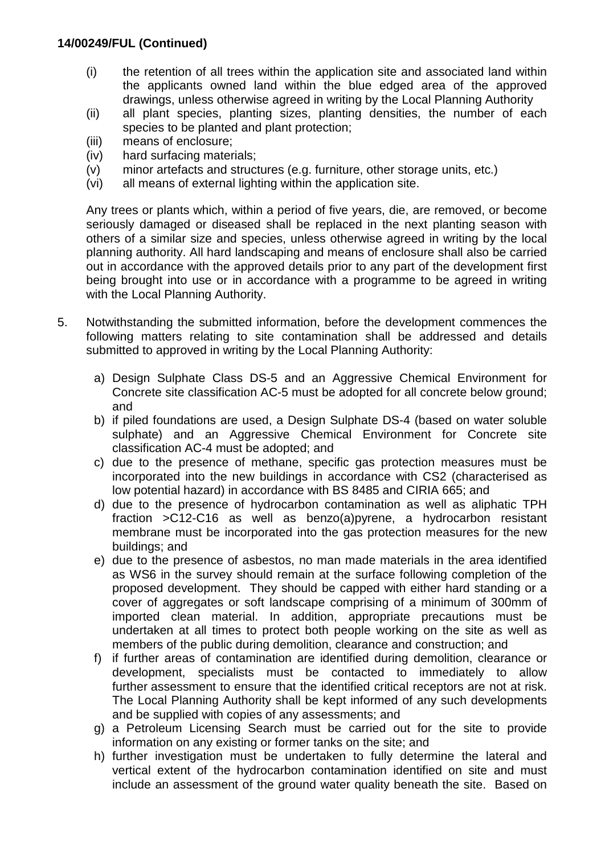- (i) the retention of all trees within the application site and associated land within the applicants owned land within the blue edged area of the approved drawings, unless otherwise agreed in writing by the Local Planning Authority
- (ii) all plant species, planting sizes, planting densities, the number of each species to be planted and plant protection;
- (iii) means of enclosure;
- (iv) hard surfacing materials;
- (v) minor artefacts and structures (e.g. furniture, other storage units, etc.)
- (vi) all means of external lighting within the application site.

Any trees or plants which, within a period of five years, die, are removed, or become seriously damaged or diseased shall be replaced in the next planting season with others of a similar size and species, unless otherwise agreed in writing by the local planning authority. All hard landscaping and means of enclosure shall also be carried out in accordance with the approved details prior to any part of the development first being brought into use or in accordance with a programme to be agreed in writing with the Local Planning Authority.

- 5. Notwithstanding the submitted information, before the development commences the following matters relating to site contamination shall be addressed and details submitted to approved in writing by the Local Planning Authority:
	- a) Design Sulphate Class DS-5 and an Aggressive Chemical Environment for Concrete site classification AC-5 must be adopted for all concrete below ground; and
	- b) if piled foundations are used, a Design Sulphate DS-4 (based on water soluble sulphate) and an Aggressive Chemical Environment for Concrete site classification AC-4 must be adopted; and
	- c) due to the presence of methane, specific gas protection measures must be incorporated into the new buildings in accordance with CS2 (characterised as low potential hazard) in accordance with BS 8485 and CIRIA 665; and
	- d) due to the presence of hydrocarbon contamination as well as aliphatic TPH fraction >C12-C16 as well as benzo(a)pyrene, a hydrocarbon resistant membrane must be incorporated into the gas protection measures for the new buildings; and
	- e) due to the presence of asbestos, no man made materials in the area identified as WS6 in the survey should remain at the surface following completion of the proposed development. They should be capped with either hard standing or a cover of aggregates or soft landscape comprising of a minimum of 300mm of imported clean material. In addition, appropriate precautions must be undertaken at all times to protect both people working on the site as well as members of the public during demolition, clearance and construction; and
	- f) if further areas of contamination are identified during demolition, clearance or development, specialists must be contacted to immediately to allow further assessment to ensure that the identified critical receptors are not at risk. The Local Planning Authority shall be kept informed of any such developments and be supplied with copies of any assessments; and
	- g) a Petroleum Licensing Search must be carried out for the site to provide information on any existing or former tanks on the site; and
	- h) further investigation must be undertaken to fully determine the lateral and vertical extent of the hydrocarbon contamination identified on site and must include an assessment of the ground water quality beneath the site. Based on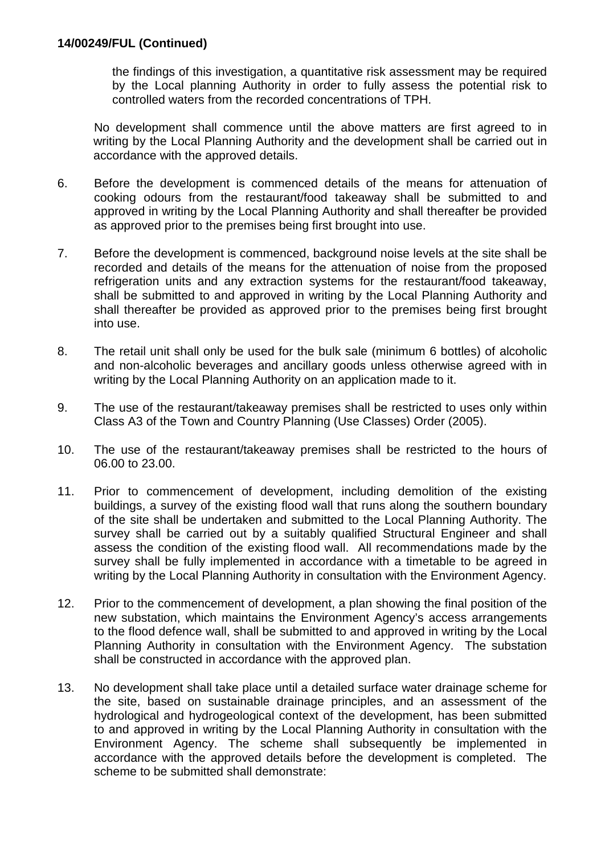the findings of this investigation, a quantitative risk assessment may be required by the Local planning Authority in order to fully assess the potential risk to controlled waters from the recorded concentrations of TPH.

No development shall commence until the above matters are first agreed to in writing by the Local Planning Authority and the development shall be carried out in accordance with the approved details.

- 6. Before the development is commenced details of the means for attenuation of cooking odours from the restaurant/food takeaway shall be submitted to and approved in writing by the Local Planning Authority and shall thereafter be provided as approved prior to the premises being first brought into use.
- 7. Before the development is commenced, background noise levels at the site shall be recorded and details of the means for the attenuation of noise from the proposed refrigeration units and any extraction systems for the restaurant/food takeaway, shall be submitted to and approved in writing by the Local Planning Authority and shall thereafter be provided as approved prior to the premises being first brought into use.
- 8. The retail unit shall only be used for the bulk sale (minimum 6 bottles) of alcoholic and non-alcoholic beverages and ancillary goods unless otherwise agreed with in writing by the Local Planning Authority on an application made to it.
- 9. The use of the restaurant/takeaway premises shall be restricted to uses only within Class A3 of the Town and Country Planning (Use Classes) Order (2005).
- 10. The use of the restaurant/takeaway premises shall be restricted to the hours of 06.00 to 23.00.
- 11. Prior to commencement of development, including demolition of the existing buildings, a survey of the existing flood wall that runs along the southern boundary of the site shall be undertaken and submitted to the Local Planning Authority. The survey shall be carried out by a suitably qualified Structural Engineer and shall assess the condition of the existing flood wall. All recommendations made by the survey shall be fully implemented in accordance with a timetable to be agreed in writing by the Local Planning Authority in consultation with the Environment Agency.
- 12. Prior to the commencement of development, a plan showing the final position of the new substation, which maintains the Environment Agency's access arrangements to the flood defence wall, shall be submitted to and approved in writing by the Local Planning Authority in consultation with the Environment Agency. The substation shall be constructed in accordance with the approved plan.
- 13. No development shall take place until a detailed surface water drainage scheme for the site, based on sustainable drainage principles, and an assessment of the hydrological and hydrogeological context of the development, has been submitted to and approved in writing by the Local Planning Authority in consultation with the Environment Agency. The scheme shall subsequently be implemented in accordance with the approved details before the development is completed. The scheme to be submitted shall demonstrate: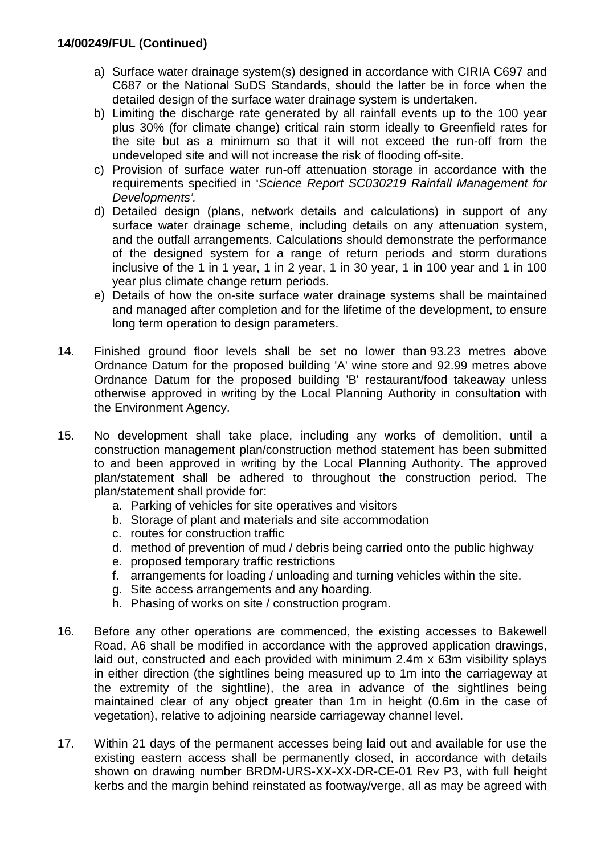- a) Surface water drainage system(s) designed in accordance with CIRIA C697 and C687 or the National SuDS Standards, should the latter be in force when the detailed design of the surface water drainage system is undertaken.
- b) Limiting the discharge rate generated by all rainfall events up to the 100 year plus 30% (for climate change) critical rain storm ideally to Greenfield rates for the site but as a minimum so that it will not exceed the run-off from the undeveloped site and will not increase the risk of flooding off-site.
- c) Provision of surface water run-off attenuation storage in accordance with the requirements specified in '*Science Report SC030219 Rainfall Management for Developments'.*
- d) Detailed design (plans, network details and calculations) in support of any surface water drainage scheme, including details on any attenuation system, and the outfall arrangements. Calculations should demonstrate the performance of the designed system for a range of return periods and storm durations inclusive of the 1 in 1 year, 1 in 2 year, 1 in 30 year, 1 in 100 year and 1 in 100 year plus climate change return periods.
- e) Details of how the on-site surface water drainage systems shall be maintained and managed after completion and for the lifetime of the development, to ensure long term operation to design parameters.
- 14. Finished ground floor levels shall be set no lower than 93.23 metres above Ordnance Datum for the proposed building 'A' wine store and 92.99 metres above Ordnance Datum for the proposed building 'B' restaurant/food takeaway unless otherwise approved in writing by the Local Planning Authority in consultation with the Environment Agency.
- 15. No development shall take place, including any works of demolition, until a construction management plan/construction method statement has been submitted to and been approved in writing by the Local Planning Authority. The approved plan/statement shall be adhered to throughout the construction period. The plan/statement shall provide for:
	- a. Parking of vehicles for site operatives and visitors
	- b. Storage of plant and materials and site accommodation
	- c. routes for construction traffic
	- d. method of prevention of mud / debris being carried onto the public highway
	- e. proposed temporary traffic restrictions
	- f. arrangements for loading / unloading and turning vehicles within the site.
	- g. Site access arrangements and any hoarding.
	- h. Phasing of works on site / construction program.
- 16. Before any other operations are commenced, the existing accesses to Bakewell Road, A6 shall be modified in accordance with the approved application drawings, laid out, constructed and each provided with minimum 2.4m x 63m visibility splays in either direction (the sightlines being measured up to 1m into the carriageway at the extremity of the sightline), the area in advance of the sightlines being maintained clear of any object greater than 1m in height (0.6m in the case of vegetation), relative to adjoining nearside carriageway channel level.
- 17. Within 21 days of the permanent accesses being laid out and available for use the existing eastern access shall be permanently closed, in accordance with details shown on drawing number BRDM-URS-XX-XX-DR-CE-01 Rev P3, with full height kerbs and the margin behind reinstated as footway/verge, all as may be agreed with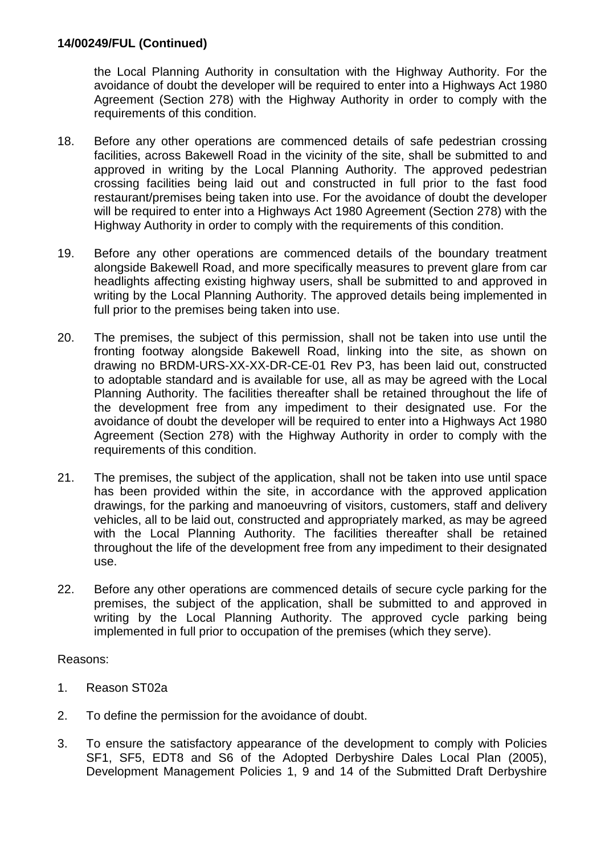the Local Planning Authority in consultation with the Highway Authority. For the avoidance of doubt the developer will be required to enter into a Highways Act 1980 Agreement (Section 278) with the Highway Authority in order to comply with the requirements of this condition.

- 18. Before any other operations are commenced details of safe pedestrian crossing facilities, across Bakewell Road in the vicinity of the site, shall be submitted to and approved in writing by the Local Planning Authority. The approved pedestrian crossing facilities being laid out and constructed in full prior to the fast food restaurant/premises being taken into use. For the avoidance of doubt the developer will be required to enter into a Highways Act 1980 Agreement (Section 278) with the Highway Authority in order to comply with the requirements of this condition.
- 19. Before any other operations are commenced details of the boundary treatment alongside Bakewell Road, and more specifically measures to prevent glare from car headlights affecting existing highway users, shall be submitted to and approved in writing by the Local Planning Authority. The approved details being implemented in full prior to the premises being taken into use.
- 20. The premises, the subject of this permission, shall not be taken into use until the fronting footway alongside Bakewell Road, linking into the site, as shown on drawing no BRDM-URS-XX-XX-DR-CE-01 Rev P3, has been laid out, constructed to adoptable standard and is available for use, all as may be agreed with the Local Planning Authority. The facilities thereafter shall be retained throughout the life of the development free from any impediment to their designated use. For the avoidance of doubt the developer will be required to enter into a Highways Act 1980 Agreement (Section 278) with the Highway Authority in order to comply with the requirements of this condition.
- 21. The premises, the subject of the application, shall not be taken into use until space has been provided within the site, in accordance with the approved application drawings, for the parking and manoeuvring of visitors, customers, staff and delivery vehicles, all to be laid out, constructed and appropriately marked, as may be agreed with the Local Planning Authority. The facilities thereafter shall be retained throughout the life of the development free from any impediment to their designated use.
- 22. Before any other operations are commenced details of secure cycle parking for the premises, the subject of the application, shall be submitted to and approved in writing by the Local Planning Authority. The approved cycle parking being implemented in full prior to occupation of the premises (which they serve).

#### Reasons:

- 1. Reason ST02a
- 2. To define the permission for the avoidance of doubt.
- 3. To ensure the satisfactory appearance of the development to comply with Policies SF1, SF5, EDT8 and S6 of the Adopted Derbyshire Dales Local Plan (2005), Development Management Policies 1, 9 and 14 of the Submitted Draft Derbyshire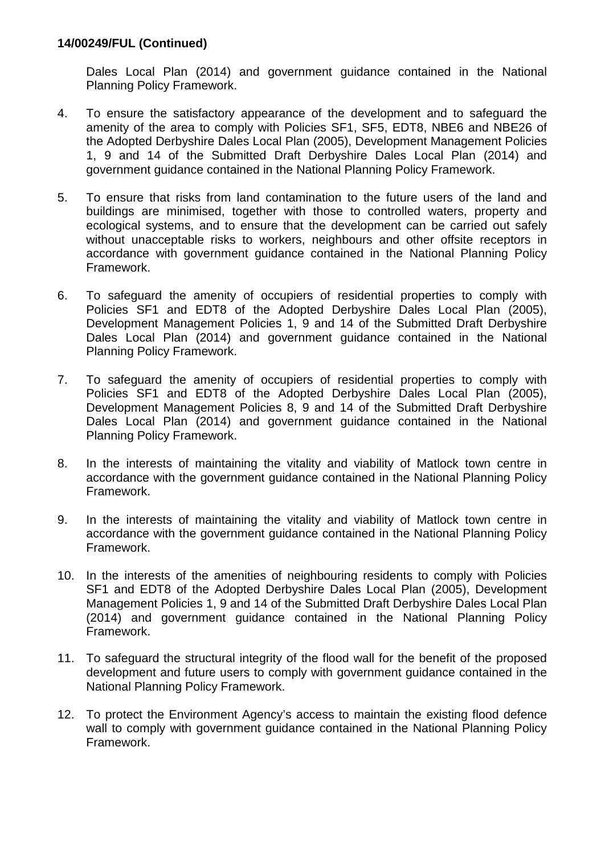Dales Local Plan (2014) and government guidance contained in the National Planning Policy Framework.

- 4. To ensure the satisfactory appearance of the development and to safeguard the amenity of the area to comply with Policies SF1, SF5, EDT8, NBE6 and NBE26 of the Adopted Derbyshire Dales Local Plan (2005), Development Management Policies 1, 9 and 14 of the Submitted Draft Derbyshire Dales Local Plan (2014) and government guidance contained in the National Planning Policy Framework.
- 5. To ensure that risks from land contamination to the future users of the land and buildings are minimised, together with those to controlled waters, property and ecological systems, and to ensure that the development can be carried out safely without unacceptable risks to workers, neighbours and other offsite receptors in accordance with government guidance contained in the National Planning Policy Framework.
- 6. To safeguard the amenity of occupiers of residential properties to comply with Policies SF1 and EDT8 of the Adopted Derbyshire Dales Local Plan (2005), Development Management Policies 1, 9 and 14 of the Submitted Draft Derbyshire Dales Local Plan (2014) and government guidance contained in the National Planning Policy Framework.
- 7. To safeguard the amenity of occupiers of residential properties to comply with Policies SF1 and EDT8 of the Adopted Derbyshire Dales Local Plan (2005), Development Management Policies 8, 9 and 14 of the Submitted Draft Derbyshire Dales Local Plan (2014) and government guidance contained in the National Planning Policy Framework.
- 8. In the interests of maintaining the vitality and viability of Matlock town centre in accordance with the government guidance contained in the National Planning Policy Framework.
- 9. In the interests of maintaining the vitality and viability of Matlock town centre in accordance with the government guidance contained in the National Planning Policy Framework.
- 10. In the interests of the amenities of neighbouring residents to comply with Policies SF1 and EDT8 of the Adopted Derbyshire Dales Local Plan (2005), Development Management Policies 1, 9 and 14 of the Submitted Draft Derbyshire Dales Local Plan (2014) and government guidance contained in the National Planning Policy Framework.
- 11. To safeguard the structural integrity of the flood wall for the benefit of the proposed development and future users to comply with government guidance contained in the National Planning Policy Framework.
- 12. To protect the Environment Agency's access to maintain the existing flood defence wall to comply with government guidance contained in the National Planning Policy Framework.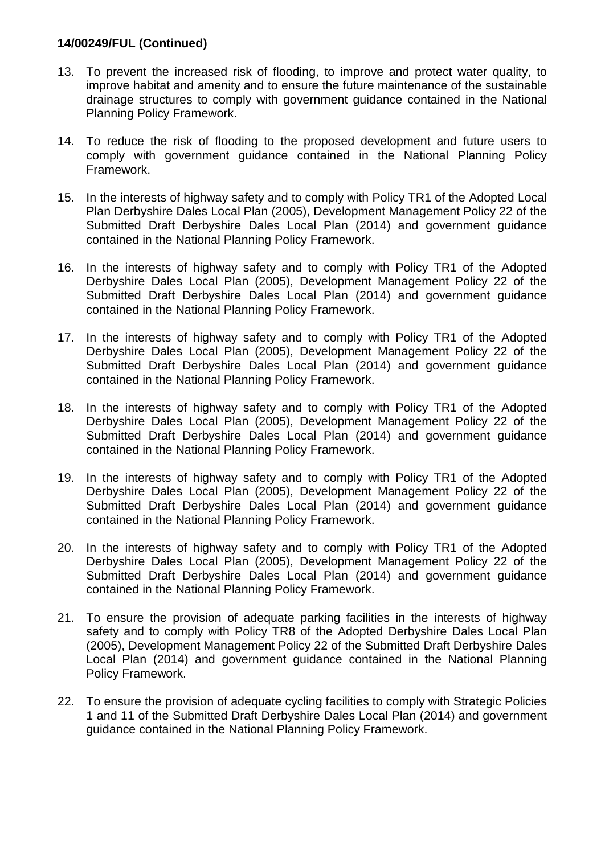- 13. To prevent the increased risk of flooding, to improve and protect water quality, to improve habitat and amenity and to ensure the future maintenance of the sustainable drainage structures to comply with government guidance contained in the National Planning Policy Framework.
- 14. To reduce the risk of flooding to the proposed development and future users to comply with government guidance contained in the National Planning Policy Framework.
- 15. In the interests of highway safety and to comply with Policy TR1 of the Adopted Local Plan Derbyshire Dales Local Plan (2005), Development Management Policy 22 of the Submitted Draft Derbyshire Dales Local Plan (2014) and government guidance contained in the National Planning Policy Framework.
- 16. In the interests of highway safety and to comply with Policy TR1 of the Adopted Derbyshire Dales Local Plan (2005), Development Management Policy 22 of the Submitted Draft Derbyshire Dales Local Plan (2014) and government guidance contained in the National Planning Policy Framework.
- 17. In the interests of highway safety and to comply with Policy TR1 of the Adopted Derbyshire Dales Local Plan (2005), Development Management Policy 22 of the Submitted Draft Derbyshire Dales Local Plan (2014) and government guidance contained in the National Planning Policy Framework.
- 18. In the interests of highway safety and to comply with Policy TR1 of the Adopted Derbyshire Dales Local Plan (2005), Development Management Policy 22 of the Submitted Draft Derbyshire Dales Local Plan (2014) and government guidance contained in the National Planning Policy Framework.
- 19. In the interests of highway safety and to comply with Policy TR1 of the Adopted Derbyshire Dales Local Plan (2005), Development Management Policy 22 of the Submitted Draft Derbyshire Dales Local Plan (2014) and government guidance contained in the National Planning Policy Framework.
- 20. In the interests of highway safety and to comply with Policy TR1 of the Adopted Derbyshire Dales Local Plan (2005), Development Management Policy 22 of the Submitted Draft Derbyshire Dales Local Plan (2014) and government guidance contained in the National Planning Policy Framework.
- 21. To ensure the provision of adequate parking facilities in the interests of highway safety and to comply with Policy TR8 of the Adopted Derbyshire Dales Local Plan (2005), Development Management Policy 22 of the Submitted Draft Derbyshire Dales Local Plan (2014) and government guidance contained in the National Planning Policy Framework.
- 22. To ensure the provision of adequate cycling facilities to comply with Strategic Policies 1 and 11 of the Submitted Draft Derbyshire Dales Local Plan (2014) and government guidance contained in the National Planning Policy Framework.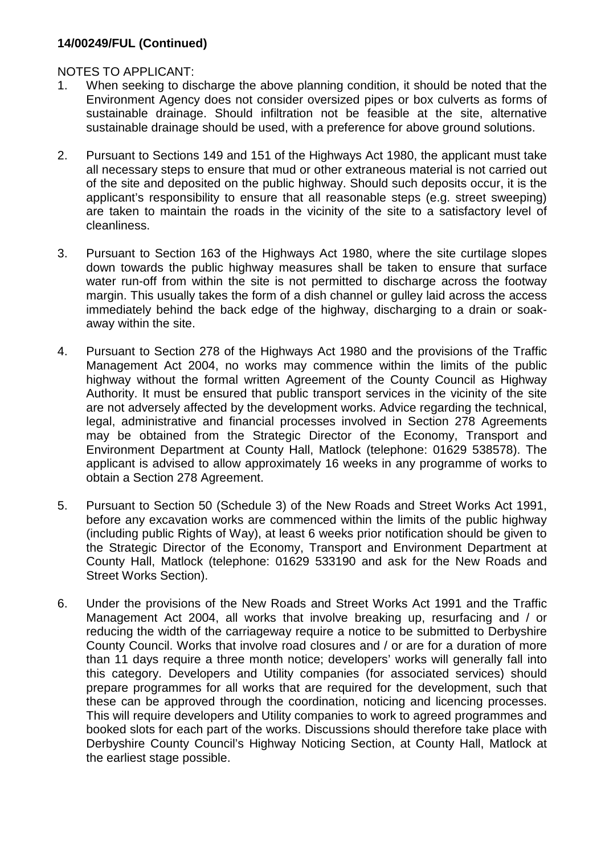NOTES TO APPLICANT:

- 1. When seeking to discharge the above planning condition, it should be noted that the Environment Agency does not consider oversized pipes or box culverts as forms of sustainable drainage. Should infiltration not be feasible at the site, alternative sustainable drainage should be used, with a preference for above ground solutions.
- 2. Pursuant to Sections 149 and 151 of the Highways Act 1980, the applicant must take all necessary steps to ensure that mud or other extraneous material is not carried out of the site and deposited on the public highway. Should such deposits occur, it is the applicant's responsibility to ensure that all reasonable steps (e.g. street sweeping) are taken to maintain the roads in the vicinity of the site to a satisfactory level of cleanliness.
- 3. Pursuant to Section 163 of the Highways Act 1980, where the site curtilage slopes down towards the public highway measures shall be taken to ensure that surface water run-off from within the site is not permitted to discharge across the footway margin. This usually takes the form of a dish channel or gulley laid across the access immediately behind the back edge of the highway, discharging to a drain or soakaway within the site.
- 4. Pursuant to Section 278 of the Highways Act 1980 and the provisions of the Traffic Management Act 2004, no works may commence within the limits of the public highway without the formal written Agreement of the County Council as Highway Authority. It must be ensured that public transport services in the vicinity of the site are not adversely affected by the development works. Advice regarding the technical, legal, administrative and financial processes involved in Section 278 Agreements may be obtained from the Strategic Director of the Economy, Transport and Environment Department at County Hall, Matlock (telephone: 01629 538578). The applicant is advised to allow approximately 16 weeks in any programme of works to obtain a Section 278 Agreement.
- 5. Pursuant to Section 50 (Schedule 3) of the New Roads and Street Works Act 1991, before any excavation works are commenced within the limits of the public highway (including public Rights of Way), at least 6 weeks prior notification should be given to the Strategic Director of the Economy, Transport and Environment Department at County Hall, Matlock (telephone: 01629 533190 and ask for the New Roads and Street Works Section).
- 6. Under the provisions of the New Roads and Street Works Act 1991 and the Traffic Management Act 2004, all works that involve breaking up, resurfacing and / or reducing the width of the carriageway require a notice to be submitted to Derbyshire County Council. Works that involve road closures and / or are for a duration of more than 11 days require a three month notice; developers' works will generally fall into this category. Developers and Utility companies (for associated services) should prepare programmes for all works that are required for the development, such that these can be approved through the coordination, noticing and licencing processes. This will require developers and Utility companies to work to agreed programmes and booked slots for each part of the works. Discussions should therefore take place with Derbyshire County Council's Highway Noticing Section, at County Hall, Matlock at the earliest stage possible.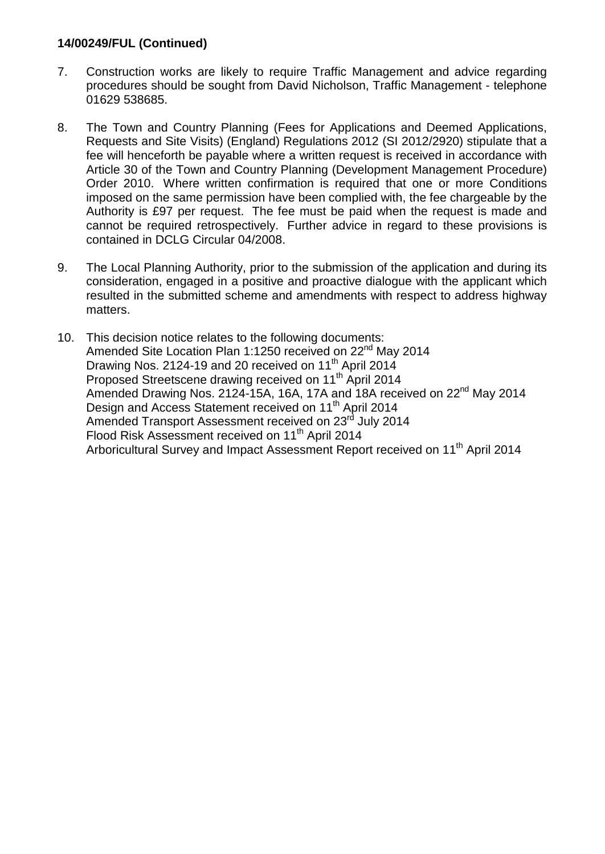- 7. Construction works are likely to require Traffic Management and advice regarding procedures should be sought from David Nicholson, Traffic Management - telephone 01629 538685.
- 8. The Town and Country Planning (Fees for Applications and Deemed Applications, Requests and Site Visits) (England) Regulations 2012 (SI 2012/2920) stipulate that a fee will henceforth be payable where a written request is received in accordance with Article 30 of the Town and Country Planning (Development Management Procedure) Order 2010. Where written confirmation is required that one or more Conditions imposed on the same permission have been complied with, the fee chargeable by the Authority is £97 per request. The fee must be paid when the request is made and cannot be required retrospectively. Further advice in regard to these provisions is contained in DCLG Circular 04/2008.
- 9. The Local Planning Authority, prior to the submission of the application and during its consideration, engaged in a positive and proactive dialogue with the applicant which resulted in the submitted scheme and amendments with respect to address highway matters.
- 10. This decision notice relates to the following documents: Amended Site Location Plan 1:1250 received on 22<sup>nd</sup> May 2014 Drawing Nos. 2124-19 and 20 received on 11<sup>th</sup> April 2014 Proposed Streetscene drawing received on 11<sup>th</sup> April 2014 Amended Drawing Nos. 2124-15A, 16A, 17A and 18A received on 22<sup>nd</sup> May 2014 Design and Access Statement received on 11<sup>th</sup> April 2014 Amended Transport Assessment received on 23<sup>rd</sup> July 2014 Flood Risk Assessment received on 11<sup>th</sup> April 2014 Arboricultural Survey and Impact Assessment Report received on 11<sup>th</sup> April 2014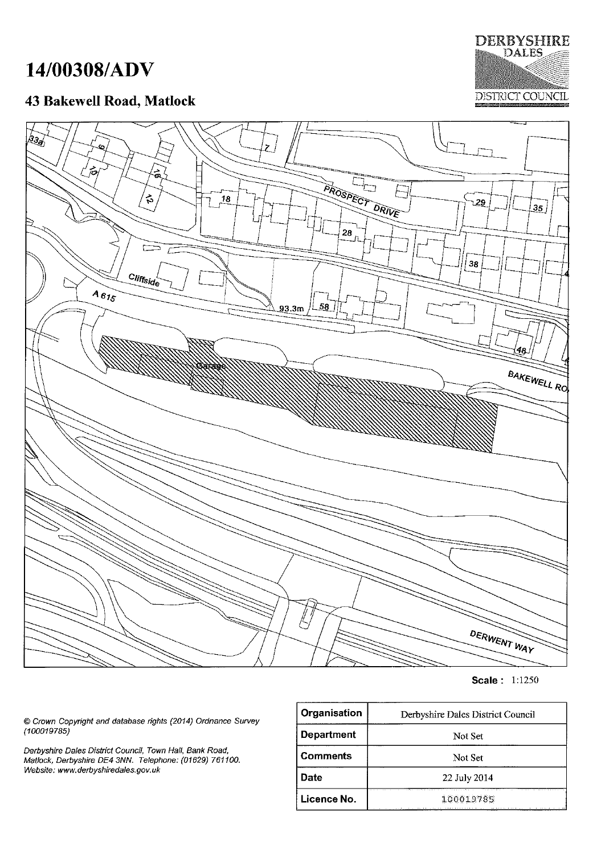# 14/00308/ADV

# 43 Bakewell Road, Matlock





**Scale: 1:1250** 

© Crown Copyright and database rights (2014) Ordnance Survey  $(100019785)$ 

Derbyshire Dales District Council, Town Hall, Bank Road,<br>Matlock, Derbyshire DE4 3NN. Telephone: (01629) 761100. Website: www.derbyshiredales.gov.uk

| Organisation      | Derbyshire Dales District Council |  |
|-------------------|-----------------------------------|--|
| <b>Department</b> | Not Set                           |  |
| <b>Comments</b>   | Not Set                           |  |
| Date              | 22 July 2014                      |  |
| Licence No.       | 100019785                         |  |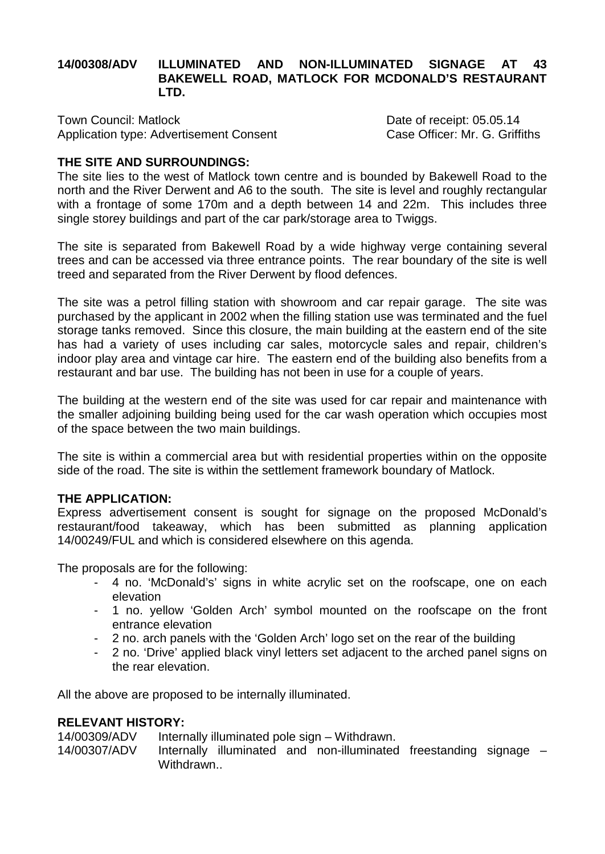#### **14/00308/ADV ILLUMINATED AND NON-ILLUMINATED SIGNAGE AT 43 BAKEWELL ROAD, MATLOCK FOR MCDONALD'S RESTAURANT LTD.**

Town Council: Matlock<br>Application type: Advertisement Consent Constant Consent Case Officer: Mr. G. Griffiths Application type: Advertisement Consent

# **THE SITE AND SURROUNDINGS:**

The site lies to the west of Matlock town centre and is bounded by Bakewell Road to the north and the River Derwent and A6 to the south. The site is level and roughly rectangular with a frontage of some 170m and a depth between 14 and 22m. This includes three single storey buildings and part of the car park/storage area to Twiggs.

The site is separated from Bakewell Road by a wide highway verge containing several trees and can be accessed via three entrance points. The rear boundary of the site is well treed and separated from the River Derwent by flood defences.

The site was a petrol filling station with showroom and car repair garage. The site was purchased by the applicant in 2002 when the filling station use was terminated and the fuel storage tanks removed. Since this closure, the main building at the eastern end of the site has had a variety of uses including car sales, motorcycle sales and repair, children's indoor play area and vintage car hire. The eastern end of the building also benefits from a restaurant and bar use. The building has not been in use for a couple of years.

The building at the western end of the site was used for car repair and maintenance with the smaller adjoining building being used for the car wash operation which occupies most of the space between the two main buildings.

The site is within a commercial area but with residential properties within on the opposite side of the road. The site is within the settlement framework boundary of Matlock.

#### **THE APPLICATION:**

Express advertisement consent is sought for signage on the proposed McDonald's restaurant/food takeaway, which has been submitted as planning application 14/00249/FUL and which is considered elsewhere on this agenda.

The proposals are for the following:

- 4 no. 'McDonald's' signs in white acrylic set on the roofscape, one on each elevation
- 1 no. yellow 'Golden Arch' symbol mounted on the roofscape on the front entrance elevation
- 2 no. arch panels with the 'Golden Arch' logo set on the rear of the building
- 2 no. 'Drive' applied black vinyl letters set adjacent to the arched panel signs on the rear elevation.

All the above are proposed to be internally illuminated.

#### **RELEVANT HISTORY:**

14/00309/ADV Internally illuminated pole sign – Withdrawn. 14/00307/ADV Internally illuminated and non-illuminated freestanding signage – Withdrawn...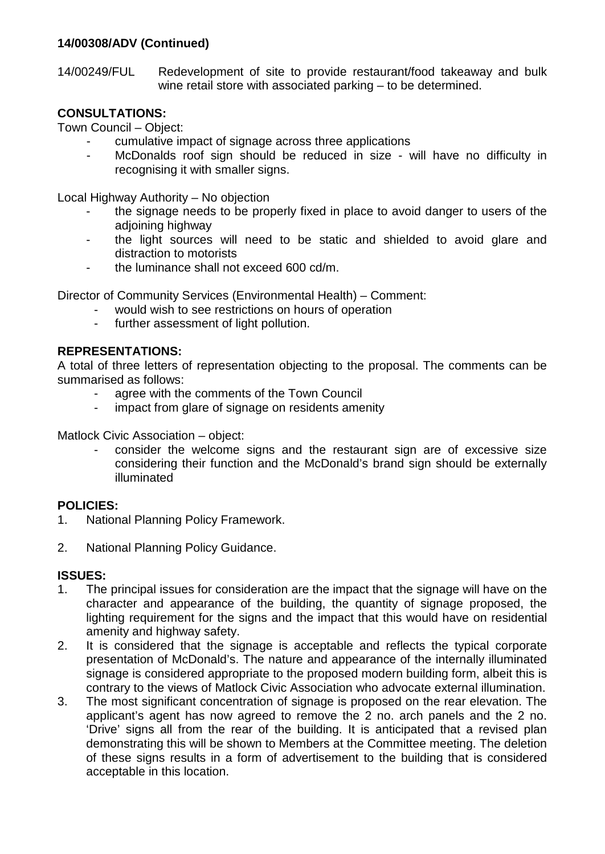#### **14/00308/ADV (Continued)**

14/00249/FUL Redevelopment of site to provide restaurant/food takeaway and bulk wine retail store with associated parking – to be determined.

#### **CONSULTATIONS:**

Town Council – Object:

- cumulative impact of signage across three applications
- McDonalds roof sign should be reduced in size will have no difficulty in recognising it with smaller signs.

Local Highway Authority – No objection

- the signage needs to be properly fixed in place to avoid danger to users of the adjoining highway
- the light sources will need to be static and shielded to avoid glare and distraction to motorists
- the luminance shall not exceed 600 cd/m.

Director of Community Services (Environmental Health) – Comment:

- would wish to see restrictions on hours of operation
- further assessment of light pollution.

#### **REPRESENTATIONS:**

A total of three letters of representation objecting to the proposal. The comments can be summarised as follows:

- agree with the comments of the Town Council
- impact from glare of signage on residents amenity

Matlock Civic Association – object:

consider the welcome signs and the restaurant sign are of excessive size considering their function and the McDonald's brand sign should be externally illuminated

#### **POLICIES:**

- 1. National Planning Policy Framework.
- 2. National Planning Policy Guidance.

#### **ISSUES:**

- 1. The principal issues for consideration are the impact that the signage will have on the character and appearance of the building, the quantity of signage proposed, the lighting requirement for the signs and the impact that this would have on residential amenity and highway safety.
- 2. It is considered that the signage is acceptable and reflects the typical corporate presentation of McDonald's. The nature and appearance of the internally illuminated signage is considered appropriate to the proposed modern building form, albeit this is contrary to the views of Matlock Civic Association who advocate external illumination.
- 3. The most significant concentration of signage is proposed on the rear elevation. The applicant's agent has now agreed to remove the 2 no. arch panels and the 2 no. 'Drive' signs all from the rear of the building. It is anticipated that a revised plan demonstrating this will be shown to Members at the Committee meeting. The deletion of these signs results in a form of advertisement to the building that is considered acceptable in this location.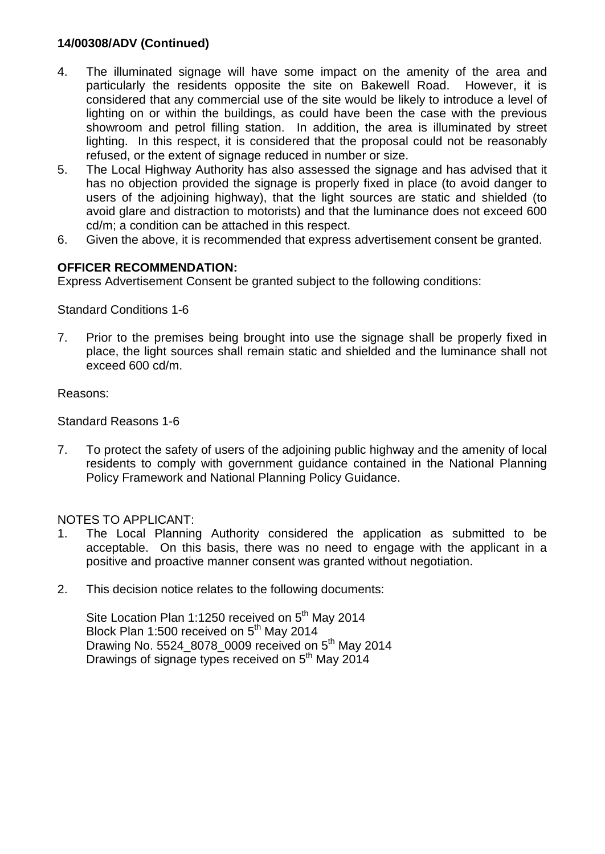#### **14/00308/ADV (Continued)**

- 4. The illuminated signage will have some impact on the amenity of the area and particularly the residents opposite the site on Bakewell Road. However, it is considered that any commercial use of the site would be likely to introduce a level of lighting on or within the buildings, as could have been the case with the previous showroom and petrol filling station. In addition, the area is illuminated by street lighting. In this respect, it is considered that the proposal could not be reasonably refused, or the extent of signage reduced in number or size.
- 5. The Local Highway Authority has also assessed the signage and has advised that it has no objection provided the signage is properly fixed in place (to avoid danger to users of the adjoining highway), that the light sources are static and shielded (to avoid glare and distraction to motorists) and that the luminance does not exceed 600 cd/m; a condition can be attached in this respect.
- 6. Given the above, it is recommended that express advertisement consent be granted.

#### **OFFICER RECOMMENDATION:**

Express Advertisement Consent be granted subject to the following conditions:

Standard Conditions 1-6

7. Prior to the premises being brought into use the signage shall be properly fixed in place, the light sources shall remain static and shielded and the luminance shall not exceed 600 cd/m.

Reasons:

Standard Reasons 1-6

7. To protect the safety of users of the adjoining public highway and the amenity of local residents to comply with government guidance contained in the National Planning Policy Framework and National Planning Policy Guidance.

#### NOTES TO APPLICANT:

- 1. The Local Planning Authority considered the application as submitted to be acceptable. On this basis, there was no need to engage with the applicant in a positive and proactive manner consent was granted without negotiation.
- 2. This decision notice relates to the following documents:

Site Location Plan 1:1250 received on 5<sup>th</sup> May 2014 Block Plan 1:500 received on  $5<sup>th</sup>$  May 2014 Drawing No. 5524\_8078\_0009 received on  $5<sup>th</sup>$  Mav 2014 Drawings of signage types received on 5<sup>th</sup> May 2014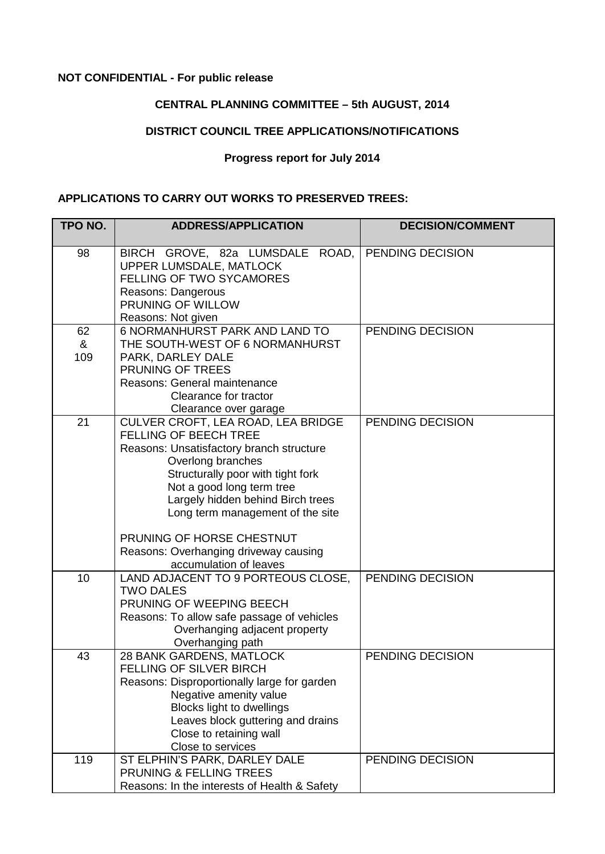#### **NOT CONFIDENTIAL - For public release**

# **CENTRAL PLANNING COMMITTEE – 5th AUGUST, 2014**

# **DISTRICT COUNCIL TREE APPLICATIONS/NOTIFICATIONS**

#### **Progress report for July 2014**

#### **APPLICATIONS TO CARRY OUT WORKS TO PRESERVED TREES:**

| TPO NO.        | <b>ADDRESS/APPLICATION</b>                                                                                                                                                                                                                                                                                                                                                     | <b>DECISION/COMMENT</b> |
|----------------|--------------------------------------------------------------------------------------------------------------------------------------------------------------------------------------------------------------------------------------------------------------------------------------------------------------------------------------------------------------------------------|-------------------------|
| 98             | BIRCH GROVE, 82a LUMSDALE<br>ROAD,<br>UPPER LUMSDALE, MATLOCK<br><b>FELLING OF TWO SYCAMORES</b><br>Reasons: Dangerous<br>PRUNING OF WILLOW<br>Reasons: Not given                                                                                                                                                                                                              | PENDING DECISION        |
| 62<br>&<br>109 | <b>6 NORMANHURST PARK AND LAND TO</b><br>THE SOUTH-WEST OF 6 NORMANHURST<br>PARK, DARLEY DALE<br>PRUNING OF TREES<br>Reasons: General maintenance<br>Clearance for tractor<br>Clearance over garage                                                                                                                                                                            | PENDING DECISION        |
| 21             | CULVER CROFT, LEA ROAD, LEA BRIDGE<br><b>FELLING OF BEECH TREE</b><br>Reasons: Unsatisfactory branch structure<br>Overlong branches<br>Structurally poor with tight fork<br>Not a good long term tree<br>Largely hidden behind Birch trees<br>Long term management of the site<br>PRUNING OF HORSE CHESTNUT<br>Reasons: Overhanging driveway causing<br>accumulation of leaves | <b>PENDING DECISION</b> |
| 10             | LAND ADJACENT TO 9 PORTEOUS CLOSE,<br><b>TWO DALES</b><br>PRUNING OF WEEPING BEECH<br>Reasons: To allow safe passage of vehicles<br>Overhanging adjacent property<br>Overhanging path                                                                                                                                                                                          | PENDING DECISION        |
| 43             | 28 BANK GARDENS, MATLOCK<br><b>FELLING OF SILVER BIRCH</b><br>Reasons: Disproportionally large for garden<br>Negative amenity value<br><b>Blocks light to dwellings</b><br>Leaves block guttering and drains<br>Close to retaining wall<br>Close to services                                                                                                                   | PENDING DECISION        |
| 119            | ST ELPHIN'S PARK, DARLEY DALE<br>PRUNING & FELLING TREES<br>Reasons: In the interests of Health & Safety                                                                                                                                                                                                                                                                       | PENDING DECISION        |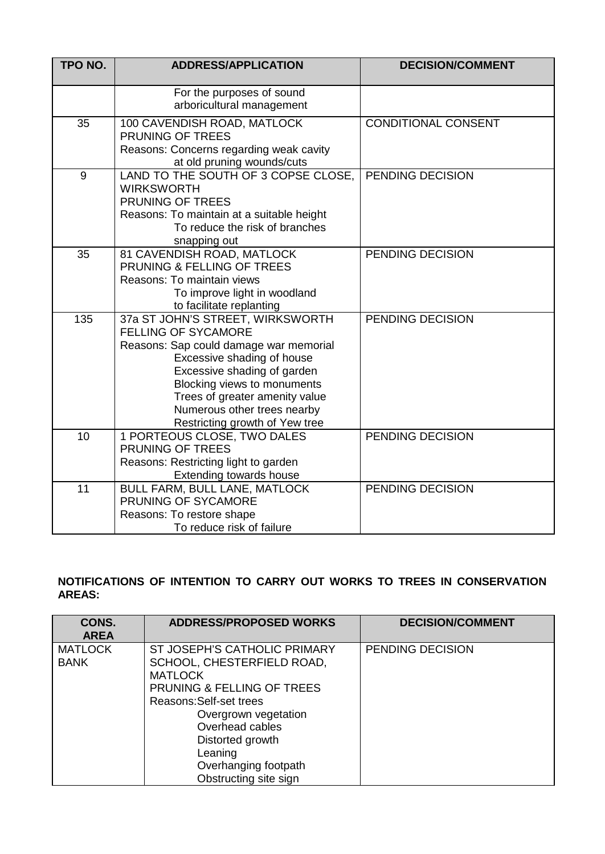| TPO NO. | <b>ADDRESS/APPLICATION</b>                                                                                                                                                                                                                                                                       | <b>DECISION/COMMENT</b>    |
|---------|--------------------------------------------------------------------------------------------------------------------------------------------------------------------------------------------------------------------------------------------------------------------------------------------------|----------------------------|
|         | For the purposes of sound<br>arboricultural management                                                                                                                                                                                                                                           |                            |
| 35      | 100 CAVENDISH ROAD, MATLOCK<br><b>PRUNING OF TREES</b><br>Reasons: Concerns regarding weak cavity<br>at old pruning wounds/cuts                                                                                                                                                                  | <b>CONDITIONAL CONSENT</b> |
| 9       | LAND TO THE SOUTH OF 3 COPSE CLOSE,<br><b>WIRKSWORTH</b><br>PRUNING OF TREES<br>Reasons: To maintain at a suitable height<br>To reduce the risk of branches<br>snapping out                                                                                                                      | PENDING DECISION           |
| 35      | 81 CAVENDISH ROAD, MATLOCK<br>PRUNING & FELLING OF TREES<br>Reasons: To maintain views<br>To improve light in woodland<br>to facilitate replanting                                                                                                                                               | PENDING DECISION           |
| 135     | 37a ST JOHN'S STREET, WIRKSWORTH<br>FELLING OF SYCAMORE<br>Reasons: Sap could damage war memorial<br>Excessive shading of house<br>Excessive shading of garden<br>Blocking views to monuments<br>Trees of greater amenity value<br>Numerous other trees nearby<br>Restricting growth of Yew tree | PENDING DECISION           |
| 10      | 1 PORTEOUS CLOSE, TWO DALES<br>PRUNING OF TREES<br>Reasons: Restricting light to garden<br>Extending towards house                                                                                                                                                                               | PENDING DECISION           |
| 11      | BULL FARM, BULL LANE, MATLOCK<br>PRUNING OF SYCAMORE<br>Reasons: To restore shape<br>To reduce risk of failure                                                                                                                                                                                   | PENDING DECISION           |

# **NOTIFICATIONS OF INTENTION TO CARRY OUT WORKS TO TREES IN CONSERVATION AREAS:**

| CONS.<br><b>AREA</b>          | <b>ADDRESS/PROPOSED WORKS</b>                                                                                                                                                                                                                                               | <b>DECISION/COMMENT</b> |
|-------------------------------|-----------------------------------------------------------------------------------------------------------------------------------------------------------------------------------------------------------------------------------------------------------------------------|-------------------------|
| <b>MATLOCK</b><br><b>BANK</b> | ST JOSEPH'S CATHOLIC PRIMARY<br>SCHOOL, CHESTERFIELD ROAD,<br><b>MATLOCK</b><br><b>PRUNING &amp; FELLING OF TREES</b><br>Reasons: Self-set trees<br>Overgrown vegetation<br>Overhead cables<br>Distorted growth<br>Leaning<br>Overhanging footpath<br>Obstructing site sign | PENDING DECISION        |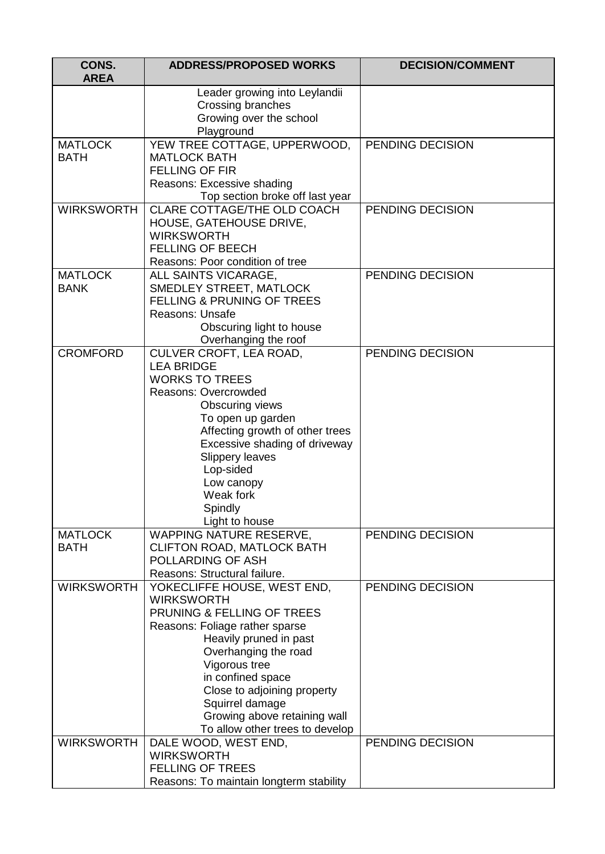| CONS.<br><b>AREA</b>          | <b>ADDRESS/PROPOSED WORKS</b>                                                                                                                                          | <b>DECISION/COMMENT</b> |
|-------------------------------|------------------------------------------------------------------------------------------------------------------------------------------------------------------------|-------------------------|
|                               | Leader growing into Leylandii<br>Crossing branches<br>Growing over the school<br>Playground                                                                            |                         |
| <b>MATLOCK</b>                | YEW TREE COTTAGE, UPPERWOOD,                                                                                                                                           | PENDING DECISION        |
| <b>BATH</b>                   | <b>MATLOCK BATH</b><br><b>FELLING OF FIR</b>                                                                                                                           |                         |
|                               | Reasons: Excessive shading                                                                                                                                             |                         |
|                               | Top section broke off last year                                                                                                                                        |                         |
| <b>WIRKSWORTH</b>             | CLARE COTTAGE/THE OLD COACH<br>HOUSE, GATEHOUSE DRIVE,<br><b>WIRKSWORTH</b>                                                                                            | PENDING DECISION        |
|                               | <b>FELLING OF BEECH</b>                                                                                                                                                |                         |
|                               | Reasons: Poor condition of tree                                                                                                                                        |                         |
| <b>MATLOCK</b><br><b>BANK</b> | ALL SAINTS VICARAGE,<br><b>SMEDLEY STREET, MATLOCK</b><br><b>FELLING &amp; PRUNING OF TREES</b><br>Reasons: Unsafe<br>Obscuring light to house<br>Overhanging the roof | PENDING DECISION        |
| <b>CROMFORD</b>               | CULVER CROFT, LEA ROAD,                                                                                                                                                | PENDING DECISION        |
|                               | <b>LEA BRIDGE</b>                                                                                                                                                      |                         |
|                               | <b>WORKS TO TREES</b>                                                                                                                                                  |                         |
|                               | <b>Reasons: Overcrowded</b>                                                                                                                                            |                         |
|                               | Obscuring views                                                                                                                                                        |                         |
|                               | To open up garden                                                                                                                                                      |                         |
|                               | Affecting growth of other trees                                                                                                                                        |                         |
|                               | Excessive shading of driveway                                                                                                                                          |                         |
|                               | <b>Slippery leaves</b>                                                                                                                                                 |                         |
|                               | Lop-sided                                                                                                                                                              |                         |
|                               | Low canopy<br>Weak fork                                                                                                                                                |                         |
|                               | Spindly                                                                                                                                                                |                         |
|                               | Light to house                                                                                                                                                         |                         |
| <b>MATLOCK</b>                | WAPPING NATURE RESERVE,                                                                                                                                                | PENDING DECISION        |
| <b>BATH</b>                   | <b>CLIFTON ROAD, MATLOCK BATH</b>                                                                                                                                      |                         |
|                               | POLLARDING OF ASH                                                                                                                                                      |                         |
|                               | Reasons: Structural failure.                                                                                                                                           |                         |
| <b>WIRKSWORTH</b>             | YOKECLIFFE HOUSE, WEST END,                                                                                                                                            | PENDING DECISION        |
|                               | <b>WIRKSWORTH</b>                                                                                                                                                      |                         |
|                               | PRUNING & FELLING OF TREES                                                                                                                                             |                         |
|                               | Reasons: Foliage rather sparse                                                                                                                                         |                         |
|                               | Heavily pruned in past                                                                                                                                                 |                         |
|                               | Overhanging the road<br>Vigorous tree                                                                                                                                  |                         |
|                               | in confined space                                                                                                                                                      |                         |
|                               | Close to adjoining property                                                                                                                                            |                         |
|                               | Squirrel damage                                                                                                                                                        |                         |
|                               | Growing above retaining wall                                                                                                                                           |                         |
|                               | To allow other trees to develop                                                                                                                                        |                         |
| <b>WIRKSWORTH</b>             | DALE WOOD, WEST END,                                                                                                                                                   | PENDING DECISION        |
|                               | <b>WIRKSWORTH</b>                                                                                                                                                      |                         |
|                               | <b>FELLING OF TREES</b>                                                                                                                                                |                         |
|                               | Reasons: To maintain longterm stability                                                                                                                                |                         |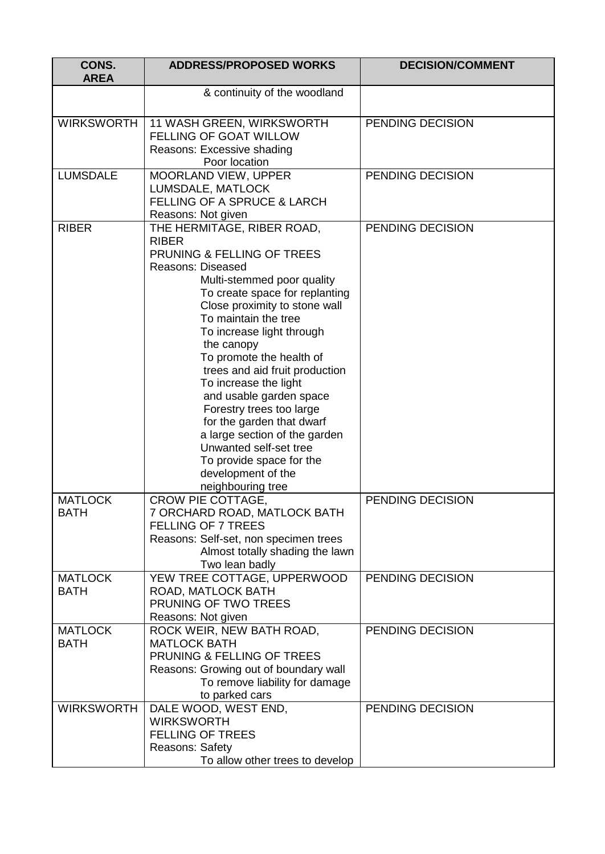| CONS.<br><b>AREA</b>          | <b>ADDRESS/PROPOSED WORKS</b>                                                                                                                                                                                                                                                                                                                                                                                                                                                                                                                                                         | <b>DECISION/COMMENT</b> |
|-------------------------------|---------------------------------------------------------------------------------------------------------------------------------------------------------------------------------------------------------------------------------------------------------------------------------------------------------------------------------------------------------------------------------------------------------------------------------------------------------------------------------------------------------------------------------------------------------------------------------------|-------------------------|
|                               | & continuity of the woodland                                                                                                                                                                                                                                                                                                                                                                                                                                                                                                                                                          |                         |
| <b>WIRKSWORTH</b>             | <b>11 WASH GREEN, WIRKSWORTH</b><br>FELLING OF GOAT WILLOW<br>Reasons: Excessive shading<br>Poor location                                                                                                                                                                                                                                                                                                                                                                                                                                                                             | PENDING DECISION        |
| <b>LUMSDALE</b>               | MOORLAND VIEW, UPPER<br>LUMSDALE, MATLOCK<br><b>FELLING OF A SPRUCE &amp; LARCH</b><br>Reasons: Not given                                                                                                                                                                                                                                                                                                                                                                                                                                                                             | PENDING DECISION        |
| <b>RIBER</b>                  | THE HERMITAGE, RIBER ROAD,<br><b>RIBER</b><br>PRUNING & FELLING OF TREES<br><b>Reasons: Diseased</b><br>Multi-stemmed poor quality<br>To create space for replanting<br>Close proximity to stone wall<br>To maintain the tree<br>To increase light through<br>the canopy<br>To promote the health of<br>trees and aid fruit production<br>To increase the light<br>and usable garden space<br>Forestry trees too large<br>for the garden that dwarf<br>a large section of the garden<br>Unwanted self-set tree<br>To provide space for the<br>development of the<br>neighbouring tree | PENDING DECISION        |
| <b>MATLOCK</b><br><b>BATH</b> | CROW PIE COTTAGE,<br>7 ORCHARD ROAD, MATLOCK BATH<br><b>FELLING OF 7 TREES</b><br>Reasons: Self-set, non specimen trees<br>Almost totally shading the lawn<br>Two lean badly                                                                                                                                                                                                                                                                                                                                                                                                          | PENDING DECISION        |
| <b>MATLOCK</b><br><b>BATH</b> | YEW TREE COTTAGE, UPPERWOOD<br>ROAD, MATLOCK BATH<br>PRUNING OF TWO TREES<br>Reasons: Not given                                                                                                                                                                                                                                                                                                                                                                                                                                                                                       | PENDING DECISION        |
| <b>MATLOCK</b><br><b>BATH</b> | ROCK WEIR, NEW BATH ROAD,<br><b>MATLOCK BATH</b><br>PRUNING & FELLING OF TREES<br>Reasons: Growing out of boundary wall<br>To remove liability for damage<br>to parked cars                                                                                                                                                                                                                                                                                                                                                                                                           | PENDING DECISION        |
| <b>WIRKSWORTH</b>             | DALE WOOD, WEST END,<br><b>WIRKSWORTH</b><br><b>FELLING OF TREES</b><br>Reasons: Safety<br>To allow other trees to develop                                                                                                                                                                                                                                                                                                                                                                                                                                                            | PENDING DECISION        |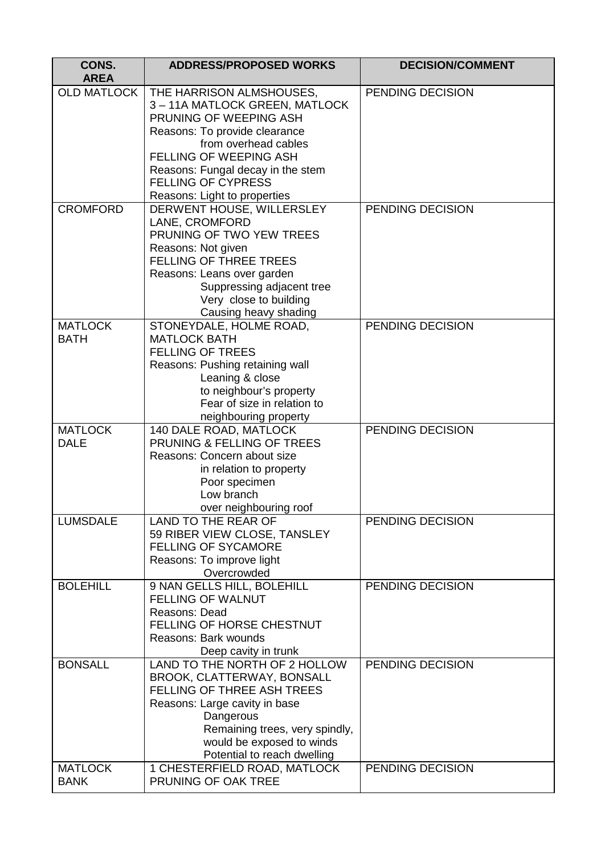| CONS.<br><b>AREA</b> | <b>ADDRESS/PROPOSED WORKS</b>                             | <b>DECISION/COMMENT</b> |
|----------------------|-----------------------------------------------------------|-------------------------|
| <b>OLD MATLOCK</b>   | THE HARRISON ALMSHOUSES,<br>3-11A MATLOCK GREEN, MATLOCK  | PENDING DECISION        |
|                      | PRUNING OF WEEPING ASH                                    |                         |
|                      | Reasons: To provide clearance                             |                         |
|                      | from overhead cables                                      |                         |
|                      | <b>FELLING OF WEEPING ASH</b>                             |                         |
|                      | Reasons: Fungal decay in the stem                         |                         |
|                      | <b>FELLING OF CYPRESS</b>                                 |                         |
| <b>CROMFORD</b>      | Reasons: Light to properties<br>DERWENT HOUSE, WILLERSLEY | PENDING DECISION        |
|                      | LANE, CROMFORD                                            |                         |
|                      | PRUNING OF TWO YEW TREES                                  |                         |
|                      | Reasons: Not given                                        |                         |
|                      | <b>FELLING OF THREE TREES</b>                             |                         |
|                      | Reasons: Leans over garden                                |                         |
|                      | Suppressing adjacent tree                                 |                         |
|                      | Very close to building                                    |                         |
|                      | Causing heavy shading                                     |                         |
| <b>MATLOCK</b>       | STONEYDALE, HOLME ROAD,                                   | PENDING DECISION        |
| <b>BATH</b>          | <b>MATLOCK BATH</b><br><b>FELLING OF TREES</b>            |                         |
|                      | Reasons: Pushing retaining wall                           |                         |
|                      | Leaning & close                                           |                         |
|                      | to neighbour's property                                   |                         |
|                      | Fear of size in relation to                               |                         |
|                      | neighbouring property                                     |                         |
| <b>MATLOCK</b>       | 140 DALE ROAD, MATLOCK                                    | PENDING DECISION        |
| <b>DALE</b>          | PRUNING & FELLING OF TREES                                |                         |
|                      | Reasons: Concern about size                               |                         |
|                      | in relation to property                                   |                         |
|                      | Poor specimen<br>Low branch                               |                         |
|                      |                                                           |                         |
| <b>LUMSDALE</b>      | over neighbouring roof<br>LAND TO THE REAR OF             | PENDING DECISION        |
|                      | 59 RIBER VIEW CLOSE, TANSLEY                              |                         |
|                      | <b>FELLING OF SYCAMORE</b>                                |                         |
|                      | Reasons: To improve light                                 |                         |
|                      | Overcrowded                                               |                         |
| <b>BOLEHILL</b>      | 9 NAN GELLS HILL, BOLEHILL                                | PENDING DECISION        |
|                      | FELLING OF WALNUT                                         |                         |
|                      | Reasons: Dead                                             |                         |
|                      | FELLING OF HORSE CHESTNUT                                 |                         |
|                      | Reasons: Bark wounds                                      |                         |
| <b>BONSALL</b>       | Deep cavity in trunk<br>LAND TO THE NORTH OF 2 HOLLOW     | PENDING DECISION        |
|                      | BROOK, CLATTERWAY, BONSALL                                |                         |
|                      | <b>FELLING OF THREE ASH TREES</b>                         |                         |
|                      | Reasons: Large cavity in base                             |                         |
|                      | Dangerous                                                 |                         |
|                      | Remaining trees, very spindly,                            |                         |
|                      | would be exposed to winds                                 |                         |
|                      | Potential to reach dwelling                               |                         |
| <b>MATLOCK</b>       | 1 CHESTERFIELD ROAD, MATLOCK                              | PENDING DECISION        |
| <b>BANK</b>          | PRUNING OF OAK TREE                                       |                         |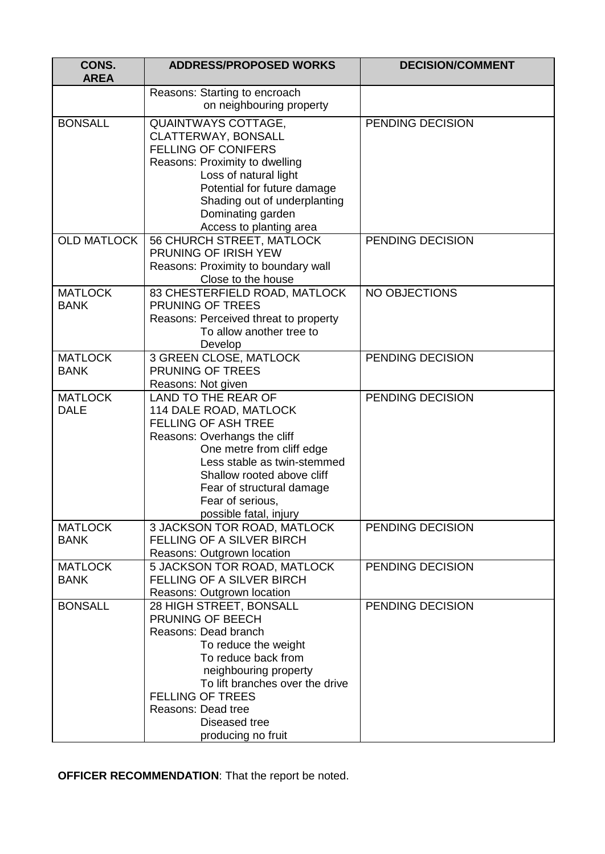| CONS.<br><b>AREA</b>          | <b>ADDRESS/PROPOSED WORKS</b>                                                                                                                                                                                                                                                    | <b>DECISION/COMMENT</b> |
|-------------------------------|----------------------------------------------------------------------------------------------------------------------------------------------------------------------------------------------------------------------------------------------------------------------------------|-------------------------|
|                               | Reasons: Starting to encroach<br>on neighbouring property                                                                                                                                                                                                                        |                         |
| <b>BONSALL</b>                | <b>QUAINTWAYS COTTAGE,</b><br>CLATTERWAY, BONSALL<br><b>FELLING OF CONIFERS</b><br>Reasons: Proximity to dwelling<br>Loss of natural light<br>Potential for future damage<br>Shading out of underplanting<br>Dominating garden<br>Access to planting area                        | PENDING DECISION        |
| <b>OLD MATLOCK</b>            | <b>56 CHURCH STREET, MATLOCK</b><br>PRUNING OF IRISH YEW<br>Reasons: Proximity to boundary wall<br>Close to the house                                                                                                                                                            | PENDING DECISION        |
| <b>MATLOCK</b><br><b>BANK</b> | 83 CHESTERFIELD ROAD, MATLOCK<br>PRUNING OF TREES<br>Reasons: Perceived threat to property<br>To allow another tree to<br>Develop                                                                                                                                                | NO OBJECTIONS           |
| <b>MATLOCK</b><br><b>BANK</b> | 3 GREEN CLOSE, MATLOCK<br>PRUNING OF TREES<br>Reasons: Not given                                                                                                                                                                                                                 | PENDING DECISION        |
| <b>MATLOCK</b><br><b>DALE</b> | LAND TO THE REAR OF<br>114 DALE ROAD, MATLOCK<br><b>FELLING OF ASH TREE</b><br>Reasons: Overhangs the cliff<br>One metre from cliff edge<br>Less stable as twin-stemmed<br>Shallow rooted above cliff<br>Fear of structural damage<br>Fear of serious,<br>possible fatal, injury | PENDING DECISION        |
| <b>MATLOCK</b><br><b>BANK</b> | 3 JACKSON TOR ROAD, MATLOCK<br>FELLING OF A SILVER BIRCH<br>Reasons: Outgrown location                                                                                                                                                                                           | PENDING DECISION        |
| <b>MATLOCK</b><br><b>BANK</b> | 5 JACKSON TOR ROAD, MATLOCK<br><b>FELLING OF A SILVER BIRCH</b><br>Reasons: Outgrown location                                                                                                                                                                                    | PENDING DECISION        |
| <b>BONSALL</b>                | 28 HIGH STREET, BONSALL<br>PRUNING OF BEECH<br>Reasons: Dead branch<br>To reduce the weight<br>To reduce back from<br>neighbouring property<br>To lift branches over the drive<br><b>FELLING OF TREES</b><br>Reasons: Dead tree<br>Diseased tree<br>producing no fruit           | PENDING DECISION        |

**OFFICER RECOMMENDATION**: That the report be noted.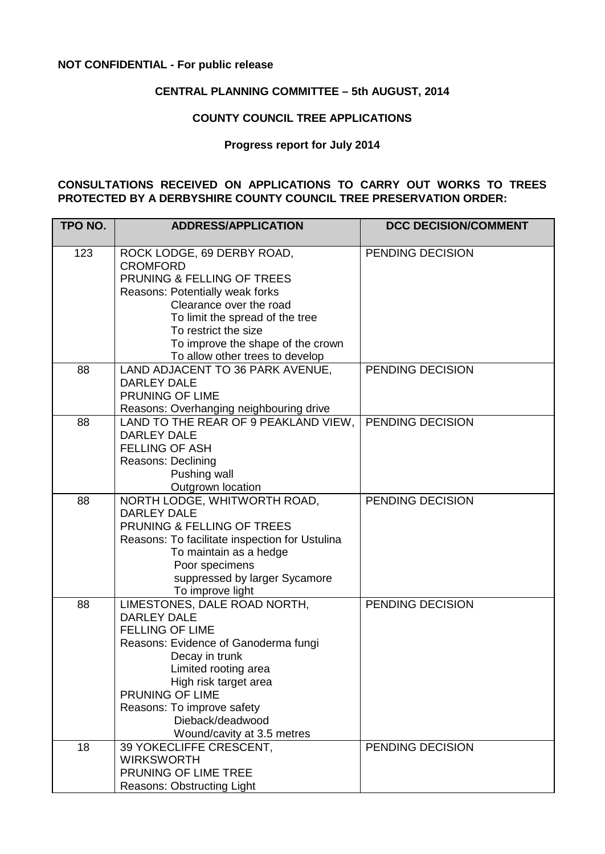#### **NOT CONFIDENTIAL - For public release**

#### **CENTRAL PLANNING COMMITTEE – 5th AUGUST, 2014**

#### **COUNTY COUNCIL TREE APPLICATIONS**

#### **Progress report for July 2014**

#### **CONSULTATIONS RECEIVED ON APPLICATIONS TO CARRY OUT WORKS TO TREES PROTECTED BY A DERBYSHIRE COUNTY COUNCIL TREE PRESERVATION ORDER:**

| TPO NO. | <b>ADDRESS/APPLICATION</b>                                                                                                                                                                                                                                                                 | <b>DCC DECISION/COMMENT</b> |
|---------|--------------------------------------------------------------------------------------------------------------------------------------------------------------------------------------------------------------------------------------------------------------------------------------------|-----------------------------|
| 123     | ROCK LODGE, 69 DERBY ROAD,<br><b>CROMFORD</b><br>PRUNING & FELLING OF TREES<br>Reasons: Potentially weak forks<br>Clearance over the road<br>To limit the spread of the tree<br>To restrict the size<br>To improve the shape of the crown<br>To allow other trees to develop               | PENDING DECISION            |
| 88      | LAND ADJACENT TO 36 PARK AVENUE,<br><b>DARLEY DALE</b><br>PRUNING OF LIME<br>Reasons: Overhanging neighbouring drive                                                                                                                                                                       | PENDING DECISION            |
| 88      | LAND TO THE REAR OF 9 PEAKLAND VIEW.<br><b>DARLEY DALE</b><br><b>FELLING OF ASH</b><br>Reasons: Declining<br>Pushing wall<br>Outgrown location                                                                                                                                             | PENDING DECISION            |
| 88      | NORTH LODGE, WHITWORTH ROAD,<br><b>DARLEY DALE</b><br>PRUNING & FELLING OF TREES<br>Reasons: To facilitate inspection for Ustulina<br>To maintain as a hedge<br>Poor specimens<br>suppressed by larger Sycamore<br>To improve light                                                        | PENDING DECISION            |
| 88      | LIMESTONES, DALE ROAD NORTH,<br><b>DARLEY DALE</b><br><b>FELLING OF LIME</b><br>Reasons: Evidence of Ganoderma fungi<br>Decay in trunk<br>Limited rooting area<br>High risk target area<br>PRUNING OF LIME<br>Reasons: To improve safety<br>Dieback/deadwood<br>Wound/cavity at 3.5 metres | PENDING DECISION            |
| 18      | 39 YOKECLIFFE CRESCENT,<br><b>WIRKSWORTH</b><br>PRUNING OF LIME TREE<br>Reasons: Obstructing Light                                                                                                                                                                                         | PENDING DECISION            |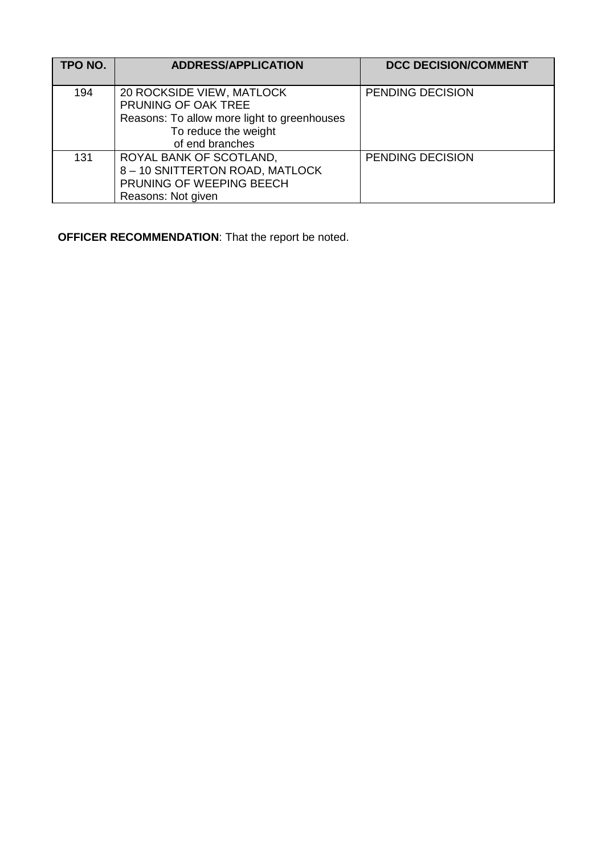| TPO NO. | <b>ADDRESS/APPLICATION</b>                                                                                                                 | <b>DCC DECISION/COMMENT</b> |
|---------|--------------------------------------------------------------------------------------------------------------------------------------------|-----------------------------|
| 194     | 20 ROCKSIDE VIEW, MATLOCK<br>PRUNING OF OAK TREE<br>Reasons: To allow more light to greenhouses<br>To reduce the weight<br>of end branches | PENDING DECISION            |
| 131     | ROYAL BANK OF SCOTLAND,<br>8 - 10 SNITTERTON ROAD, MATLOCK<br>PRUNING OF WEEPING BEECH<br>Reasons: Not given                               | PENDING DECISION            |

**OFFICER RECOMMENDATION**: That the report be noted.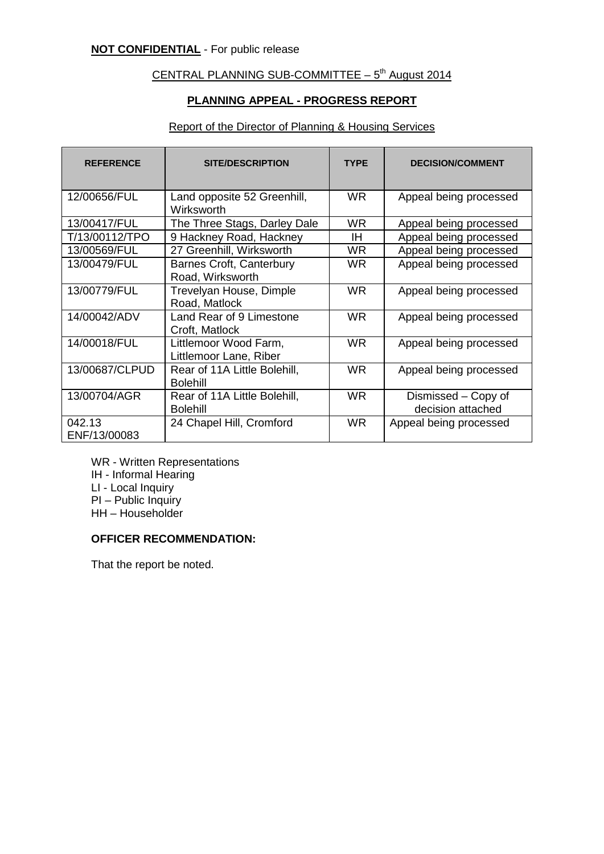# CENTRAL PLANNING SUB-COMMITTEE  $-5<sup>th</sup>$  August 2014

#### **PLANNING APPEAL - PROGRESS REPORT**

#### Report of the Director of Planning & Housing Services

| <b>REFERENCE</b>       | <b>SITE/DESCRIPTION</b>                             | <b>TYPE</b> | <b>DECISION/COMMENT</b>                  |
|------------------------|-----------------------------------------------------|-------------|------------------------------------------|
| 12/00656/FUL           | Land opposite 52 Greenhill,<br>Wirksworth           | WR.         | Appeal being processed                   |
| 13/00417/FUL           | The Three Stags, Darley Dale                        | <b>WR</b>   | Appeal being processed                   |
| T/13/00112/TPO         | 9 Hackney Road, Hackney                             | ΙH          | Appeal being processed                   |
| 13/00569/FUL           | 27 Greenhill, Wirksworth                            | WR.         | Appeal being processed                   |
| 13/00479/FUL           | <b>Barnes Croft, Canterbury</b><br>Road, Wirksworth | <b>WR</b>   | Appeal being processed                   |
| 13/00779/FUL           | Trevelyan House, Dimple<br>Road, Matlock            | WR.         | Appeal being processed                   |
| 14/00042/ADV           | Land Rear of 9 Limestone<br>Croft, Matlock          | <b>WR</b>   | Appeal being processed                   |
| 14/00018/FUL           | Littlemoor Wood Farm,<br>Littlemoor Lane, Riber     | <b>WR</b>   | Appeal being processed                   |
| 13/00687/CLPUD         | Rear of 11A Little Bolehill,<br><b>Bolehill</b>     | WR.         | Appeal being processed                   |
| 13/00704/AGR           | Rear of 11A Little Bolehill,<br><b>Bolehill</b>     | <b>WR</b>   | Dismissed – Copy of<br>decision attached |
| 042.13<br>ENF/13/00083 | 24 Chapel Hill, Cromford                            | <b>WR</b>   | Appeal being processed                   |

WR - Written Representations IH - Informal Hearing LI - Local Inquiry PI – Public Inquiry HH – Householder

#### **OFFICER RECOMMENDATION:**

That the report be noted.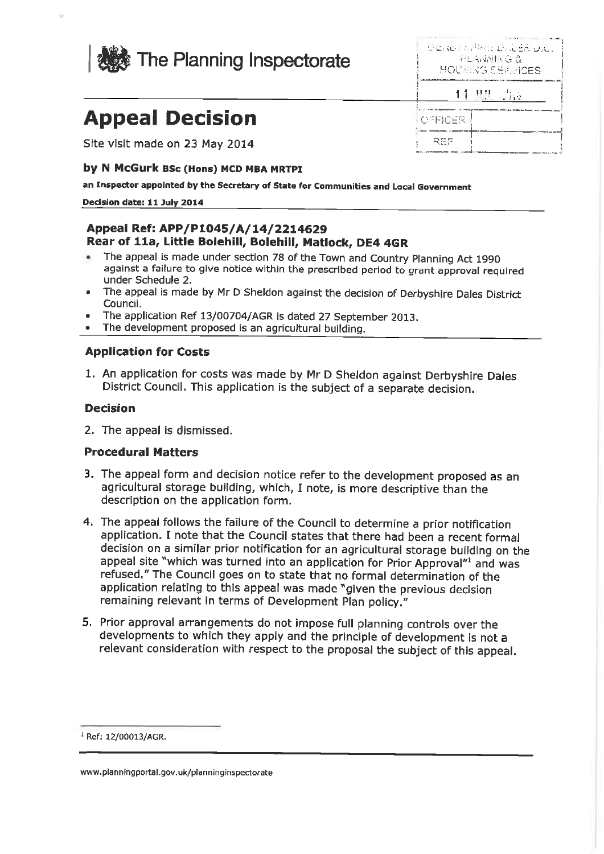

| Seks for the Dues D.C.<br>난 그렇게 먹을 부 |
|--------------------------------------|
| HOUSENG SERVICES                     |
| <b>All Ba</b><br>11                  |

**OFFICER** 

只证件

# **Appeal Decision**

Site visit made on 23 May 2014

#### by N McGurk BSc (Hons) MCD MBA MRTPI

an Inspector appointed by the Secretary of State for Communities and Local Government

#### Decision date: 11 July 2014

#### Appeal Ref: APP/P1045/A/14/2214629 Rear of 11a, Little Bolehill, Bolehill, Matlock, DE4 4GR

- The appeal is made under section 78 of the Town and Country Planning Act 1990 against a failure to give notice within the prescribed period to grant approval required under Schedule 2.
- The appeal is made by Mr D Sheldon against the decision of Derbyshire Dales District Council.
- The application Ref 13/00704/AGR is dated 27 September 2013.
- The development proposed is an agricultural building.

#### **Application for Costs**

1. An application for costs was made by Mr D Sheldon against Derbyshire Dales District Council. This application is the subject of a separate decision.

#### **Decision**

2. The appeal is dismissed.

#### **Procedural Matters**

- 3. The appeal form and decision notice refer to the development proposed as an agricultural storage building, which, I note, is more descriptive than the description on the application form.
- 4. The appeal follows the failure of the Council to determine a prior notification application. I note that the Council states that there had been a recent formal decision on a similar prior notification for an agricultural storage building on the appeal site "which was turned into an application for Prior Approval" and was refused." The Council goes on to state that no formal determination of the application relating to this appeal was made "given the previous decision remaining relevant in terms of Development Plan policy."
- 5. Prior approval arrangements do not impose full planning controls over the developments to which they apply and the principle of development is not a relevant consideration with respect to the proposal the subject of this appeal.

<sup>&</sup>lt;sup>1</sup> Ref: 12/00013/AGR.

www.planningportal.gov.uk/planninginspectorate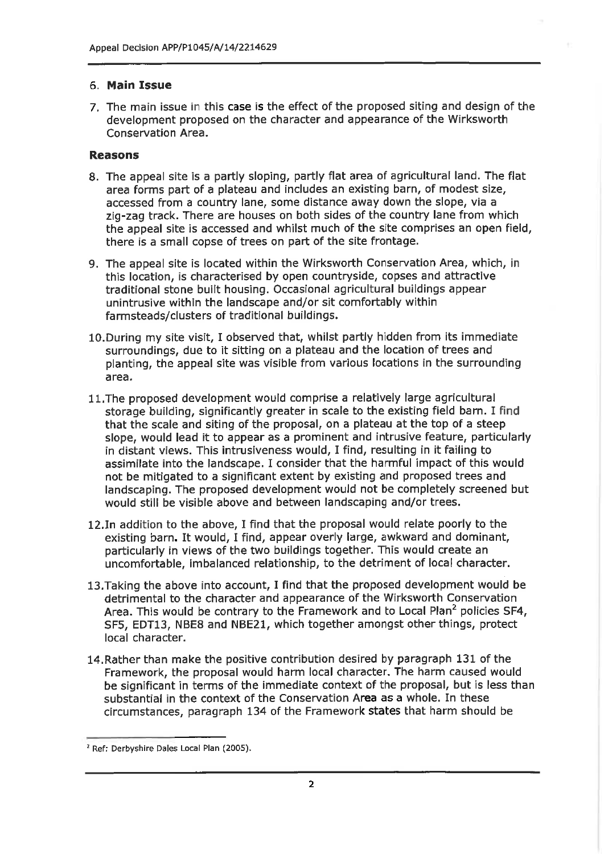# 6. Main Issue

7. The main issue in this case is the effect of the proposed siting and design of the development proposed on the character and appearance of the Wirksworth Conservation Area.

# **Reasons**

- 8. The appeal site is a partly sloping, partly flat area of agricultural land. The flat area forms part of a plateau and includes an existing barn, of modest size, accessed from a country lane, some distance away down the slope, via a zig-zag track. There are houses on both sides of the country lane from which the appeal site is accessed and whilst much of the site comprises an open field, there is a small copse of trees on part of the site frontage.
- 9. The appeal site is located within the Wirksworth Conservation Area, which, in this location, is characterised by open countryside, copses and attractive traditional stone built housing. Occasional agricultural buildings appear unintrusive within the landscape and/or sit comfortably within farmsteads/clusters of traditional buildings.
- 10. During my site visit, I observed that, whilst partly hidden from its immediate surroundings, due to it sitting on a plateau and the location of trees and planting, the appeal site was visible from various locations in the surrounding area.
- 11. The proposed development would comprise a relatively large agricultural storage building, significantly greater in scale to the existing field barn. I find that the scale and siting of the proposal, on a plateau at the top of a steep slope, would lead it to appear as a prominent and intrusive feature, particularly in distant views. This intrusiveness would, I find, resulting in it failing to assimilate into the landscape. I consider that the harmful impact of this would not be mitigated to a significant extent by existing and proposed trees and landscaping. The proposed development would not be completely screened but would still be visible above and between landscaping and/or trees.
- 12. In addition to the above, I find that the proposal would relate poorly to the existing barn. It would, I find, appear overly large, awkward and dominant, particularly in views of the two buildings together. This would create an uncomfortable, imbalanced relationship, to the detriment of local character.
- 13. Taking the above into account, I find that the proposed development would be detrimental to the character and appearance of the Wirksworth Conservation Area. This would be contrary to the Framework and to Local Plan<sup>2</sup> policies SF4, SF5, EDT13, NBE8 and NBE21, which together amongst other things, protect local character.
- 14. Rather than make the positive contribution desired by paragraph 131 of the Framework, the proposal would harm local character. The harm caused would be significant in terms of the immediate context of the proposal, but is less than substantial in the context of the Conservation Area as a whole. In these circumstances, paragraph 134 of the Framework states that harm should be

<sup>&</sup>lt;sup>2</sup> Ref: Derbyshire Dales Local Plan (2005).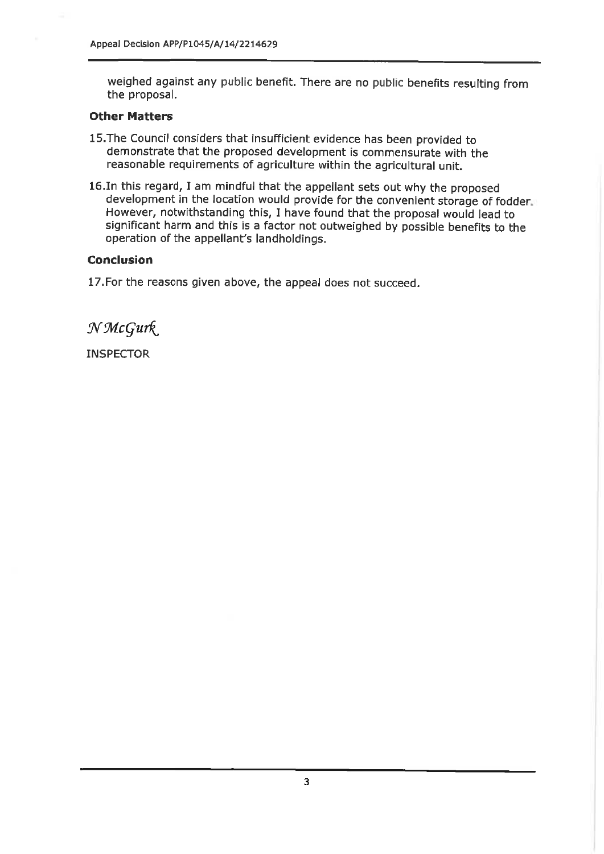weighed against any public benefit. There are no public benefits resulting from the proposal.

### **Other Matters**

- 15. The Council considers that insufficient evidence has been provided to demonstrate that the proposed development is commensurate with the reasonable requirements of agriculture within the agricultural unit.
- 16. In this regard, I am mindful that the appellant sets out why the proposed development in the location would provide for the convenient storage of fodder. However, notwithstanding this, I have found that the proposal would lead to significant harm and this is a factor not outweighed by possible benefits to the operation of the appellant's landholdings.

### **Conclusion**

17. For the reasons given above, the appeal does not succeed.

NMcGurk

**INSPECTOR**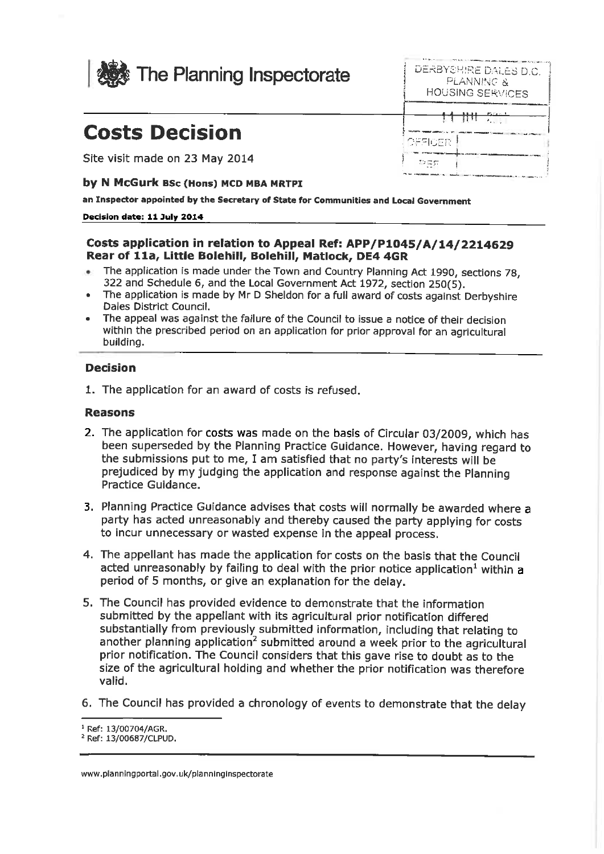

# **Costs Decision**

Site visit made on 23 May 2014

## by N McGurk BSc (Hons) MCD MBA MRTPI

an Inspector appointed by the Secretary of State for Communities and Local Government

#### Decision date: 11 July 2014

# Costs application in relation to Appeal Ref: APP/P1045/A/14/2214629 Rear of 11a, Little Bolehill, Bolehill, Matlock, DE4 4GR

- The application is made under the Town and Country Planning Act 1990, sections 78, ×. 322 and Schedule 6, and the Local Government Act 1972, section 250(5).
- The application is made by Mr D Sheldon for a full award of costs against Derbyshire Dales District Council.
- The appeal was against the failure of the Council to issue a notice of their decision within the prescribed period on an application for prior approval for an agricultural building.

### **Decision**

1. The application for an award of costs is refused.

### **Reasons**

- 2. The application for costs was made on the basis of Circular 03/2009, which has been superseded by the Planning Practice Guidance. However, having regard to the submissions put to me, I am satisfied that no party's interests will be prejudiced by my judging the application and response against the Planning Practice Guidance.
- 3. Planning Practice Guidance advises that costs will normally be awarded where a party has acted unreasonably and thereby caused the party applying for costs to incur unnecessary or wasted expense in the appeal process.
- 4. The appellant has made the application for costs on the basis that the Council acted unreasonably by failing to deal with the prior notice application<sup>1</sup> within a period of 5 months, or give an explanation for the delay.
- 5. The Council has provided evidence to demonstrate that the information submitted by the appellant with its agricultural prior notification differed substantially from previously submitted information, including that relating to another planning application<sup>2</sup> submitted around a week prior to the agricultural prior notification. The Council considers that this gave rise to doubt as to the size of the agricultural holding and whether the prior notification was therefore valid.
- 6. The Council has provided a chronology of events to demonstrate that the delay

| DERBYSHIRE DALES D.C.<br>PI ANNING X<br><b>HOUSING SERVICES</b> |  |
|-----------------------------------------------------------------|--|
| 11 111 3 -                                                      |  |
| OFFICER                                                         |  |
| Dat.                                                            |  |

<sup>&</sup>lt;sup>1</sup> Ref: 13/00704/AGR.

<sup>&</sup>lt;sup>2</sup> Ref: 13/00687/CLPUD.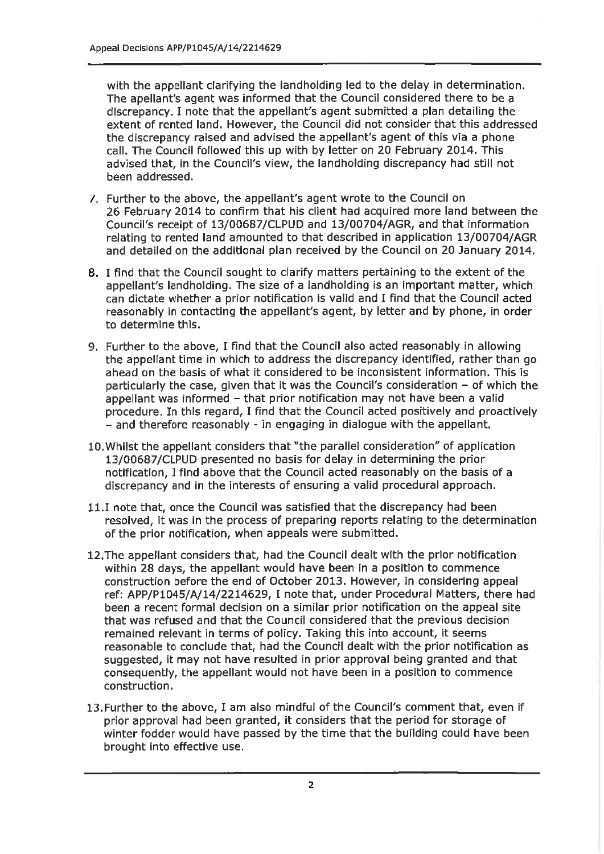with the appellant clarifying the landholding led to the delay in determination. The apellant's agent was informed that the Council considered there to be a discrepancy. I note that the appellant's agent submitted a plan detailing the extent of rented land. However, the Council did not consider that this addressed the discrepancy raised and advised the appellant's agent of this via a phone call. The Council followed this up with by letter on 20 February 2014. This advised that, in the Council's view, the landholding discrepancy had still not been addressed.

- 7. Further to the above, the appellant's agent wrote to the Council on 26 February 2014 to confirm that his client had acquired more land between the Council's receipt of 13/00687/CLPUD and 13/00704/AGR, and that information relating to rented land amounted to that described in application 13/00704/AGR and detailed on the additional plan received by the Council on 20 January 2014.
- 8. I find that the Council sought to clarify matters pertaining to the extent of the appellant's landholding. The size of a landholding is an important matter, which can dictate whether a prior notification is valid and I find that the Council acted reasonably in contacting the appellant's agent, by letter and by phone, in order to determine this.
- 9. Further to the above, I find that the Council also acted reasonably in allowing the appellant time in which to address the discrepancy identified, rather than go ahead on the basis of what it considered to be inconsistent information. This is particularly the case, given that it was the Council's consideration - of which the appellant was informed - that prior notification may not have been a valid procedure. In this regard, I find that the Council acted positively and proactively - and therefore reasonably - in engaging in dialogue with the appellant.
- 10. Whilst the appellant considers that "the parallel consideration" of application 13/00687/CLPUD presented no basis for delay in determining the prior notification. I find above that the Council acted reasonably on the basis of a discrepancy and in the interests of ensuring a valid procedural approach.
- 11.I note that, once the Council was satisfied that the discrepancy had been resolved, it was in the process of preparing reports relating to the determination of the prior notification, when appeals were submitted.
- 12. The appellant considers that, had the Council dealt with the prior notification within 28 days, the appellant would have been in a position to commence construction before the end of October 2013. However, in considering appeal ref: APP/P1045/A/14/2214629, I note that, under Procedural Matters, there had been a recent formal decision on a similar prior notification on the appeal site that was refused and that the Council considered that the previous decision remained relevant in terms of policy. Taking this into account, it seems reasonable to conclude that, had the Council dealt with the prior notification as suggested, it may not have resulted in prior approval being granted and that consequently, the appellant would not have been in a position to commence construction.
- 13. Further to the above, I am also mindful of the Council's comment that, even if prior approval had been granted, it considers that the period for storage of winter fodder would have passed by the time that the building could have been brought into effective use.